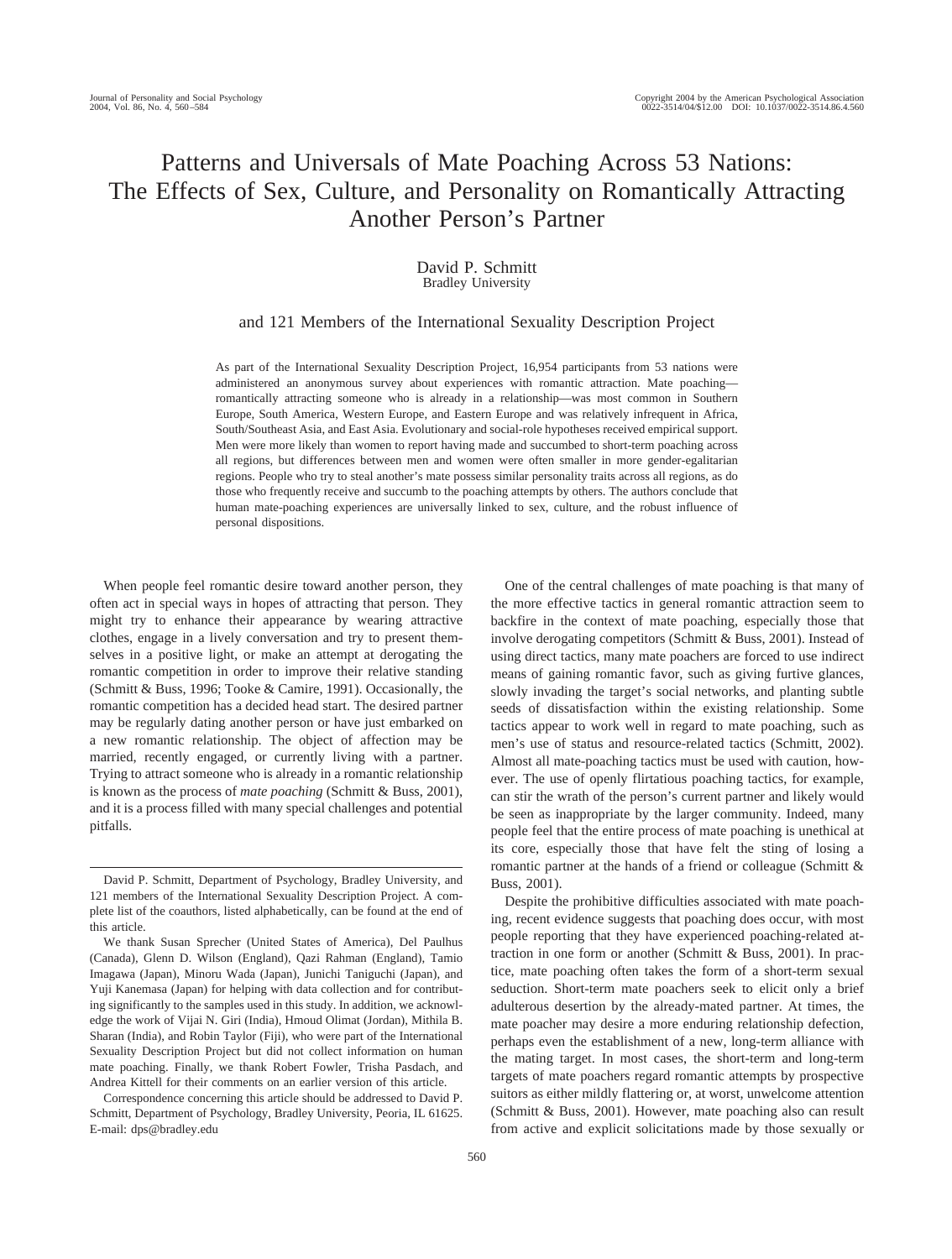# Patterns and Universals of Mate Poaching Across 53 Nations: The Effects of Sex, Culture, and Personality on Romantically Attracting Another Person's Partner

# David P. Schmitt Bradley University

# and 121 Members of the International Sexuality Description Project

As part of the International Sexuality Description Project, 16,954 participants from 53 nations were administered an anonymous survey about experiences with romantic attraction. Mate poaching romantically attracting someone who is already in a relationship—was most common in Southern Europe, South America, Western Europe, and Eastern Europe and was relatively infrequent in Africa, South/Southeast Asia, and East Asia. Evolutionary and social-role hypotheses received empirical support. Men were more likely than women to report having made and succumbed to short-term poaching across all regions, but differences between men and women were often smaller in more gender-egalitarian regions. People who try to steal another's mate possess similar personality traits across all regions, as do those who frequently receive and succumb to the poaching attempts by others. The authors conclude that human mate-poaching experiences are universally linked to sex, culture, and the robust influence of personal dispositions.

When people feel romantic desire toward another person, they often act in special ways in hopes of attracting that person. They might try to enhance their appearance by wearing attractive clothes, engage in a lively conversation and try to present themselves in a positive light, or make an attempt at derogating the romantic competition in order to improve their relative standing (Schmitt & Buss, 1996; Tooke & Camire, 1991). Occasionally, the romantic competition has a decided head start. The desired partner may be regularly dating another person or have just embarked on a new romantic relationship. The object of affection may be married, recently engaged, or currently living with a partner. Trying to attract someone who is already in a romantic relationship is known as the process of *mate poaching* (Schmitt & Buss, 2001), and it is a process filled with many special challenges and potential pitfalls.

Correspondence concerning this article should be addressed to David P. Schmitt, Department of Psychology, Bradley University, Peoria, IL 61625. E-mail: dps@bradley.edu

One of the central challenges of mate poaching is that many of the more effective tactics in general romantic attraction seem to backfire in the context of mate poaching, especially those that involve derogating competitors (Schmitt & Buss, 2001). Instead of using direct tactics, many mate poachers are forced to use indirect means of gaining romantic favor, such as giving furtive glances, slowly invading the target's social networks, and planting subtle seeds of dissatisfaction within the existing relationship. Some tactics appear to work well in regard to mate poaching, such as men's use of status and resource-related tactics (Schmitt, 2002). Almost all mate-poaching tactics must be used with caution, however. The use of openly flirtatious poaching tactics, for example, can stir the wrath of the person's current partner and likely would be seen as inappropriate by the larger community. Indeed, many people feel that the entire process of mate poaching is unethical at its core, especially those that have felt the sting of losing a romantic partner at the hands of a friend or colleague (Schmitt & Buss, 2001).

Despite the prohibitive difficulties associated with mate poaching, recent evidence suggests that poaching does occur, with most people reporting that they have experienced poaching-related attraction in one form or another (Schmitt & Buss, 2001). In practice, mate poaching often takes the form of a short-term sexual seduction. Short-term mate poachers seek to elicit only a brief adulterous desertion by the already-mated partner. At times, the mate poacher may desire a more enduring relationship defection, perhaps even the establishment of a new, long-term alliance with the mating target. In most cases, the short-term and long-term targets of mate poachers regard romantic attempts by prospective suitors as either mildly flattering or, at worst, unwelcome attention (Schmitt & Buss, 2001). However, mate poaching also can result from active and explicit solicitations made by those sexually or

David P. Schmitt, Department of Psychology, Bradley University, and 121 members of the International Sexuality Description Project. A complete list of the coauthors, listed alphabetically, can be found at the end of this article.

We thank Susan Sprecher (United States of America), Del Paulhus (Canada), Glenn D. Wilson (England), Qazi Rahman (England), Tamio Imagawa (Japan), Minoru Wada (Japan), Junichi Taniguchi (Japan), and Yuji Kanemasa (Japan) for helping with data collection and for contributing significantly to the samples used in this study. In addition, we acknowledge the work of Vijai N. Giri (India), Hmoud Olimat (Jordan), Mithila B. Sharan (India), and Robin Taylor (Fiji), who were part of the International Sexuality Description Project but did not collect information on human mate poaching. Finally, we thank Robert Fowler, Trisha Pasdach, and Andrea Kittell for their comments on an earlier version of this article.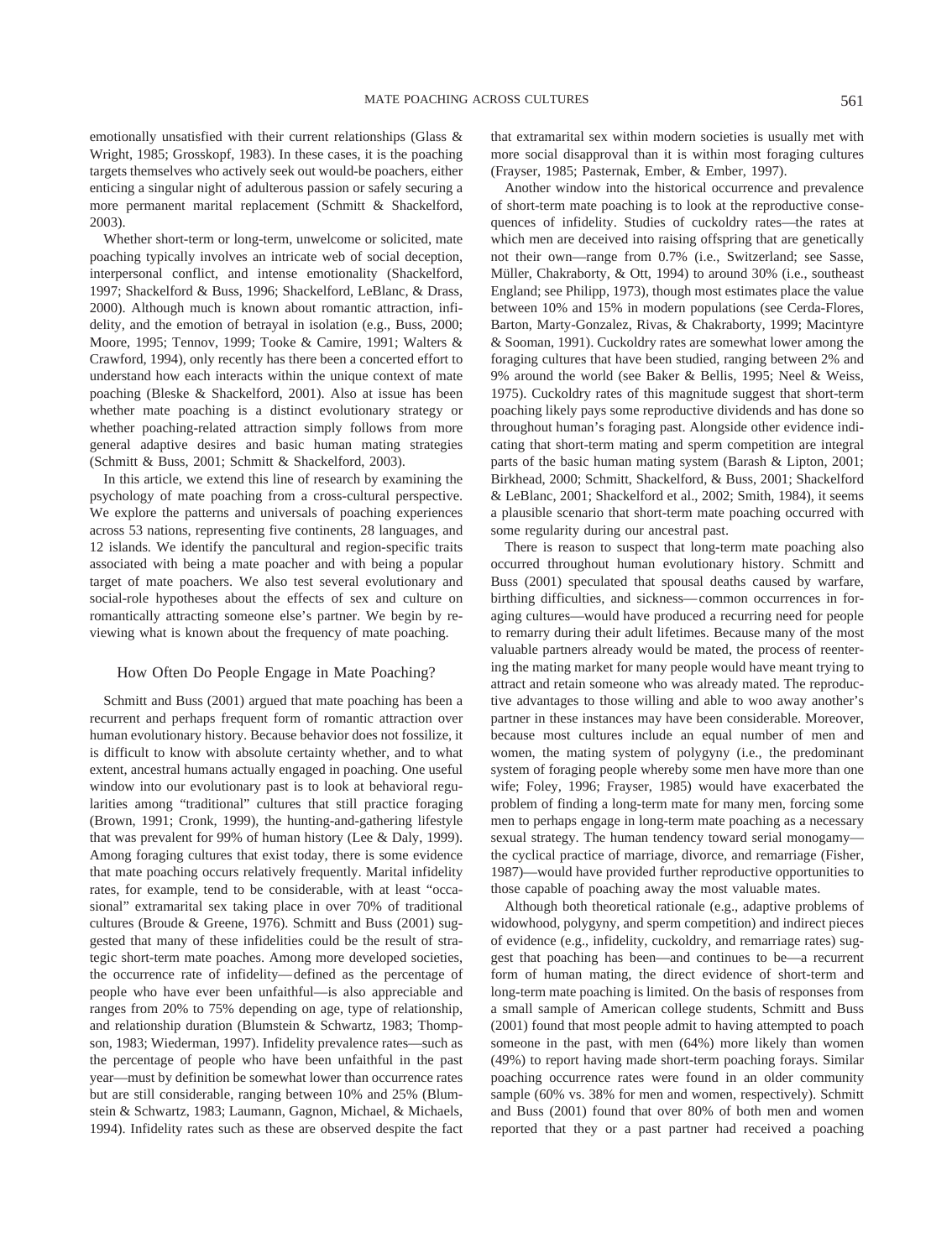emotionally unsatisfied with their current relationships (Glass & Wright, 1985; Grosskopf, 1983). In these cases, it is the poaching targets themselves who actively seek out would-be poachers, either enticing a singular night of adulterous passion or safely securing a more permanent marital replacement (Schmitt & Shackelford, 2003).

Whether short-term or long-term, unwelcome or solicited, mate poaching typically involves an intricate web of social deception, interpersonal conflict, and intense emotionality (Shackelford, 1997; Shackelford & Buss, 1996; Shackelford, LeBlanc, & Drass, 2000). Although much is known about romantic attraction, infidelity, and the emotion of betrayal in isolation (e.g., Buss, 2000; Moore, 1995; Tennov, 1999; Tooke & Camire, 1991; Walters & Crawford, 1994), only recently has there been a concerted effort to understand how each interacts within the unique context of mate poaching (Bleske & Shackelford, 2001). Also at issue has been whether mate poaching is a distinct evolutionary strategy or whether poaching-related attraction simply follows from more general adaptive desires and basic human mating strategies (Schmitt & Buss, 2001; Schmitt & Shackelford, 2003).

In this article, we extend this line of research by examining the psychology of mate poaching from a cross-cultural perspective. We explore the patterns and universals of poaching experiences across 53 nations, representing five continents, 28 languages, and 12 islands. We identify the pancultural and region-specific traits associated with being a mate poacher and with being a popular target of mate poachers. We also test several evolutionary and social-role hypotheses about the effects of sex and culture on romantically attracting someone else's partner. We begin by reviewing what is known about the frequency of mate poaching.

#### How Often Do People Engage in Mate Poaching?

Schmitt and Buss (2001) argued that mate poaching has been a recurrent and perhaps frequent form of romantic attraction over human evolutionary history. Because behavior does not fossilize, it is difficult to know with absolute certainty whether, and to what extent, ancestral humans actually engaged in poaching. One useful window into our evolutionary past is to look at behavioral regularities among "traditional" cultures that still practice foraging (Brown, 1991; Cronk, 1999), the hunting-and-gathering lifestyle that was prevalent for 99% of human history (Lee & Daly, 1999). Among foraging cultures that exist today, there is some evidence that mate poaching occurs relatively frequently. Marital infidelity rates, for example, tend to be considerable, with at least "occasional" extramarital sex taking place in over 70% of traditional cultures (Broude & Greene, 1976). Schmitt and Buss (2001) suggested that many of these infidelities could be the result of strategic short-term mate poaches. Among more developed societies, the occurrence rate of infidelity—defined as the percentage of people who have ever been unfaithful—is also appreciable and ranges from 20% to 75% depending on age, type of relationship, and relationship duration (Blumstein & Schwartz, 1983; Thompson, 1983; Wiederman, 1997). Infidelity prevalence rates—such as the percentage of people who have been unfaithful in the past year—must by definition be somewhat lower than occurrence rates but are still considerable, ranging between 10% and 25% (Blumstein & Schwartz, 1983; Laumann, Gagnon, Michael, & Michaels, 1994). Infidelity rates such as these are observed despite the fact that extramarital sex within modern societies is usually met with more social disapproval than it is within most foraging cultures (Frayser, 1985; Pasternak, Ember, & Ember, 1997).

Another window into the historical occurrence and prevalence of short-term mate poaching is to look at the reproductive consequences of infidelity. Studies of cuckoldry rates—the rates at which men are deceived into raising offspring that are genetically not their own—range from 0.7% (i.e., Switzerland; see Sasse, Müller, Chakraborty, & Ott, 1994) to around 30% (i.e., southeast England; see Philipp, 1973), though most estimates place the value between 10% and 15% in modern populations (see Cerda-Flores, Barton, Marty-Gonzalez, Rivas, & Chakraborty, 1999; Macintyre & Sooman, 1991). Cuckoldry rates are somewhat lower among the foraging cultures that have been studied, ranging between 2% and 9% around the world (see Baker & Bellis, 1995; Neel & Weiss, 1975). Cuckoldry rates of this magnitude suggest that short-term poaching likely pays some reproductive dividends and has done so throughout human's foraging past. Alongside other evidence indicating that short-term mating and sperm competition are integral parts of the basic human mating system (Barash & Lipton, 2001; Birkhead, 2000; Schmitt, Shackelford, & Buss, 2001; Shackelford & LeBlanc, 2001; Shackelford et al., 2002; Smith, 1984), it seems a plausible scenario that short-term mate poaching occurred with some regularity during our ancestral past.

There is reason to suspect that long-term mate poaching also occurred throughout human evolutionary history. Schmitt and Buss (2001) speculated that spousal deaths caused by warfare, birthing difficulties, and sickness—common occurrences in foraging cultures—would have produced a recurring need for people to remarry during their adult lifetimes. Because many of the most valuable partners already would be mated, the process of reentering the mating market for many people would have meant trying to attract and retain someone who was already mated. The reproductive advantages to those willing and able to woo away another's partner in these instances may have been considerable. Moreover, because most cultures include an equal number of men and women, the mating system of polygyny (i.e., the predominant system of foraging people whereby some men have more than one wife; Foley, 1996; Frayser, 1985) would have exacerbated the problem of finding a long-term mate for many men, forcing some men to perhaps engage in long-term mate poaching as a necessary sexual strategy. The human tendency toward serial monogamy the cyclical practice of marriage, divorce, and remarriage (Fisher, 1987)—would have provided further reproductive opportunities to those capable of poaching away the most valuable mates.

Although both theoretical rationale (e.g., adaptive problems of widowhood, polygyny, and sperm competition) and indirect pieces of evidence (e.g., infidelity, cuckoldry, and remarriage rates) suggest that poaching has been—and continues to be—a recurrent form of human mating, the direct evidence of short-term and long-term mate poaching is limited. On the basis of responses from a small sample of American college students, Schmitt and Buss (2001) found that most people admit to having attempted to poach someone in the past, with men (64%) more likely than women (49%) to report having made short-term poaching forays. Similar poaching occurrence rates were found in an older community sample (60% vs. 38% for men and women, respectively). Schmitt and Buss (2001) found that over 80% of both men and women reported that they or a past partner had received a poaching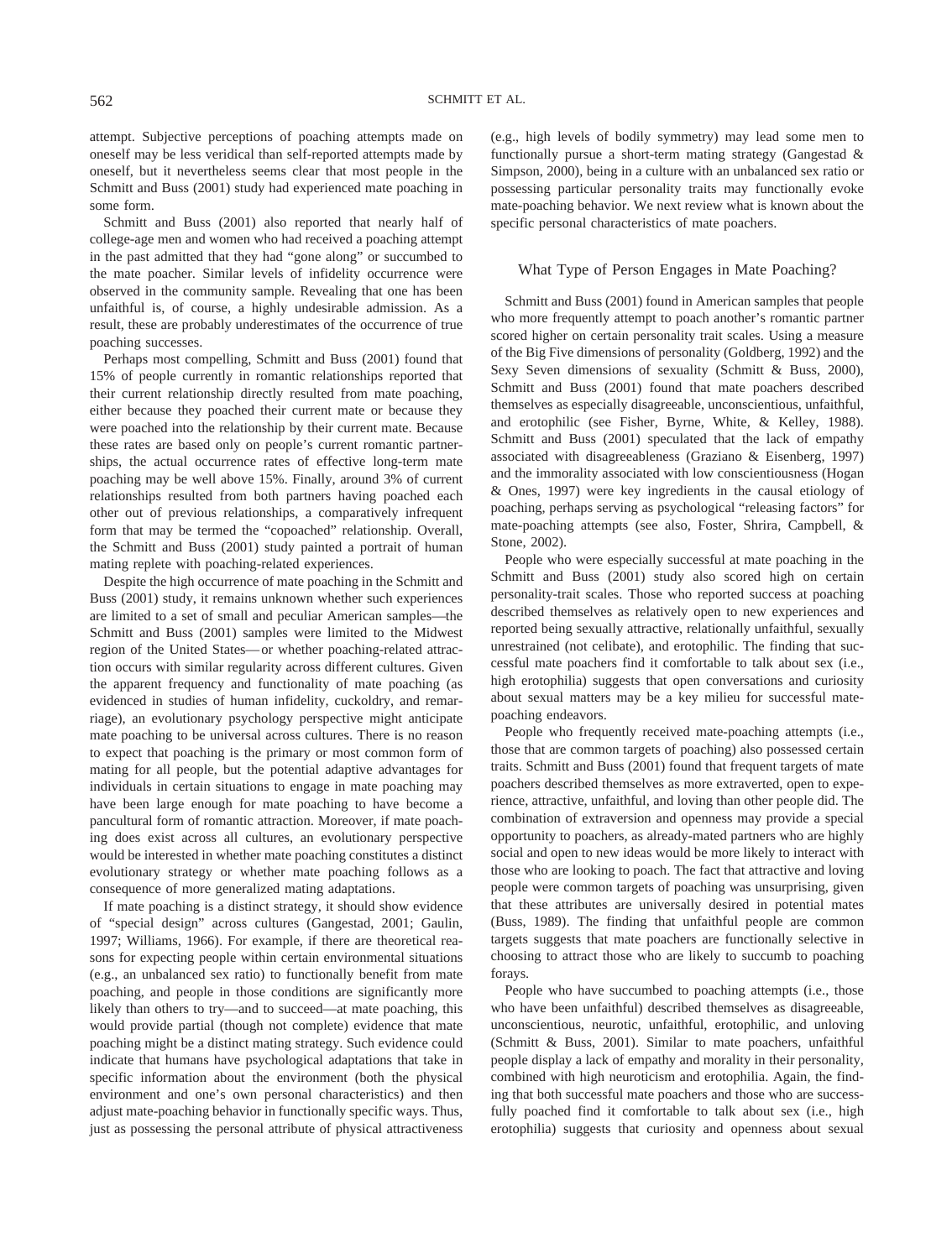attempt. Subjective perceptions of poaching attempts made on oneself may be less veridical than self-reported attempts made by oneself, but it nevertheless seems clear that most people in the Schmitt and Buss (2001) study had experienced mate poaching in some form.

Schmitt and Buss (2001) also reported that nearly half of college-age men and women who had received a poaching attempt in the past admitted that they had "gone along" or succumbed to the mate poacher. Similar levels of infidelity occurrence were observed in the community sample. Revealing that one has been unfaithful is, of course, a highly undesirable admission. As a result, these are probably underestimates of the occurrence of true poaching successes.

Perhaps most compelling, Schmitt and Buss (2001) found that 15% of people currently in romantic relationships reported that their current relationship directly resulted from mate poaching, either because they poached their current mate or because they were poached into the relationship by their current mate. Because these rates are based only on people's current romantic partnerships, the actual occurrence rates of effective long-term mate poaching may be well above 15%. Finally, around 3% of current relationships resulted from both partners having poached each other out of previous relationships, a comparatively infrequent form that may be termed the "copoached" relationship. Overall, the Schmitt and Buss (2001) study painted a portrait of human mating replete with poaching-related experiences.

Despite the high occurrence of mate poaching in the Schmitt and Buss (2001) study, it remains unknown whether such experiences are limited to a set of small and peculiar American samples—the Schmitt and Buss (2001) samples were limited to the Midwest region of the United States—or whether poaching-related attraction occurs with similar regularity across different cultures. Given the apparent frequency and functionality of mate poaching (as evidenced in studies of human infidelity, cuckoldry, and remarriage), an evolutionary psychology perspective might anticipate mate poaching to be universal across cultures. There is no reason to expect that poaching is the primary or most common form of mating for all people, but the potential adaptive advantages for individuals in certain situations to engage in mate poaching may have been large enough for mate poaching to have become a pancultural form of romantic attraction. Moreover, if mate poaching does exist across all cultures, an evolutionary perspective would be interested in whether mate poaching constitutes a distinct evolutionary strategy or whether mate poaching follows as a consequence of more generalized mating adaptations.

If mate poaching is a distinct strategy, it should show evidence of "special design" across cultures (Gangestad, 2001; Gaulin, 1997; Williams, 1966). For example, if there are theoretical reasons for expecting people within certain environmental situations (e.g., an unbalanced sex ratio) to functionally benefit from mate poaching, and people in those conditions are significantly more likely than others to try—and to succeed—at mate poaching, this would provide partial (though not complete) evidence that mate poaching might be a distinct mating strategy. Such evidence could indicate that humans have psychological adaptations that take in specific information about the environment (both the physical environment and one's own personal characteristics) and then adjust mate-poaching behavior in functionally specific ways. Thus, just as possessing the personal attribute of physical attractiveness (e.g., high levels of bodily symmetry) may lead some men to functionally pursue a short-term mating strategy (Gangestad  $\&$ Simpson, 2000), being in a culture with an unbalanced sex ratio or possessing particular personality traits may functionally evoke mate-poaching behavior. We next review what is known about the specific personal characteristics of mate poachers.

#### What Type of Person Engages in Mate Poaching?

Schmitt and Buss (2001) found in American samples that people who more frequently attempt to poach another's romantic partner scored higher on certain personality trait scales. Using a measure of the Big Five dimensions of personality (Goldberg, 1992) and the Sexy Seven dimensions of sexuality (Schmitt & Buss, 2000), Schmitt and Buss (2001) found that mate poachers described themselves as especially disagreeable, unconscientious, unfaithful, and erotophilic (see Fisher, Byrne, White, & Kelley, 1988). Schmitt and Buss (2001) speculated that the lack of empathy associated with disagreeableness (Graziano & Eisenberg, 1997) and the immorality associated with low conscientiousness (Hogan & Ones, 1997) were key ingredients in the causal etiology of poaching, perhaps serving as psychological "releasing factors" for mate-poaching attempts (see also, Foster, Shrira, Campbell, & Stone, 2002).

People who were especially successful at mate poaching in the Schmitt and Buss (2001) study also scored high on certain personality-trait scales. Those who reported success at poaching described themselves as relatively open to new experiences and reported being sexually attractive, relationally unfaithful, sexually unrestrained (not celibate), and erotophilic. The finding that successful mate poachers find it comfortable to talk about sex (i.e., high erotophilia) suggests that open conversations and curiosity about sexual matters may be a key milieu for successful matepoaching endeavors.

People who frequently received mate-poaching attempts (i.e., those that are common targets of poaching) also possessed certain traits. Schmitt and Buss (2001) found that frequent targets of mate poachers described themselves as more extraverted, open to experience, attractive, unfaithful, and loving than other people did. The combination of extraversion and openness may provide a special opportunity to poachers, as already-mated partners who are highly social and open to new ideas would be more likely to interact with those who are looking to poach. The fact that attractive and loving people were common targets of poaching was unsurprising, given that these attributes are universally desired in potential mates (Buss, 1989). The finding that unfaithful people are common targets suggests that mate poachers are functionally selective in choosing to attract those who are likely to succumb to poaching forays.

People who have succumbed to poaching attempts (i.e., those who have been unfaithful) described themselves as disagreeable, unconscientious, neurotic, unfaithful, erotophilic, and unloving (Schmitt & Buss, 2001). Similar to mate poachers, unfaithful people display a lack of empathy and morality in their personality, combined with high neuroticism and erotophilia. Again, the finding that both successful mate poachers and those who are successfully poached find it comfortable to talk about sex (i.e., high erotophilia) suggests that curiosity and openness about sexual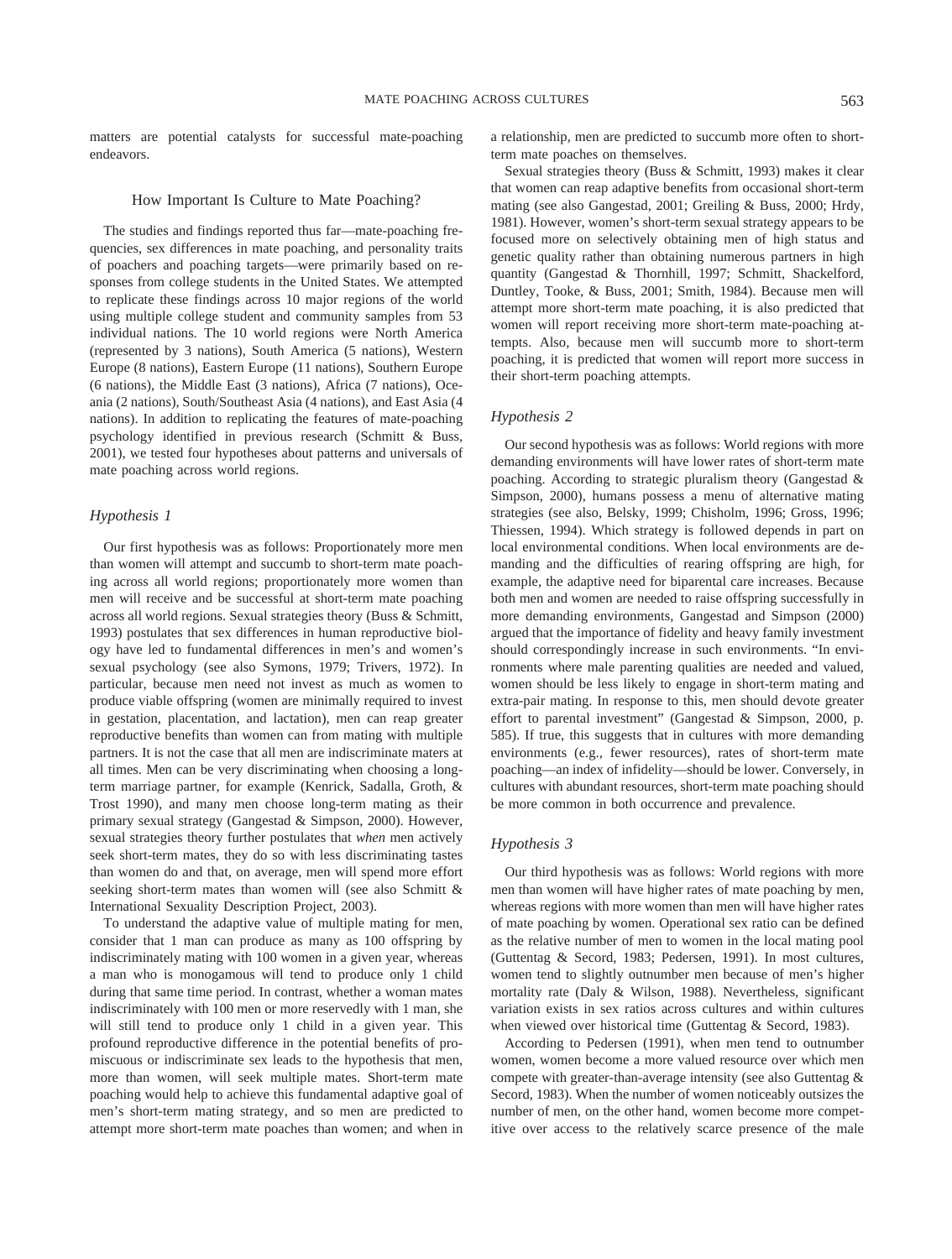matters are potential catalysts for successful mate-poaching endeavors.

#### How Important Is Culture to Mate Poaching?

The studies and findings reported thus far—mate-poaching frequencies, sex differences in mate poaching, and personality traits of poachers and poaching targets—were primarily based on responses from college students in the United States. We attempted to replicate these findings across 10 major regions of the world using multiple college student and community samples from 53 individual nations. The 10 world regions were North America (represented by 3 nations), South America (5 nations), Western Europe (8 nations), Eastern Europe (11 nations), Southern Europe (6 nations), the Middle East (3 nations), Africa (7 nations), Oceania (2 nations), South/Southeast Asia (4 nations), and East Asia (4 nations). In addition to replicating the features of mate-poaching psychology identified in previous research (Schmitt & Buss, 2001), we tested four hypotheses about patterns and universals of mate poaching across world regions.

### *Hypothesis 1*

Our first hypothesis was as follows: Proportionately more men than women will attempt and succumb to short-term mate poaching across all world regions; proportionately more women than men will receive and be successful at short-term mate poaching across all world regions. Sexual strategies theory (Buss & Schmitt, 1993) postulates that sex differences in human reproductive biology have led to fundamental differences in men's and women's sexual psychology (see also Symons, 1979; Trivers, 1972). In particular, because men need not invest as much as women to produce viable offspring (women are minimally required to invest in gestation, placentation, and lactation), men can reap greater reproductive benefits than women can from mating with multiple partners. It is not the case that all men are indiscriminate maters at all times. Men can be very discriminating when choosing a longterm marriage partner, for example (Kenrick, Sadalla, Groth, & Trost 1990), and many men choose long-term mating as their primary sexual strategy (Gangestad & Simpson, 2000). However, sexual strategies theory further postulates that *when* men actively seek short-term mates, they do so with less discriminating tastes than women do and that, on average, men will spend more effort seeking short-term mates than women will (see also Schmitt & International Sexuality Description Project, 2003).

To understand the adaptive value of multiple mating for men, consider that 1 man can produce as many as 100 offspring by indiscriminately mating with 100 women in a given year, whereas a man who is monogamous will tend to produce only 1 child during that same time period. In contrast, whether a woman mates indiscriminately with 100 men or more reservedly with 1 man, she will still tend to produce only 1 child in a given year. This profound reproductive difference in the potential benefits of promiscuous or indiscriminate sex leads to the hypothesis that men, more than women, will seek multiple mates. Short-term mate poaching would help to achieve this fundamental adaptive goal of men's short-term mating strategy, and so men are predicted to attempt more short-term mate poaches than women; and when in a relationship, men are predicted to succumb more often to shortterm mate poaches on themselves.

Sexual strategies theory (Buss & Schmitt, 1993) makes it clear that women can reap adaptive benefits from occasional short-term mating (see also Gangestad, 2001; Greiling & Buss, 2000; Hrdy, 1981). However, women's short-term sexual strategy appears to be focused more on selectively obtaining men of high status and genetic quality rather than obtaining numerous partners in high quantity (Gangestad & Thornhill, 1997; Schmitt, Shackelford, Duntley, Tooke, & Buss, 2001; Smith, 1984). Because men will attempt more short-term mate poaching, it is also predicted that women will report receiving more short-term mate-poaching attempts. Also, because men will succumb more to short-term poaching, it is predicted that women will report more success in their short-term poaching attempts.

# *Hypothesis 2*

Our second hypothesis was as follows: World regions with more demanding environments will have lower rates of short-term mate poaching. According to strategic pluralism theory (Gangestad & Simpson, 2000), humans possess a menu of alternative mating strategies (see also, Belsky, 1999; Chisholm, 1996; Gross, 1996; Thiessen, 1994). Which strategy is followed depends in part on local environmental conditions. When local environments are demanding and the difficulties of rearing offspring are high, for example, the adaptive need for biparental care increases. Because both men and women are needed to raise offspring successfully in more demanding environments, Gangestad and Simpson (2000) argued that the importance of fidelity and heavy family investment should correspondingly increase in such environments. "In environments where male parenting qualities are needed and valued, women should be less likely to engage in short-term mating and extra-pair mating. In response to this, men should devote greater effort to parental investment" (Gangestad & Simpson, 2000, p. 585). If true, this suggests that in cultures with more demanding environments (e.g., fewer resources), rates of short-term mate poaching—an index of infidelity—should be lower. Conversely, in cultures with abundant resources, short-term mate poaching should be more common in both occurrence and prevalence.

# *Hypothesis 3*

Our third hypothesis was as follows: World regions with more men than women will have higher rates of mate poaching by men, whereas regions with more women than men will have higher rates of mate poaching by women. Operational sex ratio can be defined as the relative number of men to women in the local mating pool (Guttentag & Secord, 1983; Pedersen, 1991). In most cultures, women tend to slightly outnumber men because of men's higher mortality rate (Daly & Wilson, 1988). Nevertheless, significant variation exists in sex ratios across cultures and within cultures when viewed over historical time (Guttentag & Secord, 1983).

According to Pedersen (1991), when men tend to outnumber women, women become a more valued resource over which men compete with greater-than-average intensity (see also Guttentag & Secord, 1983). When the number of women noticeably outsizes the number of men, on the other hand, women become more competitive over access to the relatively scarce presence of the male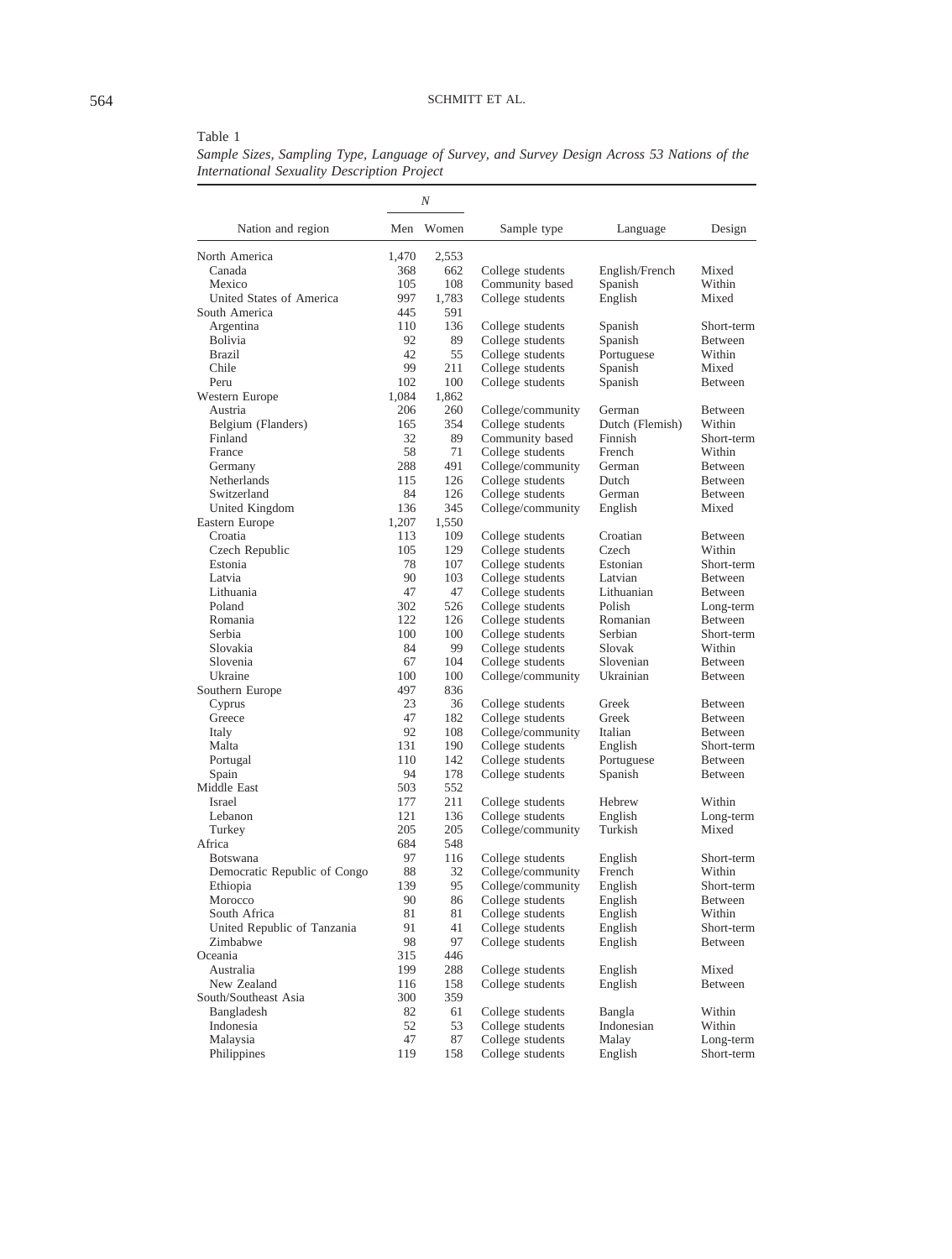| I<br>× | v.<br>۰,<br>٠ |  |
|--------|---------------|--|

*Sample Sizes, Sampling Type, Language of Survey, and Survey Design Across 53 Nations of the International Sexuality Description Project*

|                              |       | N         |                   |                 |            |
|------------------------------|-------|-----------|-------------------|-----------------|------------|
| Nation and region            |       | Men Women | Sample type       | Language        | Design     |
| North America                | 1,470 | 2,553     |                   |                 |            |
| Canada                       | 368   | 662       | College students  | English/French  | Mixed      |
| Mexico                       | 105   | 108       | Community based   | Spanish         | Within     |
| United States of America     | 997   | 1,783     | College students  | English         | Mixed      |
| South America                | 445   | 591       |                   |                 |            |
| Argentina                    | 110   | 136       | College students  | Spanish         | Short-term |
| Bolivia                      | 92    | 89        | College students  | Spanish         | Between    |
| <b>Brazil</b>                | 42    | 55        | College students  | Portuguese      | Within     |
| Chile                        | 99    | 211       | College students  | Spanish         | Mixed      |
| Peru                         | 102   | 100       | College students  | Spanish         | Between    |
| Western Europe               | 1,084 | 1,862     |                   |                 |            |
| Austria                      | 206   | 260       | College/community | German          | Between    |
| Belgium (Flanders)           | 165   | 354       | College students  | Dutch (Flemish) | Within     |
| Finland                      | 32    | 89        | Community based   | Finnish         | Short-term |
| France                       | 58    | 71        | College students  | French          | Within     |
| Germany                      | 288   | 491       | College/community | German          | Between    |
| Netherlands                  | 115   | 126       | College students  | Dutch           | Between    |
| Switzerland                  | 84    | 126       | College students  | German          | Between    |
| United Kingdom               | 136   | 345       | College/community | English         | Mixed      |
| Eastern Europe               | 1,207 | 1,550     |                   |                 |            |
| Croatia                      | 113   | 109       | College students  | Croatian        | Between    |
| Czech Republic               | 105   | 129       | College students  | Czech           | Within     |
| Estonia                      | 78    | 107       | College students  | Estonian        | Short-term |
| Latvia                       | 90    | 103       | College students  | Latvian         | Between    |
| Lithuania                    | 47    | 47        | College students  | Lithuanian      | Between    |
| Poland                       | 302   | 526       | College students  | Polish          | Long-term  |
| Romania                      | 122   | 126       | College students  | Romanian        | Between    |
| Serbia                       | 100   | 100       | College students  | Serbian         | Short-term |
| Slovakia                     | 84    | 99        | College students  | Slovak          | Within     |
| Slovenia                     | 67    | 104       | College students  | Slovenian       | Between    |
| Ukraine                      | 100   | 100       | College/community | Ukrainian       | Between    |
| Southern Europe              | 497   | 836       |                   |                 |            |
| Cyprus                       | 23    | 36        | College students  | Greek           | Between    |
| Greece                       | 47    | 182       | College students  | Greek           | Between    |
| Italy                        | 92    | 108       | College/community | Italian         | Between    |
| Malta                        | 131   | 190       | College students  | English         | Short-term |
| Portugal                     | 110   | 142       | College students  | Portuguese      | Between    |
| Spain                        | 94    | 178       | College students  | Spanish         | Between    |
| Middle East                  | 503   | 552       |                   |                 |            |
| Israel                       | 177   | 211       | College students  | Hebrew          | Within     |
| Lebanon                      | 121   | 136       | College students  | English         | Long-term  |
| Turkey                       | 205   | 205       | College/community | Turkish         | Mixed      |
| Africa                       | 684   | 548       |                   |                 |            |
| Botswana                     | 97    | 116       | College students  | English         | Short-term |
| Democratic Republic of Congo | 88    | 32        | College/community | French          | Within     |
| Ethiopia                     | 139   | 95        | College/community | English         | Short-term |
| Morocco                      | 90    | 86        | College students  | English         | Between    |
| South Africa                 | 81    | 81        | College students  | English         | Within     |
| United Republic of Tanzania  | 91    | 41        | College students  | English         | Short-term |
| Zimbabwe                     | 98    | 97        | College students  | English         | Between    |
| Oceania                      | 315   | 446       |                   |                 |            |
| Australia                    | 199   | 288       | College students  | English         | Mixed      |
| New Zealand                  | 116   | 158       | College students  | English         | Between    |
| South/Southeast Asia         | 300   | 359       |                   |                 |            |
| Bangladesh                   | 82    | 61        | College students  | Bangla          | Within     |
| Indonesia                    | 52    | 53        | College students  | Indonesian      | Within     |
| Malaysia                     | 47    | 87        | College students  | Malay           | Long-term  |
| Philippines                  | 119   | 158       | College students  | English         | Short-term |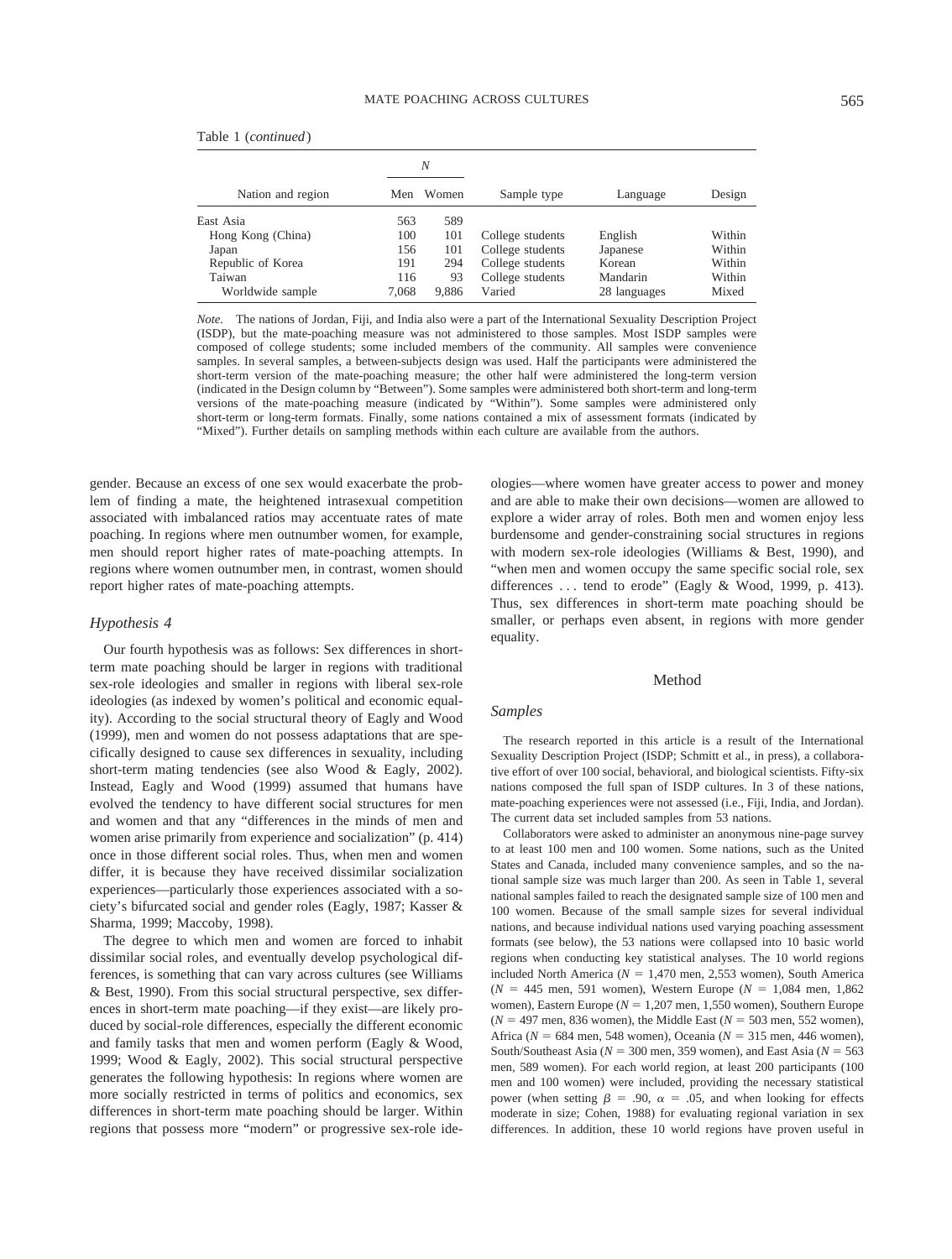|  | Table 1 ( <i>continued</i> ) |
|--|------------------------------|
|--|------------------------------|

|                   |       | N     |                  |              |        |
|-------------------|-------|-------|------------------|--------------|--------|
| Nation and region | Men   | Women | Sample type      | Language     | Design |
| East Asia         | 563   | 589   |                  |              |        |
| Hong Kong (China) | 100   | 101   | College students | English      | Within |
| Japan             | 156   | 101   | College students | Japanese     | Within |
| Republic of Korea | 191   | 294   | College students | Korean       | Within |
| Taiwan            | 116   | 93    | College students | Mandarin     | Within |
| Worldwide sample  | 7.068 | 9.886 | Varied           | 28 languages | Mixed  |

*Note.* The nations of Jordan, Fiji, and India also were a part of the International Sexuality Description Project (ISDP), but the mate-poaching measure was not administered to those samples. Most ISDP samples were composed of college students; some included members of the community. All samples were convenience samples. In several samples, a between-subjects design was used. Half the participants were administered the short-term version of the mate-poaching measure; the other half were administered the long-term version (indicated in the Design column by "Between"). Some samples were administered both short-term and long-term versions of the mate-poaching measure (indicated by "Within"). Some samples were administered only short-term or long-term formats. Finally, some nations contained a mix of assessment formats (indicated by "Mixed"). Further details on sampling methods within each culture are available from the authors.

gender. Because an excess of one sex would exacerbate the problem of finding a mate, the heightened intrasexual competition associated with imbalanced ratios may accentuate rates of mate poaching. In regions where men outnumber women, for example, men should report higher rates of mate-poaching attempts. In regions where women outnumber men, in contrast, women should report higher rates of mate-poaching attempts.

#### *Hypothesis 4*

Our fourth hypothesis was as follows: Sex differences in shortterm mate poaching should be larger in regions with traditional sex-role ideologies and smaller in regions with liberal sex-role ideologies (as indexed by women's political and economic equality). According to the social structural theory of Eagly and Wood (1999), men and women do not possess adaptations that are specifically designed to cause sex differences in sexuality, including short-term mating tendencies (see also Wood & Eagly, 2002). Instead, Eagly and Wood (1999) assumed that humans have evolved the tendency to have different social structures for men and women and that any "differences in the minds of men and women arise primarily from experience and socialization" (p. 414) once in those different social roles. Thus, when men and women differ, it is because they have received dissimilar socialization experiences—particularly those experiences associated with a society's bifurcated social and gender roles (Eagly, 1987; Kasser & Sharma, 1999; Maccoby, 1998).

The degree to which men and women are forced to inhabit dissimilar social roles, and eventually develop psychological differences, is something that can vary across cultures (see Williams & Best, 1990). From this social structural perspective, sex differences in short-term mate poaching—if they exist—are likely produced by social-role differences, especially the different economic and family tasks that men and women perform (Eagly & Wood, 1999; Wood & Eagly, 2002). This social structural perspective generates the following hypothesis: In regions where women are more socially restricted in terms of politics and economics, sex differences in short-term mate poaching should be larger. Within regions that possess more "modern" or progressive sex-role ideologies—where women have greater access to power and money and are able to make their own decisions—women are allowed to explore a wider array of roles. Both men and women enjoy less burdensome and gender-constraining social structures in regions with modern sex-role ideologies (Williams & Best, 1990), and "when men and women occupy the same specific social role, sex differences ... tend to erode" (Eagly & Wood, 1999, p. 413). Thus, sex differences in short-term mate poaching should be smaller, or perhaps even absent, in regions with more gender equality.

### Method

#### *Samples*

The research reported in this article is a result of the International Sexuality Description Project (ISDP; Schmitt et al., in press), a collaborative effort of over 100 social, behavioral, and biological scientists. Fifty-six nations composed the full span of ISDP cultures. In 3 of these nations, mate-poaching experiences were not assessed (i.e., Fiji, India, and Jordan). The current data set included samples from 53 nations.

Collaborators were asked to administer an anonymous nine-page survey to at least 100 men and 100 women. Some nations, such as the United States and Canada, included many convenience samples, and so the national sample size was much larger than 200. As seen in Table 1, several national samples failed to reach the designated sample size of 100 men and 100 women. Because of the small sample sizes for several individual nations, and because individual nations used varying poaching assessment formats (see below), the 53 nations were collapsed into 10 basic world regions when conducting key statistical analyses. The 10 world regions included North America ( $N = 1,470$  men, 2,553 women), South America  $(N = 445 \text{ men}, 591 \text{ women})$ , Western Europe  $(N = 1,084 \text{ men}, 1,862 \text{ mm})$ women), Eastern Europe ( $N = 1,207$  men, 1,550 women), Southern Europe  $(N = 497 \text{ men}, 836 \text{ women})$ , the Middle East  $(N = 503 \text{ men}, 552 \text{ women})$ . Africa ( $N = 684$  men, 548 women), Oceania ( $N = 315$  men, 446 women), South/Southeast Asia ( $N = 300$  men, 359 women), and East Asia ( $N = 563$ men, 589 women). For each world region, at least 200 participants (100 men and 100 women) were included, providing the necessary statistical power (when setting  $\beta = .90$ ,  $\alpha = .05$ , and when looking for effects moderate in size; Cohen, 1988) for evaluating regional variation in sex differences. In addition, these 10 world regions have proven useful in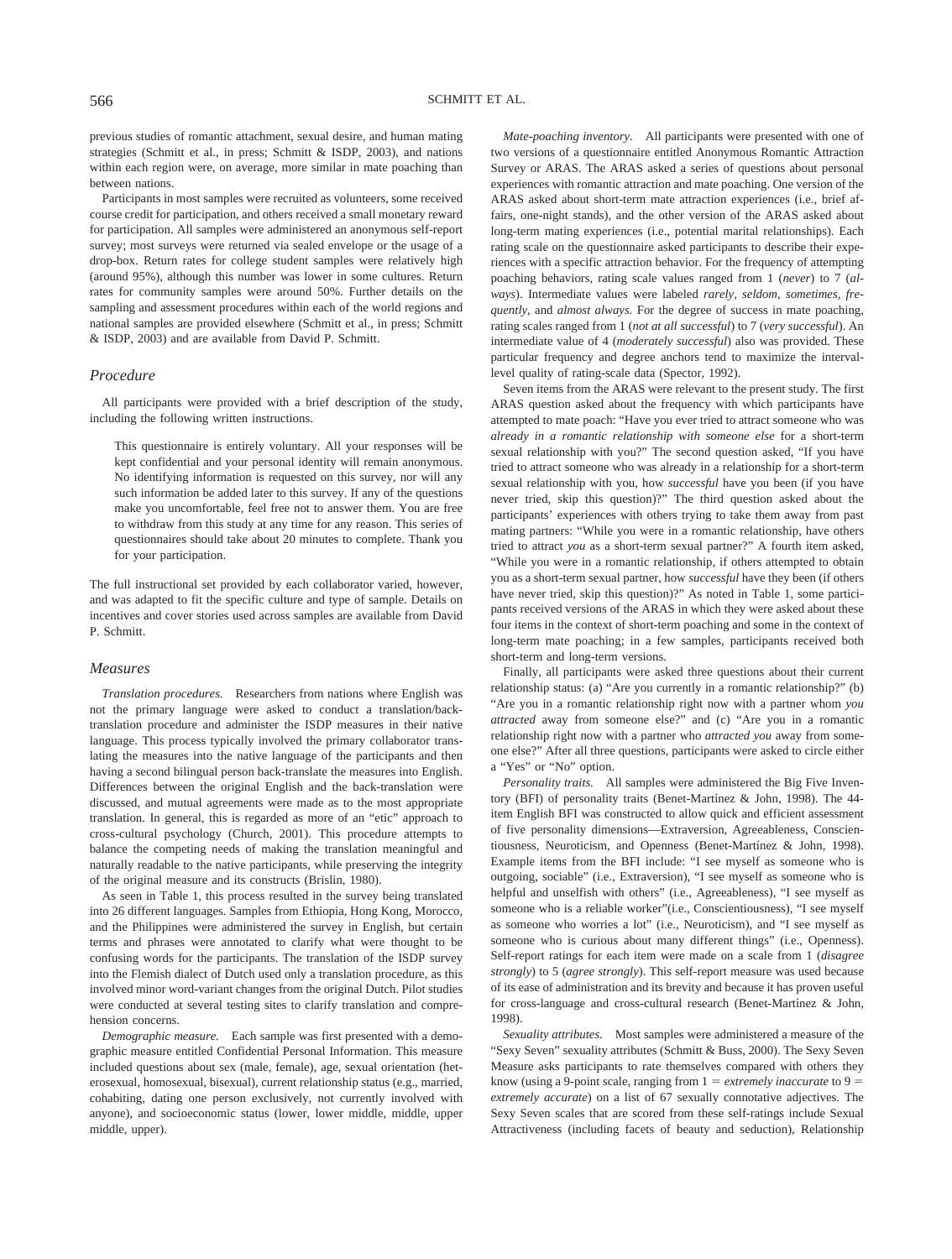previous studies of romantic attachment, sexual desire, and human mating strategies (Schmitt et al., in press; Schmitt & ISDP, 2003), and nations within each region were, on average, more similar in mate poaching than between nations.

Participants in most samples were recruited as volunteers, some received course credit for participation, and others received a small monetary reward for participation. All samples were administered an anonymous self-report survey; most surveys were returned via sealed envelope or the usage of a drop-box. Return rates for college student samples were relatively high (around 95%), although this number was lower in some cultures. Return rates for community samples were around 50%. Further details on the sampling and assessment procedures within each of the world regions and national samples are provided elsewhere (Schmitt et al., in press; Schmitt & ISDP, 2003) and are available from David P. Schmitt.

#### *Procedure*

All participants were provided with a brief description of the study, including the following written instructions.

This questionnaire is entirely voluntary. All your responses will be kept confidential and your personal identity will remain anonymous. No identifying information is requested on this survey, nor will any such information be added later to this survey. If any of the questions make you uncomfortable, feel free not to answer them. You are free to withdraw from this study at any time for any reason. This series of questionnaires should take about 20 minutes to complete. Thank you for your participation.

The full instructional set provided by each collaborator varied, however, and was adapted to fit the specific culture and type of sample. Details on incentives and cover stories used across samples are available from David P. Schmitt.

#### *Measures*

*Translation procedures.* Researchers from nations where English was not the primary language were asked to conduct a translation/backtranslation procedure and administer the ISDP measures in their native language. This process typically involved the primary collaborator translating the measures into the native language of the participants and then having a second bilingual person back-translate the measures into English. Differences between the original English and the back-translation were discussed, and mutual agreements were made as to the most appropriate translation. In general, this is regarded as more of an "etic" approach to cross-cultural psychology (Church, 2001). This procedure attempts to balance the competing needs of making the translation meaningful and naturally readable to the native participants, while preserving the integrity of the original measure and its constructs (Brislin, 1980).

As seen in Table 1, this process resulted in the survey being translated into 26 different languages. Samples from Ethiopia, Hong Kong, Morocco, and the Philippines were administered the survey in English, but certain terms and phrases were annotated to clarify what were thought to be confusing words for the participants. The translation of the ISDP survey into the Flemish dialect of Dutch used only a translation procedure, as this involved minor word-variant changes from the original Dutch. Pilot studies were conducted at several testing sites to clarify translation and comprehension concerns.

*Demographic measure.* Each sample was first presented with a demographic measure entitled Confidential Personal Information. This measure included questions about sex (male, female), age, sexual orientation (heterosexual, homosexual, bisexual), current relationship status (e.g., married, cohabiting, dating one person exclusively, not currently involved with anyone), and socioeconomic status (lower, lower middle, middle, upper middle, upper).

*Mate-poaching inventory.* All participants were presented with one of two versions of a questionnaire entitled Anonymous Romantic Attraction Survey or ARAS. The ARAS asked a series of questions about personal experiences with romantic attraction and mate poaching. One version of the ARAS asked about short-term mate attraction experiences (i.e., brief affairs, one-night stands), and the other version of the ARAS asked about long-term mating experiences (i.e., potential marital relationships). Each rating scale on the questionnaire asked participants to describe their experiences with a specific attraction behavior. For the frequency of attempting poaching behaviors, rating scale values ranged from 1 (*never*) to 7 (*always*). Intermediate values were labeled *rarely, seldom, sometimes, frequently,* and *almost always.* For the degree of success in mate poaching, rating scales ranged from 1 (*not at all successful*) to 7 (*very successful*). An intermediate value of 4 (*moderately successful*) also was provided. These particular frequency and degree anchors tend to maximize the intervallevel quality of rating-scale data (Spector, 1992).

Seven items from the ARAS were relevant to the present study. The first ARAS question asked about the frequency with which participants have attempted to mate poach: "Have you ever tried to attract someone who was *already in a romantic relationship with someone else* for a short-term sexual relationship with you?" The second question asked, "If you have tried to attract someone who was already in a relationship for a short-term sexual relationship with you, how *successful* have you been (if you have never tried, skip this question)?" The third question asked about the participants' experiences with others trying to take them away from past mating partners: "While you were in a romantic relationship, have others tried to attract *you* as a short-term sexual partner?" A fourth item asked, "While you were in a romantic relationship, if others attempted to obtain you as a short-term sexual partner, how *successful* have they been (if others have never tried, skip this question)?" As noted in Table 1, some participants received versions of the ARAS in which they were asked about these four items in the context of short-term poaching and some in the context of long-term mate poaching; in a few samples, participants received both short-term and long-term versions.

Finally, all participants were asked three questions about their current relationship status: (a) "Are you currently in a romantic relationship?" (b) "Are you in a romantic relationship right now with a partner whom *you attracted* away from someone else?" and (c) "Are you in a romantic relationship right now with a partner who *attracted you* away from someone else?" After all three questions, participants were asked to circle either a "Yes" or "No" option.

*Personality traits.* All samples were administered the Big Five Inventory (BFI) of personality traits (Benet-Martínez  $&$  John, 1998). The 44item English BFI was constructed to allow quick and efficient assessment of five personality dimensions—Extraversion, Agreeableness, Conscientiousness, Neuroticism, and Openness (Benet-Martínez & John, 1998). Example items from the BFI include: "I see myself as someone who is outgoing, sociable" (i.e., Extraversion), "I see myself as someone who is helpful and unselfish with others" (i.e., Agreeableness), "I see myself as someone who is a reliable worker"(i.e., Conscientiousness), "I see myself as someone who worries a lot" (i.e., Neuroticism), and "I see myself as someone who is curious about many different things" (i.e., Openness). Self-report ratings for each item were made on a scale from 1 (*disagree strongly*) to 5 (*agree strongly*). This self-report measure was used because of its ease of administration and its brevity and because it has proven useful for cross-language and cross-cultural research (Benet-Martínez & John, 1998).

*Sexuality attributes.* Most samples were administered a measure of the "Sexy Seven" sexuality attributes (Schmitt & Buss, 2000). The Sexy Seven Measure asks participants to rate themselves compared with others they know (using a 9-point scale, ranging from  $1 =$  *extremely inaccurate* to  $9 =$ *extremely accurate*) on a list of 67 sexually connotative adjectives. The Sexy Seven scales that are scored from these self-ratings include Sexual Attractiveness (including facets of beauty and seduction), Relationship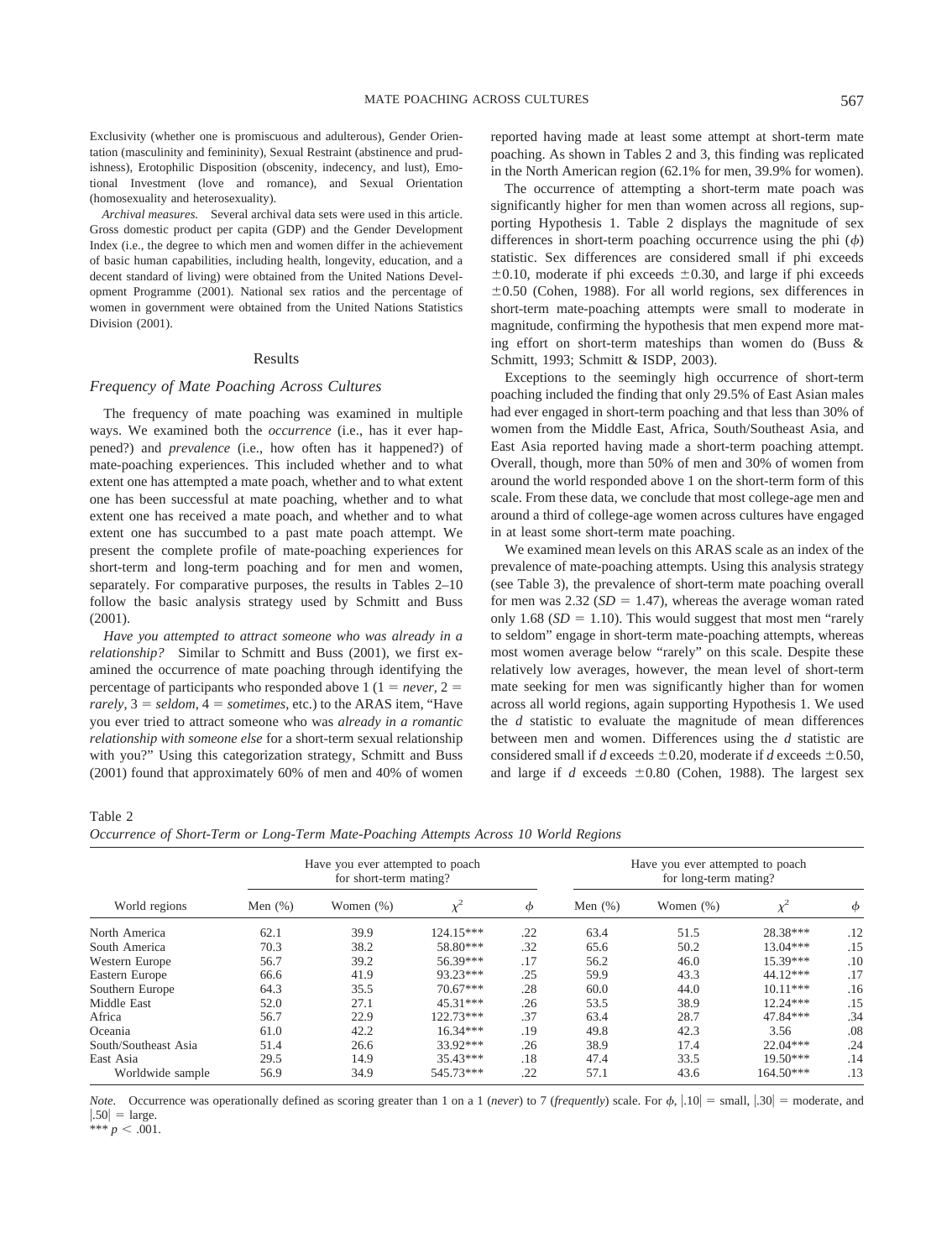Exclusivity (whether one is promiscuous and adulterous), Gender Orientation (masculinity and femininity), Sexual Restraint (abstinence and prudishness), Erotophilic Disposition (obscenity, indecency, and lust), Emotional Investment (love and romance), and Sexual Orientation (homosexuality and heterosexuality).

*Archival measures.* Several archival data sets were used in this article. Gross domestic product per capita (GDP) and the Gender Development Index (i.e., the degree to which men and women differ in the achievement of basic human capabilities, including health, longevity, education, and a decent standard of living) were obtained from the United Nations Development Programme (2001). National sex ratios and the percentage of women in government were obtained from the United Nations Statistics Division (2001).

#### Results

#### *Frequency of Mate Poaching Across Cultures*

The frequency of mate poaching was examined in multiple ways. We examined both the *occurrence* (i.e., has it ever happened?) and *prevalence* (i.e., how often has it happened?) of mate-poaching experiences. This included whether and to what extent one has attempted a mate poach, whether and to what extent one has been successful at mate poaching, whether and to what extent one has received a mate poach, and whether and to what extent one has succumbed to a past mate poach attempt. We present the complete profile of mate-poaching experiences for short-term and long-term poaching and for men and women, separately. For comparative purposes, the results in Tables 2–10 follow the basic analysis strategy used by Schmitt and Buss (2001).

*Have you attempted to attract someone who was already in a relationship?* Similar to Schmitt and Buss (2001), we first examined the occurrence of mate poaching through identifying the percentage of participants who responded above  $1(1 = never, 2 = 1)$  $rarely, 3 = seldom, 4 = sometimes, etc.)$  to the ARAS item, "Have you ever tried to attract someone who was *already in a romantic relationship with someone else* for a short-term sexual relationship with you?" Using this categorization strategy, Schmitt and Buss (2001) found that approximately 60% of men and 40% of women reported having made at least some attempt at short-term mate poaching. As shown in Tables 2 and 3, this finding was replicated in the North American region (62.1% for men, 39.9% for women).

The occurrence of attempting a short-term mate poach was significantly higher for men than women across all regions, supporting Hypothesis 1. Table 2 displays the magnitude of sex differences in short-term poaching occurrence using the phi  $(\phi)$ statistic. Sex differences are considered small if phi exceeds  $\pm 0.10$ , moderate if phi exceeds  $\pm 0.30$ , and large if phi exceeds  $\pm 0.50$  (Cohen, 1988). For all world regions, sex differences in short-term mate-poaching attempts were small to moderate in magnitude, confirming the hypothesis that men expend more mating effort on short-term mateships than women do (Buss & Schmitt, 1993; Schmitt & ISDP, 2003).

Exceptions to the seemingly high occurrence of short-term poaching included the finding that only 29.5% of East Asian males had ever engaged in short-term poaching and that less than 30% of women from the Middle East, Africa, South/Southeast Asia, and East Asia reported having made a short-term poaching attempt. Overall, though, more than 50% of men and 30% of women from around the world responded above 1 on the short-term form of this scale. From these data, we conclude that most college-age men and around a third of college-age women across cultures have engaged in at least some short-term mate poaching.

We examined mean levels on this ARAS scale as an index of the prevalence of mate-poaching attempts. Using this analysis strategy (see Table 3), the prevalence of short-term mate poaching overall for men was  $2.32$  ( $SD = 1.47$ ), whereas the average woman rated only 1.68 ( $SD = 1.10$ ). This would suggest that most men "rarely to seldom" engage in short-term mate-poaching attempts, whereas most women average below "rarely" on this scale. Despite these relatively low averages, however, the mean level of short-term mate seeking for men was significantly higher than for women across all world regions, again supporting Hypothesis 1. We used the *d* statistic to evaluate the magnitude of mean differences between men and women. Differences using the *d* statistic are considered small if *d* exceeds  $\pm 0.20$ , moderate if *d* exceeds  $\pm 0.50$ , and large if  $d$  exceeds  $\pm 0.80$  (Cohen, 1988). The largest sex

Table 2

*Occurrence of Short-Term or Long-Term Mate-Poaching Attempts Across 10 World Regions*

|                      |             | Have you ever attempted to poach<br>for short-term mating? |             | Have you ever attempted to poach<br>for long-term mating? |            |              |             |        |  |
|----------------------|-------------|------------------------------------------------------------|-------------|-----------------------------------------------------------|------------|--------------|-------------|--------|--|
| World regions        | Men $(\% )$ | Women $(\%)$                                               | $\chi^2$    | $\phi$                                                    | Men $(\%)$ | Women $(\%)$ |             | $\phi$ |  |
| North America        | 62.1        | 39.9                                                       | $124.15***$ | .22                                                       | 63.4       | 51.5         | 28.38***    | .12    |  |
| South America        | 70.3        | 38.2                                                       | 58.80***    | .32                                                       | 65.6       | 50.2         | $13.04***$  | .15    |  |
| Western Europe       | 56.7        | 39.2                                                       | 56.39***    | .17                                                       | 56.2       | 46.0         | 15.39***    | .10    |  |
| Eastern Europe       | 66.6        | 41.9                                                       | 93.23***    | .25                                                       | 59.9       | 43.3         | 44.12***    | .17    |  |
| Southern Europe      | 64.3        | 35.5                                                       | $70.67***$  | .28                                                       | 60.0       | 44.0         | $10.11***$  | .16    |  |
| Middle East          | 52.0        | 27.1                                                       | $45.31***$  | .26                                                       | 53.5       | 38.9         | $12.24***$  | .15    |  |
| Africa               | 56.7        | 22.9                                                       | $122.73***$ | .37                                                       | 63.4       | 28.7         | 47.84***    | .34    |  |
| Oceania              | 61.0        | 42.2                                                       | $16.34***$  | .19                                                       | 49.8       | 42.3         | 3.56        | .08    |  |
| South/Southeast Asia | 51.4        | 26.6                                                       | 33.92***    | .26                                                       | 38.9       | 17.4         | $22.04***$  | .24    |  |
| East Asia            | 29.5        | 14.9                                                       | $35.43***$  | .18                                                       | 47.4       | 33.5         | $19.50***$  | .14    |  |
| Worldwide sample     | 56.9        | 34.9                                                       | 545.73***   | .22                                                       | 57.1       | 43.6         | $164.50***$ | .13    |  |

*Note.* Occurrence was operationally defined as scoring greater than 1 on a 1 (*never*) to 7 (*frequently*) scale. For  $\phi$ ,  $|.10|$  = small,  $|.30|$  = moderate, and  $|.50| = \text{large.}$ 

\*\*\*  $p < .001$ .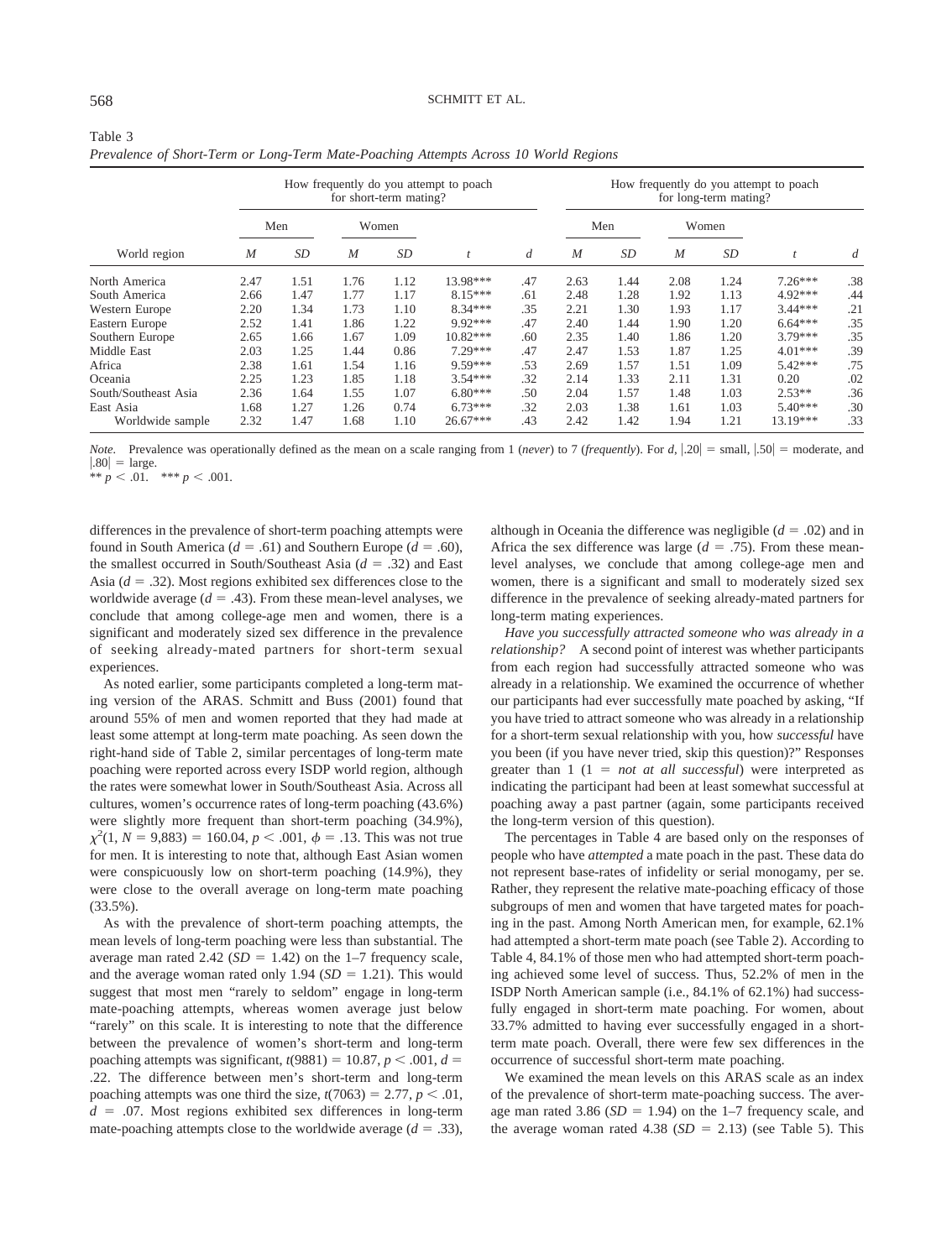Table 3

|                      |      |      |                  | for short-term mating? | How frequently do you attempt to poach |     | How frequently do you attempt to poach<br>for long-term mating? |      |                  |      |           |     |
|----------------------|------|------|------------------|------------------------|----------------------------------------|-----|-----------------------------------------------------------------|------|------------------|------|-----------|-----|
|                      |      | Men  | Women            |                        |                                        |     | Men                                                             |      | Women            |      |           |     |
| World region         | M    | SD   | $\boldsymbol{M}$ | SD                     |                                        | d   | $\boldsymbol{M}$                                                | SD   | $\boldsymbol{M}$ | SD   | t         | d   |
| North America        | 2.47 | 1.51 | 1.76             | 1.12                   | 13.98***                               | .47 | 2.63                                                            | 1.44 | 2.08             | 1.24 | $7.26***$ | .38 |
| South America        | 2.66 | 1.47 | 1.77             | 1.17                   | $8.15***$                              | .61 | 2.48                                                            | 1.28 | 1.92             | 1.13 | $4.92***$ | .44 |
| Western Europe       | 2.20 | 1.34 | 1.73             | 1.10                   | $8.34***$                              | .35 | 2.21                                                            | 1.30 | 1.93             | 1.17 | $3.44***$ | .21 |
| Eastern Europe       | 2.52 | 1.41 | 1.86             | 1.22                   | 9.92***                                | .47 | 2.40                                                            | 1.44 | 1.90             | 1.20 | $6.64***$ | .35 |
| Southern Europe      | 2.65 | 1.66 | 1.67             | 1.09                   | $10.82***$                             | .60 | 2.35                                                            | 1.40 | 1.86             | 1.20 | $3.79***$ | .35 |
| Middle East          | 2.03 | 1.25 | 1.44             | 0.86                   | $7.29***$                              | .47 | 2.47                                                            | 1.53 | 1.87             | 1.25 | $4.01***$ | .39 |
| Africa               | 2.38 | 1.61 | 1.54             | 1.16                   | 9.59***                                | .53 | 2.69                                                            | 1.57 | 1.51             | 1.09 | $5.42***$ | .75 |
| Oceania              | 2.25 | 1.23 | 1.85             | 1.18                   | $3.54***$                              | .32 | 2.14                                                            | 1.33 | 2.11             | 1.31 | 0.20      | .02 |
| South/Southeast Asia | 2.36 | 1.64 | 1.55             | 1.07                   | $6.80***$                              | .50 | 2.04                                                            | 1.57 | 1.48             | 1.03 | $2.53**$  | .36 |
| East Asia            | 1.68 | 1.27 | 1.26             | 0.74                   | $6.73***$                              | .32 | 2.03                                                            | 1.38 | 1.61             | 1.03 | $5.40***$ | .30 |
| Worldwide sample     | 2.32 | 1.47 | 1.68             | 1.10                   | $26.67***$                             | .43 | 2.42                                                            | 1.42 | 1.94             | 1.21 | 13.19***  | .33 |

*Prevalence of Short-Term or Long-Term Mate-Poaching Attempts Across 10 World Regions*

*Note.* Prevalence was operationally defined as the mean on a scale ranging from 1 (*never*) to 7 (*frequently*). For *d*,  $|.20|$  = small,  $|.50|$  = moderate, and  $|.80| = \text{large}.$ 

\*\*  $p < .01.$  \*\*\*  $p < .001.$ 

differences in the prevalence of short-term poaching attempts were found in South America ( $d = .61$ ) and Southern Europe ( $d = .60$ ), the smallest occurred in South/Southeast Asia  $(d = .32)$  and East Asia  $(d = .32)$ . Most regions exhibited sex differences close to the worldwide average  $(d = .43)$ . From these mean-level analyses, we conclude that among college-age men and women, there is a significant and moderately sized sex difference in the prevalence of seeking already-mated partners for short-term sexual experiences.

As noted earlier, some participants completed a long-term mating version of the ARAS. Schmitt and Buss (2001) found that around 55% of men and women reported that they had made at least some attempt at long-term mate poaching. As seen down the right-hand side of Table 2, similar percentages of long-term mate poaching were reported across every ISDP world region, although the rates were somewhat lower in South/Southeast Asia. Across all cultures, women's occurrence rates of long-term poaching (43.6%) were slightly more frequent than short-term poaching (34.9%),  $\chi^2(1, N = 9,883) = 160.04, p < .001, \phi = .13$ . This was not true for men. It is interesting to note that, although East Asian women were conspicuously low on short-term poaching (14.9%), they were close to the overall average on long-term mate poaching (33.5%).

As with the prevalence of short-term poaching attempts, the mean levels of long-term poaching were less than substantial. The average man rated 2.42 ( $SD = 1.42$ ) on the 1–7 frequency scale, and the average woman rated only  $1.94$  (*SD* = 1.21). This would suggest that most men "rarely to seldom" engage in long-term mate-poaching attempts, whereas women average just below "rarely" on this scale. It is interesting to note that the difference between the prevalence of women's short-term and long-term poaching attempts was significant,  $t(9881) = 10.87$ ,  $p < .001$ ,  $d =$ .22. The difference between men's short-term and long-term poaching attempts was one third the size,  $t(7063) = 2.77$ ,  $p < .01$ ,  $d = .07$ . Most regions exhibited sex differences in long-term mate-poaching attempts close to the worldwide average  $(d = .33)$ , although in Oceania the difference was negligible  $(d = .02)$  and in Africa the sex difference was large  $(d = .75)$ . From these meanlevel analyses, we conclude that among college-age men and women, there is a significant and small to moderately sized sex difference in the prevalence of seeking already-mated partners for long-term mating experiences.

*Have you successfully attracted someone who was already in a relationship?* A second point of interest was whether participants from each region had successfully attracted someone who was already in a relationship. We examined the occurrence of whether our participants had ever successfully mate poached by asking, "If you have tried to attract someone who was already in a relationship for a short-term sexual relationship with you, how *successful* have you been (if you have never tried, skip this question)?" Responses greater than  $1(1 = not at all successful)$  were interpreted as indicating the participant had been at least somewhat successful at poaching away a past partner (again, some participants received the long-term version of this question).

The percentages in Table 4 are based only on the responses of people who have *attempted* a mate poach in the past. These data do not represent base-rates of infidelity or serial monogamy, per se. Rather, they represent the relative mate-poaching efficacy of those subgroups of men and women that have targeted mates for poaching in the past. Among North American men, for example, 62.1% had attempted a short-term mate poach (see Table 2). According to Table 4, 84.1% of those men who had attempted short-term poaching achieved some level of success. Thus, 52.2% of men in the ISDP North American sample (i.e., 84.1% of 62.1%) had successfully engaged in short-term mate poaching. For women, about 33.7% admitted to having ever successfully engaged in a shortterm mate poach. Overall, there were few sex differences in the occurrence of successful short-term mate poaching.

We examined the mean levels on this ARAS scale as an index of the prevalence of short-term mate-poaching success. The average man rated 3.86 ( $SD = 1.94$ ) on the 1–7 frequency scale, and the average woman rated  $4.38$  (*SD* = 2.13) (see Table 5). This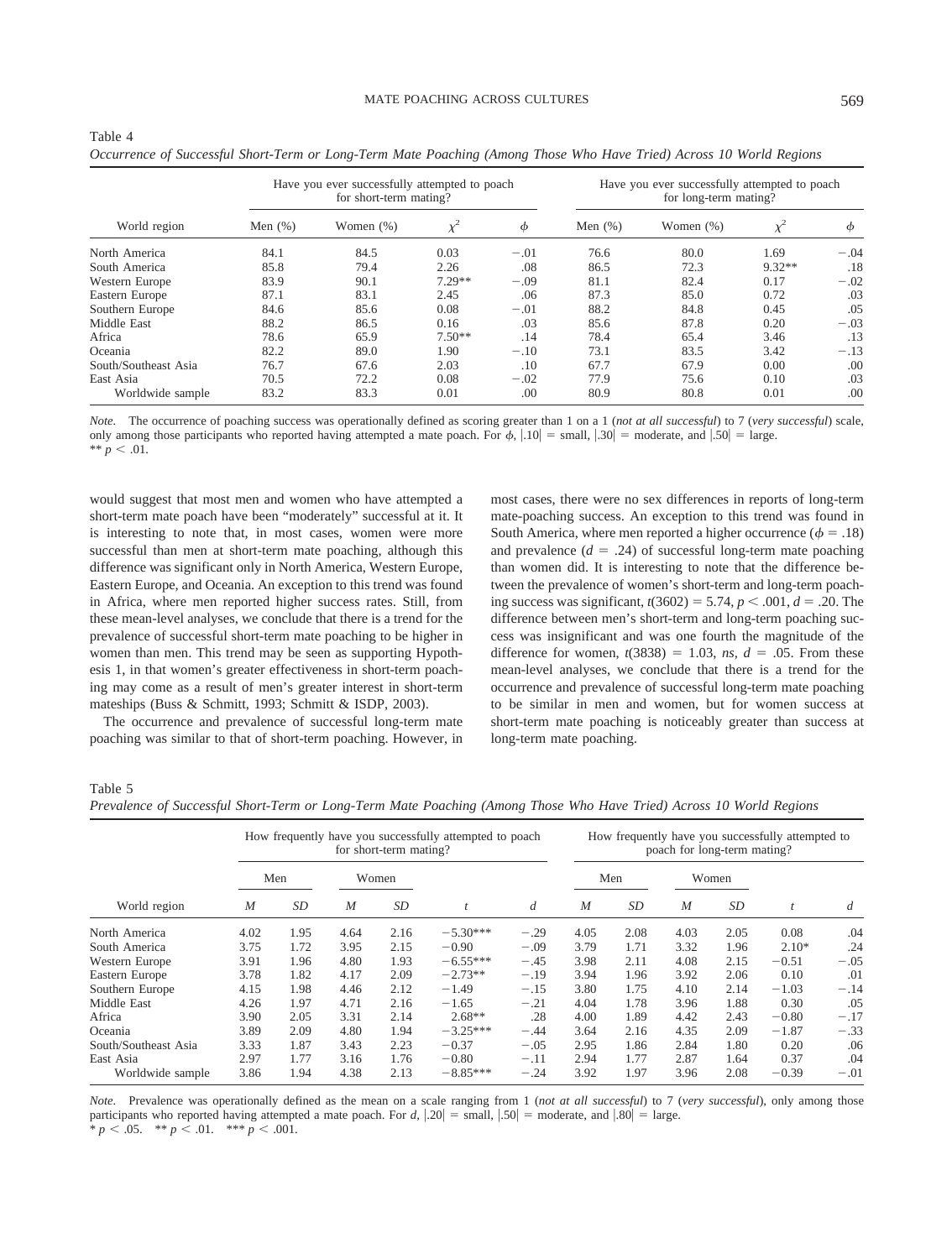|                      |            | Have you ever successfully attempted to poach<br>for short-term mating? |          | Have you ever successfully attempted to poach<br>for long-term mating? |             |              |          |        |  |
|----------------------|------------|-------------------------------------------------------------------------|----------|------------------------------------------------------------------------|-------------|--------------|----------|--------|--|
| World region         | Men $(\%)$ | Women $(\%)$                                                            | $\chi^2$ | $\phi$                                                                 | Men $(\% )$ | Women $(\%)$ | $\chi^2$ | $\phi$ |  |
| North America        | 84.1       | 84.5                                                                    | 0.03     | $-.01$                                                                 | 76.6        | 80.0         | 1.69     | $-.04$ |  |
| South America        | 85.8       | 79.4                                                                    | 2.26     | .08                                                                    | 86.5        | 72.3         | $9.32**$ | .18    |  |
| Western Europe       | 83.9       | 90.1                                                                    | $7.29**$ | $-.09$                                                                 | 81.1        | 82.4         | 0.17     | $-.02$ |  |
| Eastern Europe       | 87.1       | 83.1                                                                    | 2.45     | .06                                                                    | 87.3        | 85.0         | 0.72     | .03    |  |
| Southern Europe      | 84.6       | 85.6                                                                    | 0.08     | $-.01$                                                                 | 88.2        | 84.8         | 0.45     | .05    |  |
| Middle East          | 88.2       | 86.5                                                                    | 0.16     | .03                                                                    | 85.6        | 87.8         | 0.20     | $-.03$ |  |
| Africa               | 78.6       | 65.9                                                                    | $7.50**$ | .14                                                                    | 78.4        | 65.4         | 3.46     | .13    |  |
| Oceania              | 82.2       | 89.0                                                                    | 1.90     | $-.10$                                                                 | 73.1        | 83.5         | 3.42     | $-.13$ |  |
| South/Southeast Asia | 76.7       | 67.6                                                                    | 2.03     | .10                                                                    | 67.7        | 67.9         | 0.00     | .00    |  |
| East Asia            | 70.5       | 72.2                                                                    | 0.08     | $-.02$                                                                 | 77.9        | 75.6         | 0.10     | .03    |  |
| Worldwide sample     | 83.2       | 83.3                                                                    | 0.01     | .00                                                                    | 80.9        | 80.8         | 0.01     | .00    |  |

*Occurrence of Successful Short-Term or Long-Term Mate Poaching (Among Those Who Have Tried) Across 10 World Regions*

*Note.* The occurrence of poaching success was operationally defined as scoring greater than 1 ona1(*not at all successful*) to 7 (*very successful*) scale, only among those participants who reported having attempted a mate poach. For  $\phi$ ,  $|.10| = \text{small}$ ,  $|.30| = \text{moderate}$ , and  $|.50| = \text{large}$ . \*\*  $p < .01$ .

would suggest that most men and women who have attempted a short-term mate poach have been "moderately" successful at it. It is interesting to note that, in most cases, women were more successful than men at short-term mate poaching, although this difference was significant only in North America, Western Europe, Eastern Europe, and Oceania. An exception to this trend was found in Africa, where men reported higher success rates. Still, from these mean-level analyses, we conclude that there is a trend for the prevalence of successful short-term mate poaching to be higher in women than men. This trend may be seen as supporting Hypothesis 1, in that women's greater effectiveness in short-term poaching may come as a result of men's greater interest in short-term mateships (Buss & Schmitt, 1993; Schmitt & ISDP, 2003).

The occurrence and prevalence of successful long-term mate poaching was similar to that of short-term poaching. However, in most cases, there were no sex differences in reports of long-term mate-poaching success. An exception to this trend was found in South America, where men reported a higher occurrence ( $\phi = .18$ ) and prevalence  $(d = .24)$  of successful long-term mate poaching than women did. It is interesting to note that the difference between the prevalence of women's short-term and long-term poaching success was significant,  $t(3602) = 5.74$ ,  $p < .001$ ,  $d = .20$ . The difference between men's short-term and long-term poaching success was insignificant and was one fourth the magnitude of the difference for women,  $t(3838) = 1.03$ , *ns*,  $d = .05$ . From these mean-level analyses, we conclude that there is a trend for the occurrence and prevalence of successful long-term mate poaching to be similar in men and women, but for women success at short-term mate poaching is noticeably greater than success at long-term mate poaching.

Table 5

Table 4

*Prevalence of Successful Short-Term or Long-Term Mate Poaching (Among Those Who Have Tried) Across 10 World Regions*

|                      |                  |           |       | for short-term mating? | How frequently have you successfully attempted to poach |        | How frequently have you successfully attempted to<br>poach for long-term mating? |           |                  |      |         |        |
|----------------------|------------------|-----------|-------|------------------------|---------------------------------------------------------|--------|----------------------------------------------------------------------------------|-----------|------------------|------|---------|--------|
|                      |                  | Men       | Women |                        |                                                         |        | Men                                                                              |           | Women            |      |         |        |
| World region         | $\boldsymbol{M}$ | <b>SD</b> | M     | SD                     | t                                                       | d      | $\boldsymbol{M}$                                                                 | <b>SD</b> | $\boldsymbol{M}$ | SD   |         | d      |
| North America        | 4.02             | 1.95      | 4.64  | 2.16                   | $-5.30***$                                              | $-.29$ | 4.05                                                                             | 2.08      | 4.03             | 2.05 | 0.08    | .04    |
| South America        | 3.75             | 1.72      | 3.95  | 2.15                   | $-0.90$                                                 | $-.09$ | 3.79                                                                             | 1.71      | 3.32             | 1.96 | $2.10*$ | .24    |
| Western Europe       | 3.91             | 1.96      | 4.80  | 1.93                   | $-6.55***$                                              | $-.45$ | 3.98                                                                             | 2.11      | 4.08             | 2.15 | $-0.51$ | $-.05$ |
| Eastern Europe       | 3.78             | 1.82      | 4.17  | 2.09                   | $-2.73**$                                               | $-.19$ | 3.94                                                                             | 1.96      | 3.92             | 2.06 | 0.10    | .01    |
| Southern Europe      | 4.15             | 1.98      | 4.46  | 2.12                   | $-1.49$                                                 | $-.15$ | 3.80                                                                             | 1.75      | 4.10             | 2.14 | $-1.03$ | $-.14$ |
| Middle East          | 4.26             | 1.97      | 4.71  | 2.16                   | $-1.65$                                                 | $-.21$ | 4.04                                                                             | 1.78      | 3.96             | 1.88 | 0.30    | .05    |
| Africa               | 3.90             | 2.05      | 3.31  | 2.14                   | $2.68**$                                                | .28    | 4.00                                                                             | 1.89      | 4.42             | 2.43 | $-0.80$ | $-.17$ |
| Oceania              | 3.89             | 2.09      | 4.80  | 1.94                   | $-3.25***$                                              | $-.44$ | 3.64                                                                             | 2.16      | 4.35             | 2.09 | $-1.87$ | $-.33$ |
| South/Southeast Asia | 3.33             | 1.87      | 3.43  | 2.23                   | $-0.37$                                                 | $-.05$ | 2.95                                                                             | 1.86      | 2.84             | 1.80 | 0.20    | .06    |
| East Asia            | 2.97             | 1.77      | 3.16  | 1.76                   | $-0.80$                                                 | $-.11$ | 2.94                                                                             | 1.77      | 2.87             | 1.64 | 0.37    | .04    |
| Worldwide sample     | 3.86             | 1.94      | 4.38  | 2.13                   | $-8.85***$                                              | $-.24$ | 3.92                                                                             | 1.97      | 3.96             | 2.08 | $-0.39$ | $-.01$ |

*Note.* Prevalence was operationally defined as the mean on a scale ranging from 1 (*not at all successful*) to 7 (*very successful*), only among those participants who reported having attempted a mate poach. For  $d$ ,  $|.20|$  = small,  $|.50|$  = moderate, and  $|.80|$  = large.

 $* p < .05.$  \*\*  $p < .01.$  \*\*\*  $p < .001.$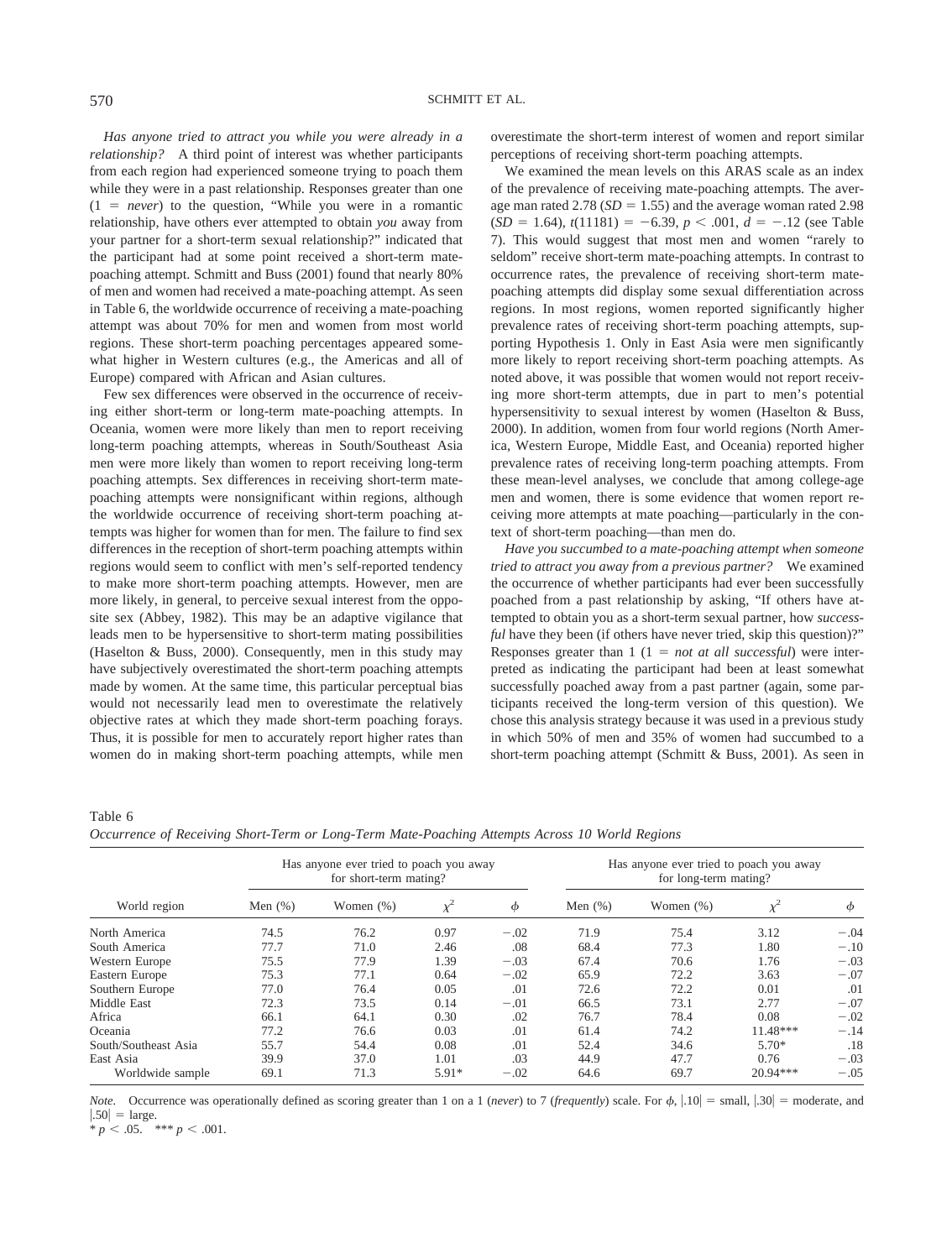*Has anyone tried to attract you while you were already in a relationship?* A third point of interest was whether participants from each region had experienced someone trying to poach them while they were in a past relationship. Responses greater than one  $(1 = never)$  to the question, "While you were in a romantic relationship, have others ever attempted to obtain *you* away from your partner for a short-term sexual relationship?" indicated that the participant had at some point received a short-term matepoaching attempt. Schmitt and Buss (2001) found that nearly 80% of men and women had received a mate-poaching attempt. As seen in Table 6, the worldwide occurrence of receiving a mate-poaching attempt was about 70% for men and women from most world regions. These short-term poaching percentages appeared somewhat higher in Western cultures (e.g., the Americas and all of Europe) compared with African and Asian cultures.

Few sex differences were observed in the occurrence of receiving either short-term or long-term mate-poaching attempts. In Oceania, women were more likely than men to report receiving long-term poaching attempts, whereas in South/Southeast Asia men were more likely than women to report receiving long-term poaching attempts. Sex differences in receiving short-term matepoaching attempts were nonsignificant within regions, although the worldwide occurrence of receiving short-term poaching attempts was higher for women than for men. The failure to find sex differences in the reception of short-term poaching attempts within regions would seem to conflict with men's self-reported tendency to make more short-term poaching attempts. However, men are more likely, in general, to perceive sexual interest from the opposite sex (Abbey, 1982). This may be an adaptive vigilance that leads men to be hypersensitive to short-term mating possibilities (Haselton & Buss, 2000). Consequently, men in this study may have subjectively overestimated the short-term poaching attempts made by women. At the same time, this particular perceptual bias would not necessarily lead men to overestimate the relatively objective rates at which they made short-term poaching forays. Thus, it is possible for men to accurately report higher rates than women do in making short-term poaching attempts, while men

overestimate the short-term interest of women and report similar perceptions of receiving short-term poaching attempts.

We examined the mean levels on this ARAS scale as an index of the prevalence of receiving mate-poaching attempts. The average man rated 2.78 ( $SD = 1.55$ ) and the average woman rated 2.98  $(SD = 1.64)$ ,  $t(11181) = -6.39$ ,  $p < .001$ ,  $d = -.12$  (see Table 7). This would suggest that most men and women "rarely to seldom" receive short-term mate-poaching attempts. In contrast to occurrence rates, the prevalence of receiving short-term matepoaching attempts did display some sexual differentiation across regions. In most regions, women reported significantly higher prevalence rates of receiving short-term poaching attempts, supporting Hypothesis 1. Only in East Asia were men significantly more likely to report receiving short-term poaching attempts. As noted above, it was possible that women would not report receiving more short-term attempts, due in part to men's potential hypersensitivity to sexual interest by women (Haselton & Buss, 2000). In addition, women from four world regions (North America, Western Europe, Middle East, and Oceania) reported higher prevalence rates of receiving long-term poaching attempts. From these mean-level analyses, we conclude that among college-age men and women, there is some evidence that women report receiving more attempts at mate poaching—particularly in the context of short-term poaching—than men do.

*Have you succumbed to a mate-poaching attempt when someone tried to attract you away from a previous partner?* We examined the occurrence of whether participants had ever been successfully poached from a past relationship by asking, "If others have attempted to obtain you as a short-term sexual partner, how *successful* have they been (if others have never tried, skip this question)?" Responses greater than  $1(1 = not at all successful)$  were interpreted as indicating the participant had been at least somewhat successfully poached away from a past partner (again, some participants received the long-term version of this question). We chose this analysis strategy because it was used in a previous study in which 50% of men and 35% of women had succumbed to a short-term poaching attempt (Schmitt & Buss, 2001). As seen in

Table 6

*Occurrence of Receiving Short-Term or Long-Term Mate-Poaching Attempts Across 10 World Regions*

|                      |            | Has anyone ever tried to poach you away<br>for short-term mating? |          |        | Has anyone ever tried to poach you away<br>for long-term mating? |              |            |        |  |  |
|----------------------|------------|-------------------------------------------------------------------|----------|--------|------------------------------------------------------------------|--------------|------------|--------|--|--|
| World region         | Men $(\%)$ | Women $(\%)$                                                      | $\chi^2$ | $\phi$ | Men $(\%)$                                                       | Women $(\%)$ | $\chi^2$   | $\phi$ |  |  |
| North America        | 74.5       | 76.2                                                              | 0.97     | $-.02$ | 71.9                                                             | 75.4         | 3.12       | $-.04$ |  |  |
| South America        | 77.7       | 71.0                                                              | 2.46     | .08    | 68.4                                                             | 77.3         | 1.80       | $-.10$ |  |  |
| Western Europe       | 75.5       | 77.9                                                              | 1.39     | $-.03$ | 67.4                                                             | 70.6         | 1.76       | $-.03$ |  |  |
| Eastern Europe       | 75.3       | 77.1                                                              | 0.64     | $-.02$ | 65.9                                                             | 72.2         | 3.63       | $-.07$ |  |  |
| Southern Europe      | 77.0       | 76.4                                                              | 0.05     | .01    | 72.6                                                             | 72.2         | 0.01       | .01    |  |  |
| Middle East          | 72.3       | 73.5                                                              | 0.14     | $-.01$ | 66.5                                                             | 73.1         | 2.77       | $-.07$ |  |  |
| Africa               | 66.1       | 64.1                                                              | 0.30     | .02    | 76.7                                                             | 78.4         | 0.08       | $-.02$ |  |  |
| Oceania              | 77.2       | 76.6                                                              | 0.03     | .01    | 61.4                                                             | 74.2         | $11.48***$ | $-.14$ |  |  |
| South/Southeast Asia | 55.7       | 54.4                                                              | 0.08     | .01    | 52.4                                                             | 34.6         | $5.70*$    | .18    |  |  |
| East Asia            | 39.9       | 37.0                                                              | 1.01     | .03    | 44.9                                                             | 47.7         | 0.76       | $-.03$ |  |  |
| Worldwide sample     | 69.1       | 71.3                                                              | $5.91*$  | $-.02$ | 64.6                                                             | 69.7         | $20.94***$ | $-.05$ |  |  |

*Note.* Occurrence was operationally defined as scoring greater than 1 on a 1 (*never*) to 7 (*frequently*) scale. For  $\phi$ ,  $|.10|$  = small,  $|.30|$  = moderate, and  $|.50| =$ large.

 $p^* p < .05.$  \*\*\*  $p < .001.$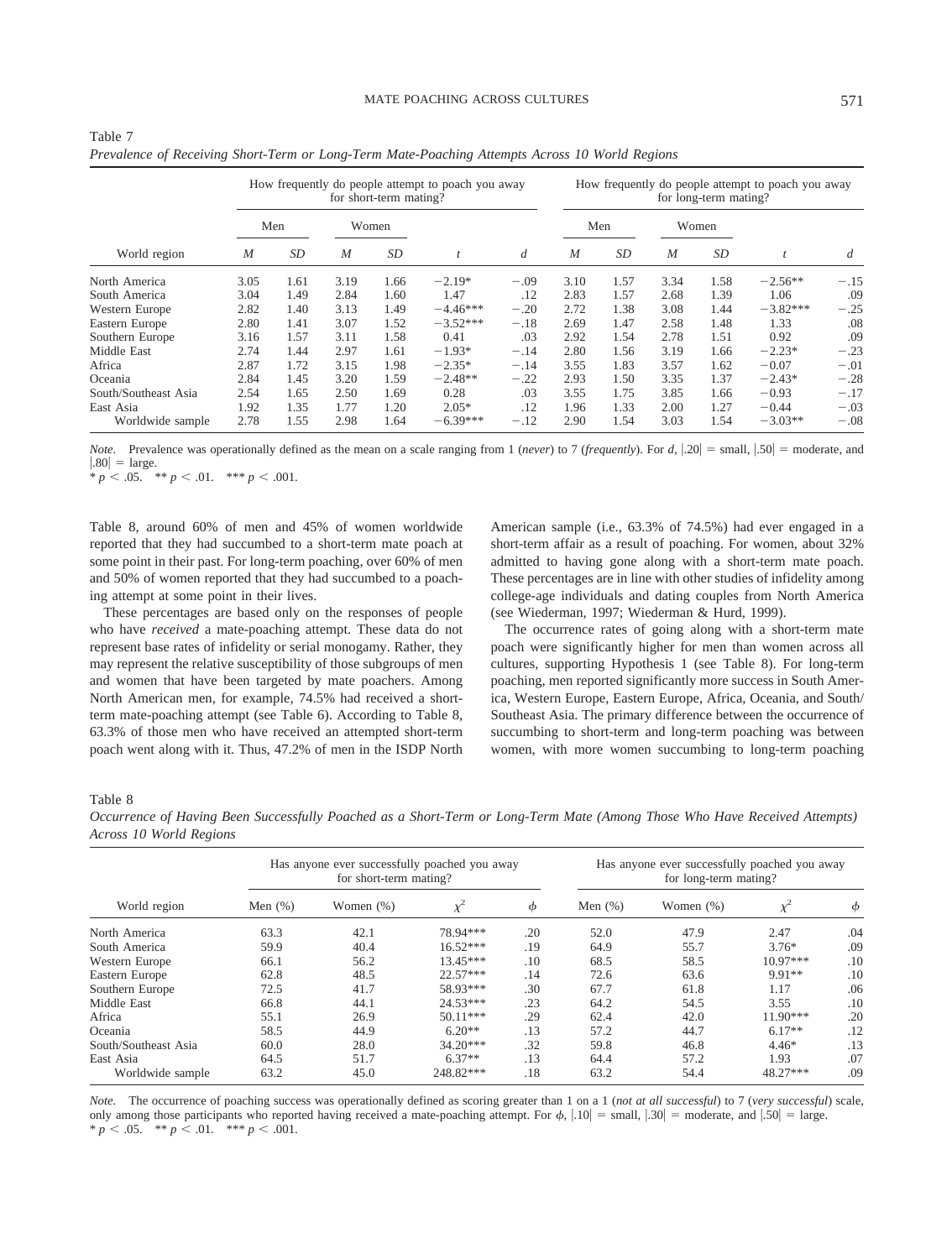|                      |                  |      |                  | for short-term mating? | How frequently do people attempt to poach you away | How frequently do people attempt to poach you away<br>for long-term mating? |                  |      |                  |       |            |        |
|----------------------|------------------|------|------------------|------------------------|----------------------------------------------------|-----------------------------------------------------------------------------|------------------|------|------------------|-------|------------|--------|
|                      |                  | Men  |                  | Women                  |                                                    |                                                                             |                  | Men  |                  | Women |            |        |
| World region         | $\boldsymbol{M}$ | SD   | $\boldsymbol{M}$ | <b>SD</b>              |                                                    | d                                                                           | $\boldsymbol{M}$ | SD   | $\boldsymbol{M}$ | SD    |            | d      |
| North America        | 3.05             | 1.61 | 3.19             | 1.66                   | $-2.19*$                                           | $-.09$                                                                      | 3.10             | 1.57 | 3.34             | 1.58  | $-2.56**$  | $-.15$ |
| South America        | 3.04             | 1.49 | 2.84             | 1.60                   | 1.47                                               | .12                                                                         | 2.83             | 1.57 | 2.68             | 1.39  | 1.06       | .09    |
| Western Europe       | 2.82             | 1.40 | 3.13             | 1.49                   | $-4.46***$                                         | $-.20$                                                                      | 2.72             | 1.38 | 3.08             | 1.44  | $-3.82***$ | $-.25$ |
| Eastern Europe       | 2.80             | 1.41 | 3.07             | 1.52                   | $-3.52***$                                         | $-.18$                                                                      | 2.69             | 1.47 | 2.58             | 1.48  | 1.33       | .08    |
| Southern Europe      | 3.16             | 1.57 | 3.11             | 1.58                   | 0.41                                               | .03                                                                         | 2.92             | 1.54 | 2.78             | 1.51  | 0.92       | .09    |
| Middle East          | 2.74             | 1.44 | 2.97             | 1.61                   | $-1.93*$                                           | $-.14$                                                                      | 2.80             | 1.56 | 3.19             | 1.66  | $-2.23*$   | $-.23$ |
| Africa               | 2.87             | 1.72 | 3.15             | 1.98                   | $-2.35*$                                           | $-.14$                                                                      | 3.55             | 1.83 | 3.57             | 1.62  | $-0.07$    | $-.01$ |
| Oceania              | 2.84             | 1.45 | 3.20             | 1.59                   | $-2.48**$                                          | $-.22$                                                                      | 2.93             | 1.50 | 3.35             | 1.37  | $-2.43*$   | $-.28$ |
| South/Southeast Asia | 2.54             | 1.65 | 2.50             | 1.69                   | 0.28                                               | .03                                                                         | 3.55             | 1.75 | 3.85             | 1.66  | $-0.93$    | $-.17$ |
| East Asia            | 1.92             | 1.35 | 1.77             | 1.20                   | $2.05*$                                            | .12                                                                         | 1.96             | 1.33 | 2.00             | 1.27  | $-0.44$    | $-.03$ |
| Worldwide sample     | 2.78             | 1.55 | 2.98             | 1.64                   | $-6.39***$                                         | $-.12$                                                                      | 2.90             | 1.54 | 3.03             | 1.54  | $-3.03**$  | $-.08$ |

Table 7 *Prevalence of Receiving Short-Term or Long-Term Mate-Poaching Attempts Across 10 World Regions*

*Note.* Prevalence was operationally defined as the mean on a scale ranging from 1 (*never*) to 7 (*frequently*). For *d*,  $|.20|$  = small,  $|.50|$  = moderate, and  $|.80| = \text{large}.$ 

 $p < 0.05$ . \*\*  $p < 0.01$ . \*\*\*  $p < 0.001$ .

Table 8, around 60% of men and 45% of women worldwide reported that they had succumbed to a short-term mate poach at some point in their past. For long-term poaching, over 60% of men and 50% of women reported that they had succumbed to a poaching attempt at some point in their lives.

These percentages are based only on the responses of people who have *received* a mate-poaching attempt. These data do not represent base rates of infidelity or serial monogamy. Rather, they may represent the relative susceptibility of those subgroups of men and women that have been targeted by mate poachers. Among North American men, for example, 74.5% had received a shortterm mate-poaching attempt (see Table 6). According to Table 8, 63.3% of those men who have received an attempted short-term poach went along with it. Thus, 47.2% of men in the ISDP North American sample (i.e., 63.3% of 74.5%) had ever engaged in a short-term affair as a result of poaching. For women, about 32% admitted to having gone along with a short-term mate poach. These percentages are in line with other studies of infidelity among college-age individuals and dating couples from North America (see Wiederman, 1997; Wiederman & Hurd, 1999).

The occurrence rates of going along with a short-term mate poach were significantly higher for men than women across all cultures, supporting Hypothesis 1 (see Table 8). For long-term poaching, men reported significantly more success in South America, Western Europe, Eastern Europe, Africa, Oceania, and South/ Southeast Asia. The primary difference between the occurrence of succumbing to short-term and long-term poaching was between women, with more women succumbing to long-term poaching

Table 8

*Occurrence of Having Been Successfully Poached as a Short-Term or Long-Term Mate (Among Those Who Have Received Attempts) Across 10 World Regions*

|                      |             | Has anyone ever successfully poached you away<br>for short-term mating? |            | Has anyone ever successfully poached you away<br>for long-term mating? |            |              |            |     |  |
|----------------------|-------------|-------------------------------------------------------------------------|------------|------------------------------------------------------------------------|------------|--------------|------------|-----|--|
| World region         | Men $(\% )$ | Women $(\%)$                                                            | ν          | $\phi$                                                                 | Men $(\%)$ | Women $(\%)$ | $\chi^2$   | φ   |  |
| North America        | 63.3        | 42.1                                                                    | 78.94 ***  | .20                                                                    | 52.0       | 47.9         | 2.47       | .04 |  |
| South America        | 59.9        | 40.4                                                                    | $16.52***$ | .19                                                                    | 64.9       | 55.7         | $3.76*$    | .09 |  |
| Western Europe       | 66.1        | 56.2                                                                    | 13.45***   | .10                                                                    | 68.5       | 58.5         | $10.97***$ | .10 |  |
| Eastern Europe       | 62.8        | 48.5                                                                    | 22.57***   | .14                                                                    | 72.6       | 63.6         | $9.91**$   | .10 |  |
| Southern Europe      | 72.5        | 41.7                                                                    | 58.93***   | .30                                                                    | 67.7       | 61.8         | 1.17       | .06 |  |
| Middle East          | 66.8        | 44.1                                                                    | $24.53***$ | .23                                                                    | 64.2       | 54.5         | 3.55       | .10 |  |
| Africa               | 55.1        | 26.9                                                                    | $50.11***$ | .29                                                                    | 62.4       | 42.0         | $11.90***$ | .20 |  |
| Oceania              | 58.5        | 44.9                                                                    | $6.20**$   | .13                                                                    | 57.2       | 44.7         | $6.17**$   | .12 |  |
| South/Southeast Asia | 60.0        | 28.0                                                                    | $34.20***$ | .32                                                                    | 59.8       | 46.8         | $4.46*$    | .13 |  |
| East Asia            | 64.5        | 51.7                                                                    | $6.37**$   | .13                                                                    | 64.4       | 57.2         | 1.93       | .07 |  |
| Worldwide sample     | 63.2        | 45.0                                                                    | 248.82***  | .18                                                                    | 63.2       | 54.4         | 48.27***   | .09 |  |

*Note.* The occurrence of poaching success was operationally defined as scoring greater than 1 ona1(*not at all successful*) to 7 (*very successful*) scale, only among those participants who reported having received a mate-poaching attempt. For  $\phi$ ,  $|.10| = \text{small}$ ,  $|.30| = \text{moderate}$ , and  $|.50| = \text{large}$ .  $* p < .05.$  \*\*  $p < .01.$  \*\*\*  $p < .001.$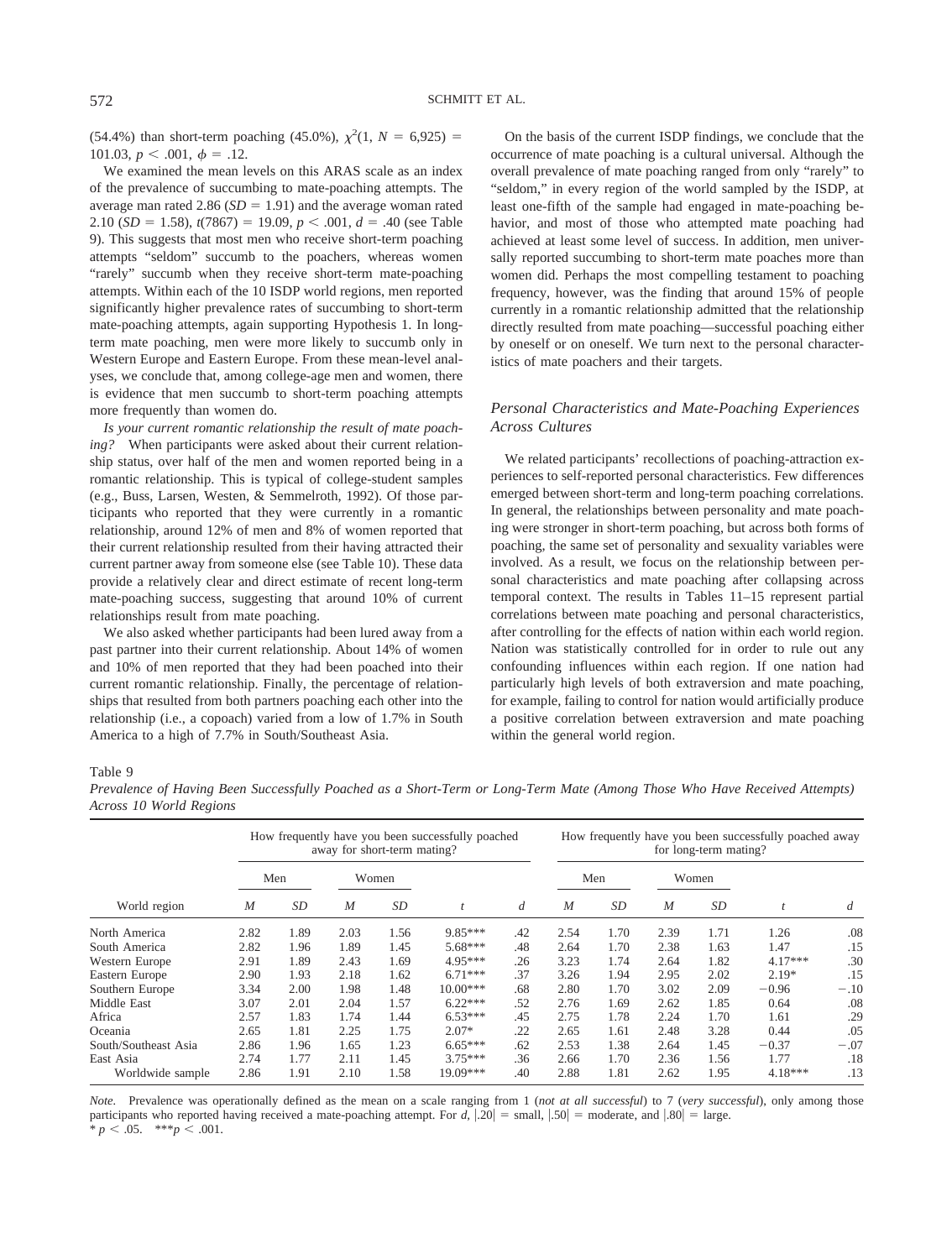$(54.4\%)$  than short-term poaching (45.0%),  $\chi^2(1, N = 6.925)$ 101.03,  $p < .001$ ,  $\phi = .12$ .

We examined the mean levels on this ARAS scale as an index of the prevalence of succumbing to mate-poaching attempts. The average man rated 2.86  $(SD = 1.91)$  and the average woman rated 2.10 (*SD* = 1.58),  $t(7867) = 19.09$ ,  $p < .001$ ,  $d = .40$  (see Table 9). This suggests that most men who receive short-term poaching attempts "seldom" succumb to the poachers, whereas women "rarely" succumb when they receive short-term mate-poaching attempts. Within each of the 10 ISDP world regions, men reported significantly higher prevalence rates of succumbing to short-term mate-poaching attempts, again supporting Hypothesis 1. In longterm mate poaching, men were more likely to succumb only in Western Europe and Eastern Europe. From these mean-level analyses, we conclude that, among college-age men and women, there is evidence that men succumb to short-term poaching attempts more frequently than women do.

*Is your current romantic relationship the result of mate poaching?* When participants were asked about their current relationship status, over half of the men and women reported being in a romantic relationship. This is typical of college-student samples (e.g., Buss, Larsen, Westen, & Semmelroth, 1992). Of those participants who reported that they were currently in a romantic relationship, around 12% of men and 8% of women reported that their current relationship resulted from their having attracted their current partner away from someone else (see Table 10). These data provide a relatively clear and direct estimate of recent long-term mate-poaching success, suggesting that around 10% of current relationships result from mate poaching.

We also asked whether participants had been lured away from a past partner into their current relationship. About 14% of women and 10% of men reported that they had been poached into their current romantic relationship. Finally, the percentage of relationships that resulted from both partners poaching each other into the relationship (i.e., a copoach) varied from a low of 1.7% in South America to a high of 7.7% in South/Southeast Asia.

On the basis of the current ISDP findings, we conclude that the occurrence of mate poaching is a cultural universal. Although the overall prevalence of mate poaching ranged from only "rarely" to "seldom," in every region of the world sampled by the ISDP, at least one-fifth of the sample had engaged in mate-poaching behavior, and most of those who attempted mate poaching had achieved at least some level of success. In addition, men universally reported succumbing to short-term mate poaches more than women did. Perhaps the most compelling testament to poaching frequency, however, was the finding that around 15% of people currently in a romantic relationship admitted that the relationship directly resulted from mate poaching—successful poaching either by oneself or on oneself. We turn next to the personal characteristics of mate poachers and their targets.

# *Personal Characteristics and Mate-Poaching Experiences Across Cultures*

We related participants' recollections of poaching-attraction experiences to self-reported personal characteristics. Few differences emerged between short-term and long-term poaching correlations. In general, the relationships between personality and mate poaching were stronger in short-term poaching, but across both forms of poaching, the same set of personality and sexuality variables were involved. As a result, we focus on the relationship between personal characteristics and mate poaching after collapsing across temporal context. The results in Tables 11–15 represent partial correlations between mate poaching and personal characteristics, after controlling for the effects of nation within each world region. Nation was statistically controlled for in order to rule out any confounding influences within each region. If one nation had particularly high levels of both extraversion and mate poaching, for example, failing to control for nation would artificially produce a positive correlation between extraversion and mate poaching within the general world region.

#### Table 9

*Prevalence of Having Been Successfully Poached as a Short-Term or Long-Term Mate (Among Those Who Have Received Attempts) Across 10 World Regions*

|                      |                  |      | away for short-term mating? |      | How frequently have you been successfully poached | How frequently have you been successfully poached away<br>for long-term mating? |                  |      |                  |      |           |        |
|----------------------|------------------|------|-----------------------------|------|---------------------------------------------------|---------------------------------------------------------------------------------|------------------|------|------------------|------|-----------|--------|
|                      |                  | Men  | Women                       |      |                                                   |                                                                                 | Men              |      | Women            |      |           |        |
| World region         | $\boldsymbol{M}$ | SD   | $\boldsymbol{M}$            | SD   |                                                   | d                                                                               | $\boldsymbol{M}$ | SD   | $\boldsymbol{M}$ | SD   |           | d      |
| North America        | 2.82             | 1.89 | 2.03                        | 1.56 | 9.85***                                           | .42                                                                             | 2.54             | 1.70 | 2.39             | 1.71 | 1.26      | .08    |
| South America        | 2.82             | 1.96 | 1.89                        | 1.45 | $5.68***$                                         | .48                                                                             | 2.64             | 1.70 | 2.38             | 1.63 | 1.47      | .15    |
| Western Europe       | 2.91             | 1.89 | 2.43                        | 1.69 | $4.95***$                                         | .26                                                                             | 3.23             | 1.74 | 2.64             | 1.82 | $4.17***$ | .30    |
| Eastern Europe       | 2.90             | 1.93 | 2.18                        | 1.62 | $6.71***$                                         | .37                                                                             | 3.26             | 1.94 | 2.95             | 2.02 | $2.19*$   | .15    |
| Southern Europe      | 3.34             | 2.00 | 1.98                        | 1.48 | $10.00***$                                        | .68                                                                             | 2.80             | 1.70 | 3.02             | 2.09 | $-0.96$   | $-.10$ |
| Middle East          | 3.07             | 2.01 | 2.04                        | 1.57 | $6.22***$                                         | .52                                                                             | 2.76             | 1.69 | 2.62             | 1.85 | 0.64      | .08    |
| Africa               | 2.57             | 1.83 | 1.74                        | 1.44 | $6.53***$                                         | .45                                                                             | 2.75             | 1.78 | 2.24             | 1.70 | 1.61      | .29    |
| Oceania              | 2.65             | 1.81 | 2.25                        | 1.75 | $2.07*$                                           | .22                                                                             | 2.65             | 1.61 | 2.48             | 3.28 | 0.44      | .05    |
| South/Southeast Asia | 2.86             | 1.96 | 1.65                        | 1.23 | $6.65***$                                         | .62                                                                             | 2.53             | 1.38 | 2.64             | 1.45 | $-0.37$   | $-.07$ |
| East Asia            | 2.74             | 1.77 | 2.11                        | 1.45 | $3.75***$                                         | .36                                                                             | 2.66             | 1.70 | 2.36             | 1.56 | 1.77      | .18    |
| Worldwide sample     | 2.86             | 1.91 | 2.10                        | 1.58 | 19.09***                                          | .40                                                                             | 2.88             | 1.81 | 2.62             | 1.95 | $4.18***$ | .13    |

*Note.* Prevalence was operationally defined as the mean on a scale ranging from 1 (*not at all successful*) to 7 (*very successful*), only among those participants who reported having received a mate-poaching attempt. For *d*,  $|.20|$  = small,  $|.50|$  = moderate, and  $|.80|$  = large.  $* p < .05.$  \*\*\* $p < .001.$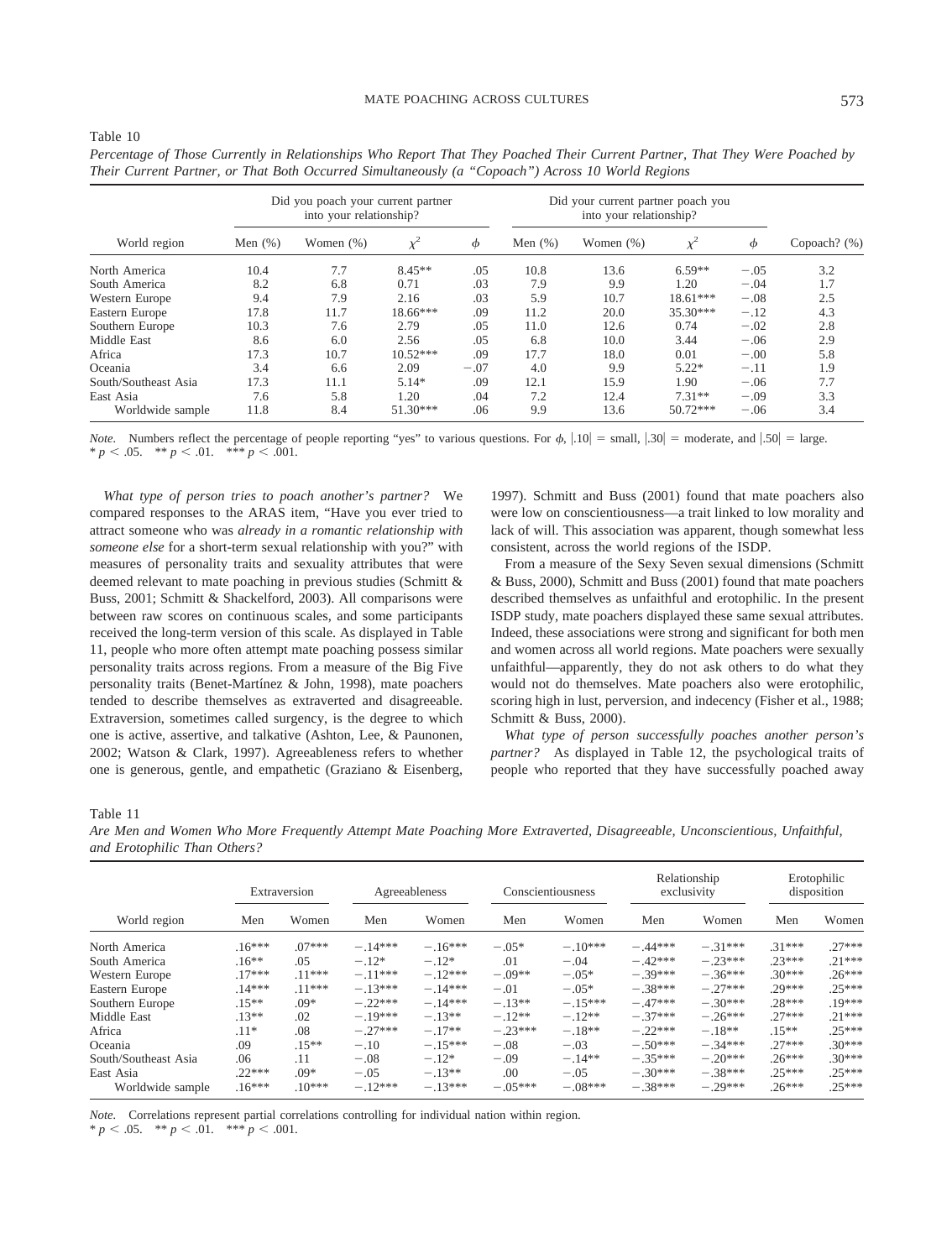| Their Current Furnier, or That Dom Occurred Simulaneously (a Copouch Theross To World Regions |             |                                                               |            |        |                                    |              |            |        |                 |
|-----------------------------------------------------------------------------------------------|-------------|---------------------------------------------------------------|------------|--------|------------------------------------|--------------|------------|--------|-----------------|
| World region                                                                                  |             | Did you poach your current partner<br>into your relationship? |            |        | Did your current partner poach you |              |            |        |                 |
|                                                                                               | Men $(\% )$ | Women $(\%)$                                                  | $\chi^2$   | $\phi$ | Men $(\% )$                        | Women $(\%)$ | $\chi^2$   | $\phi$ | Copoach? $(\%)$ |
| North America                                                                                 | 10.4        | 7.7                                                           | $8.45***$  | .05    | 10.8                               | 13.6         | $6.59**$   | $-.05$ | 3.2             |
| South America                                                                                 | 8.2         | 6.8                                                           | 0.71       | .03    | 7.9                                | 9.9          | 1.20       | $-.04$ | 1.7             |
| Western Europe                                                                                | 9.4         | 7.9                                                           | 2.16       | .03    | 5.9                                | 10.7         | $18.61***$ | $-.08$ | 2.5             |
| Eastern Europe                                                                                | 17.8        | 11.7                                                          | $18.66***$ | .09    | 11.2                               | 20.0         | $35.30***$ | $-.12$ | 4.3             |
| Southern Europe                                                                               | 10.3        | 7.6                                                           | 2.79       | .05    | 11.0                               | 12.6         | 0.74       | $-.02$ | 2.8             |
| Middle East                                                                                   | 8.6         | 6.0                                                           | 2.56       | .05    | 6.8                                | 10.0         | 3.44       | $-.06$ | 2.9             |
| Africa                                                                                        | 17.3        | 10.7                                                          | $10.52***$ | .09    | 17.7                               | 18.0         | 0.01       | $-.00$ | 5.8             |
| Oceania                                                                                       | 3.4         | 6.6                                                           | 2.09       | $-.07$ | 4.0                                | 9.9          | $5.22*$    | $-.11$ | 1.9             |
| South/Southeast Asia                                                                          | 17.3        | 11.1                                                          | $5.14*$    | .09    | 12.1                               | 15.9         | 1.90       | $-.06$ | 7.7             |
| East Asia                                                                                     | 7.6         | 5.8                                                           | 1.20       | .04    | 7.2                                | 12.4         | $7.31**$   | $-.09$ | 3.3             |
| Worldwide sample                                                                              | 11.8        | 8.4                                                           | $51.30***$ | .06    | 9.9                                | 13.6         | 50.72***   | $-.06$ | 3.4             |

*Percentage of Those Currently in Relationships Who Report That They Poached Their Current Partner, That They Were Poached by Their Current Partner, or That Both Occurred Simultaneously (a "Copoach") Across 10 World Regions*

*Note.* Numbers reflect the percentage of people reporting "yes" to various questions. For  $\phi$ ,  $|.10| = \text{small}$ ,  $|.30| = \text{moderate}$ , and  $|.50| = \text{large}$ .  $* p < .05.$  \*\*  $p < .01.$  \*\*\*  $p < .001.$ 

*What type of person tries to poach another's partner?* We compared responses to the ARAS item, "Have you ever tried to attract someone who was *already in a romantic relationship with someone else* for a short-term sexual relationship with you?" with measures of personality traits and sexuality attributes that were deemed relevant to mate poaching in previous studies (Schmitt & Buss, 2001; Schmitt & Shackelford, 2003). All comparisons were between raw scores on continuous scales, and some participants received the long-term version of this scale. As displayed in Table 11, people who more often attempt mate poaching possess similar personality traits across regions. From a measure of the Big Five personality traits (Benet-Martínez  $&$  John, 1998), mate poachers tended to describe themselves as extraverted and disagreeable. Extraversion, sometimes called surgency, is the degree to which one is active, assertive, and talkative (Ashton, Lee, & Paunonen, 2002; Watson & Clark, 1997). Agreeableness refers to whether one is generous, gentle, and empathetic (Graziano & Eisenberg, 1997). Schmitt and Buss (2001) found that mate poachers also were low on conscientiousness—a trait linked to low morality and lack of will. This association was apparent, though somewhat less consistent, across the world regions of the ISDP.

From a measure of the Sexy Seven sexual dimensions (Schmitt & Buss, 2000), Schmitt and Buss (2001) found that mate poachers described themselves as unfaithful and erotophilic. In the present ISDP study, mate poachers displayed these same sexual attributes. Indeed, these associations were strong and significant for both men and women across all world regions. Mate poachers were sexually unfaithful—apparently, they do not ask others to do what they would not do themselves. Mate poachers also were erotophilic, scoring high in lust, perversion, and indecency (Fisher et al., 1988; Schmitt & Buss, 2000).

*What type of person successfully poaches another person's partner?* As displayed in Table 12, the psychological traits of people who reported that they have successfully poached away

Table 11

Table 10

*Are Men and Women Who More Frequently Attempt Mate Poaching More Extraverted, Disagreeable, Unconscientious, Unfaithful, and Erotophilic Than Others?*

| World region         | Extraversion |          | Agreeableness |           | Conscientiousness |           | Relationship<br>exclusivity |           | Erotophilic<br>disposition |          |
|----------------------|--------------|----------|---------------|-----------|-------------------|-----------|-----------------------------|-----------|----------------------------|----------|
|                      | Men          | Women    | Men           | Women     | Men               | Women     | Men                         | Women     | Men                        | Women    |
| North America        | $.16***$     | $.07***$ | $-.14***$     | $-.16***$ | $-.05*$           | $-.10***$ | $-.44***$                   | $-.31***$ | $.31***$                   | $.27***$ |
| South America        | $.16**$      | .05      | $-.12*$       | $-.12*$   | .01               | $-.04$    | $-.42***$                   | $-.23***$ | $.23***$                   | $.21***$ |
| Western Europe       | $.17***$     | $.11***$ | $-.11***$     | $-.12***$ | $-.09**$          | $-.05*$   | $-.39***$                   | $-.36***$ | $.30***$                   | $.26***$ |
| Eastern Europe       | $.14***$     | $.11***$ | $-.13***$     | $-.14***$ | $-.01$            | $-.05*$   | $-.38***$                   | $-.27***$ | $.29***$                   | $.25***$ |
| Southern Europe      | $.15***$     | .09*     | $-.22***$     | $-.14***$ | $-.13**$          | $-.15***$ | $-.47***$                   | $-.30***$ | $.28***$                   | $.19***$ |
| Middle East          | $.13**$      | .02      | $-.19***$     | $-.13**$  | $-.12**$          | $-.12**$  | $-.37***$                   | $-.26***$ | $.27***$                   | $.21***$ |
| Africa               | $.11*$       | .08      | $-.27***$     | $-.17**$  | $-.23***$         | $-.18**$  | $-.22***$                   | $-.18**$  | $.15**$                    | $.25***$ |
| Oceania              | .09          | $.15***$ | $-.10$        | $-.15***$ | $-.08$            | $-.03$    | $-.50***$                   | $-.34***$ | $.27***$                   | $30***$  |
| South/Southeast Asia | .06          | .11      | $-.08$        | $-.12*$   | $-.09$            | $-.14**$  | $-.35***$                   | $-.20***$ | $.26***$                   | $.30***$ |
| East Asia            | $.22***$     | $.09*$   | $-.05$        | $-.13**$  | .00               | $-.05$    | $-.30***$                   | $-.38***$ | $.25***$                   | $.25***$ |
| Worldwide sample     | $.16***$     | $.10***$ | $-.12***$     | $-.13***$ | $-.05***$         | $-.08***$ | $-.38***$                   | $-.29***$ | $.26***$                   | $.25***$ |

*Note.* Correlations represent partial correlations controlling for individual nation within region.

 $p < .05.$  \*\*  $p < .01.$  \*\*\*  $p < .001.$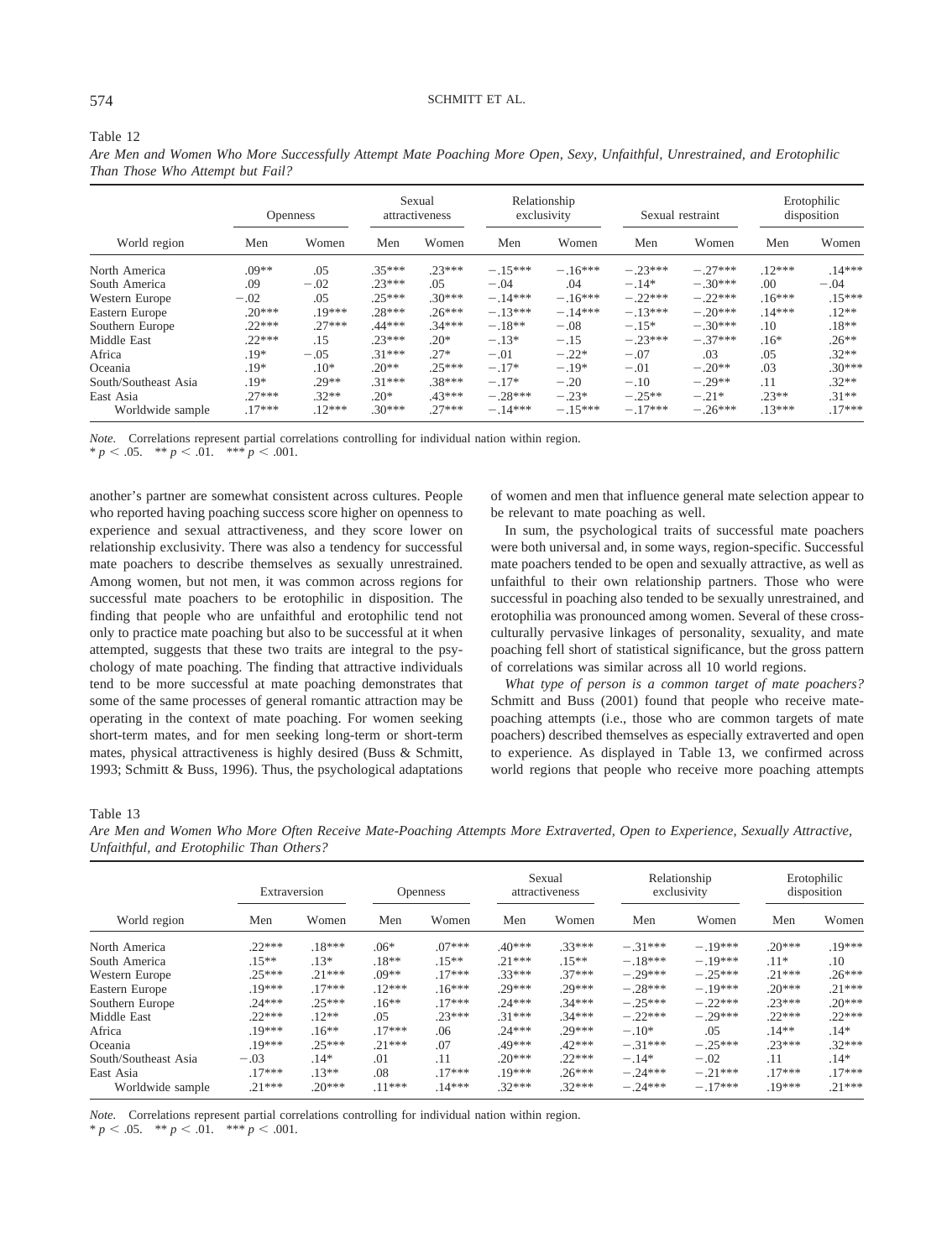#### Table 12

*Are Men and Women Who More Successfully Attempt Mate Poaching More Open, Sexy, Unfaithful, Unrestrained, and Erotophilic Than Those Who Attempt but Fail?*

|                      | <b>Openness</b> |          | Sexual<br>attractiveness |          | Relationship<br>exclusivity |           | Sexual restraint |           | Erotophilic<br>disposition |          |
|----------------------|-----------------|----------|--------------------------|----------|-----------------------------|-----------|------------------|-----------|----------------------------|----------|
| World region         | Men             | Women    | Men                      | Women    | Men                         | Women     | Men              | Women     | Men                        | Women    |
| North America        | $.09**$         | .05      | $.35***$                 | $.23***$ | $-.15***$                   | $-.16***$ | $-.23***$        | $-.27***$ | $.12***$                   | $.14***$ |
| South America        | .09             | $-.02$   | $.23***$                 | .05      | $-.04$                      | .04       | $-.14*$          | $-.30***$ | .00                        | $-.04$   |
| Western Europe       | $-.02$          | .05      | $.25***$                 | $.30***$ | $-.14***$                   | $-.16***$ | $-.22***$        | $-.22***$ | $.16***$                   | $.15***$ |
| Eastern Europe       | $.20***$        | $.19***$ | $.28***$                 | $.26***$ | $-.13***$                   | $-.14***$ | $-.13***$        | $-.20***$ | $.14***$                   | $.12**$  |
| Southern Europe      | $.22***$        | $.27***$ | $.44***$                 | 34 ***   | $-.18**$                    | $-.08$    | $-.15*$          | $-.30***$ | .10                        | $.18**$  |
| Middle East          | $.22***$        | .15      | $.23***$                 | $20*$    | $-.13*$                     | $-.15$    | $-.23***$        | $-.37***$ | $.16*$                     | $.26**$  |
| Africa               | .19*            | $-.05$   | $.31***$                 | $.27*$   | $-.01$                      | $-.22*$   | $-.07$           | .03       | .05                        | $.32**$  |
| Oceania              | .19*            | $.10*$   | $.20**$                  | $25***$  | $-.17*$                     | $-.19*$   | $-.01$           | $-.20**$  | .03                        | $.30***$ |
| South/Southeast Asia | .19*            | $.29**$  | $.31***$                 | .38***   | $-.17*$                     | $-.20$    | $-.10$           | $-.29**$  | .11                        | $.32**$  |
| East Asia            | $.27***$        | $.32**$  | $20*$                    | $.43***$ | $-.28***$                   | $-.23*$   | $-.25**$         | $-.21*$   | $.23**$                    | $.31**$  |
| Worldwide sample     | $.17***$        | $.12***$ | $30***$                  | $27***$  | $-.14***$                   | $-.15***$ | $-.17***$        | $-.26***$ | $.13***$                   | $.17***$ |

*Note.* Correlations represent partial correlations controlling for individual nation within region.

 $* p < .05.$  \*\*  $p < .01.$  \*\*\*  $p < .001.$ 

another's partner are somewhat consistent across cultures. People who reported having poaching success score higher on openness to experience and sexual attractiveness, and they score lower on relationship exclusivity. There was also a tendency for successful mate poachers to describe themselves as sexually unrestrained. Among women, but not men, it was common across regions for successful mate poachers to be erotophilic in disposition. The finding that people who are unfaithful and erotophilic tend not only to practice mate poaching but also to be successful at it when attempted, suggests that these two traits are integral to the psychology of mate poaching. The finding that attractive individuals tend to be more successful at mate poaching demonstrates that some of the same processes of general romantic attraction may be operating in the context of mate poaching. For women seeking short-term mates, and for men seeking long-term or short-term mates, physical attractiveness is highly desired (Buss & Schmitt, 1993; Schmitt & Buss, 1996). Thus, the psychological adaptations

of women and men that influence general mate selection appear to be relevant to mate poaching as well.

In sum, the psychological traits of successful mate poachers were both universal and, in some ways, region-specific. Successful mate poachers tended to be open and sexually attractive, as well as unfaithful to their own relationship partners. Those who were successful in poaching also tended to be sexually unrestrained, and erotophilia was pronounced among women. Several of these crossculturally pervasive linkages of personality, sexuality, and mate poaching fell short of statistical significance, but the gross pattern of correlations was similar across all 10 world regions.

*What type of person is a common target of mate poachers?* Schmitt and Buss (2001) found that people who receive matepoaching attempts (i.e., those who are common targets of mate poachers) described themselves as especially extraverted and open to experience. As displayed in Table 13, we confirmed across world regions that people who receive more poaching attempts

Table 13

*Are Men and Women Who More Often Receive Mate-Poaching Attempts More Extraverted, Open to Experience, Sexually Attractive, Unfaithful, and Erotophilic Than Others?*

| World region         | Extraversion |          | <b>Openness</b> |          | Sexual<br>attractiveness |          | Relationship<br>exclusivity |           | Erotophilic<br>disposition |          |
|----------------------|--------------|----------|-----------------|----------|--------------------------|----------|-----------------------------|-----------|----------------------------|----------|
|                      | Men          | Women    | Men             | Women    | Men                      | Women    | Men                         | Women     | Men                        | Women    |
| North America        | $.22***$     | $.18***$ | $.06*$          | $.07***$ | $.40***$                 | .33***   | $-31***$                    | $-.19***$ | $.20***$                   | $.19***$ |
| South America        | $.15***$     | $.13*$   | $.18**$         | $.15***$ | $21***$                  | $.15***$ | $-.18***$                   | $-.19***$ | .11*                       | .10      |
| Western Europe       | $.25***$     | $.21***$ | $.09**$         | $.17***$ | 33***                    | $.37***$ | $-.29***$                   | $-.25***$ | $.21***$                   | $.26***$ |
| Eastern Europe       | $.19***$     | $.17***$ | $.12***$        | $.16***$ | $.29***$                 | .29***   | $-.28***$                   | $-.19***$ | $.20***$                   | $.21***$ |
| Southern Europe      | $.24***$     | $.25***$ | $.16***$        | $.17***$ | $24***$                  | $.34***$ | $-.25***$                   | $-.22***$ | $.23***$                   | $.20***$ |
| Middle East          | $.22***$     | $.12**$  | .05             | $.23***$ | $.31***$                 | $34***$  | $-.22***$                   | $-.29***$ | $.22***$                   | $.22***$ |
| Africa               | $.19***$     | $.16***$ | $17***$         | .06      | $.24***$                 | .29***   | $-.10*$                     | .05       | $.14**$                    | $.14*$   |
| Oceania              | $.19***$     | $.25***$ | $.21***$        | .07      | .49***                   | $.42***$ | $-.31***$                   | $-.25***$ | $.23***$                   | $.32***$ |
| South/Southeast Asia | $-.03$       | $.14*$   | .01             | .11      | $.20***$                 | $.22***$ | $-.14*$                     | $-.02$    | .11                        | $.14*$   |
| East Asia            | $.17***$     | $.13**$  | .08             | $.17***$ | $.19***$                 | $.26***$ | $-.24***$                   | $-.21***$ | $.17***$                   | $.17***$ |
| Worldwide sample     | $.21***$     | $.20***$ | $.11***$        | $.14***$ | $.32***$                 | $.32***$ | $-.24***$                   | $-.17***$ | $.19***$                   | $.21***$ |

*Note.* Correlations represent partial correlations controlling for individual nation within region.

 $* p < .05.$  \*\*  $p < .01.$  \*\*\*  $p < .001.$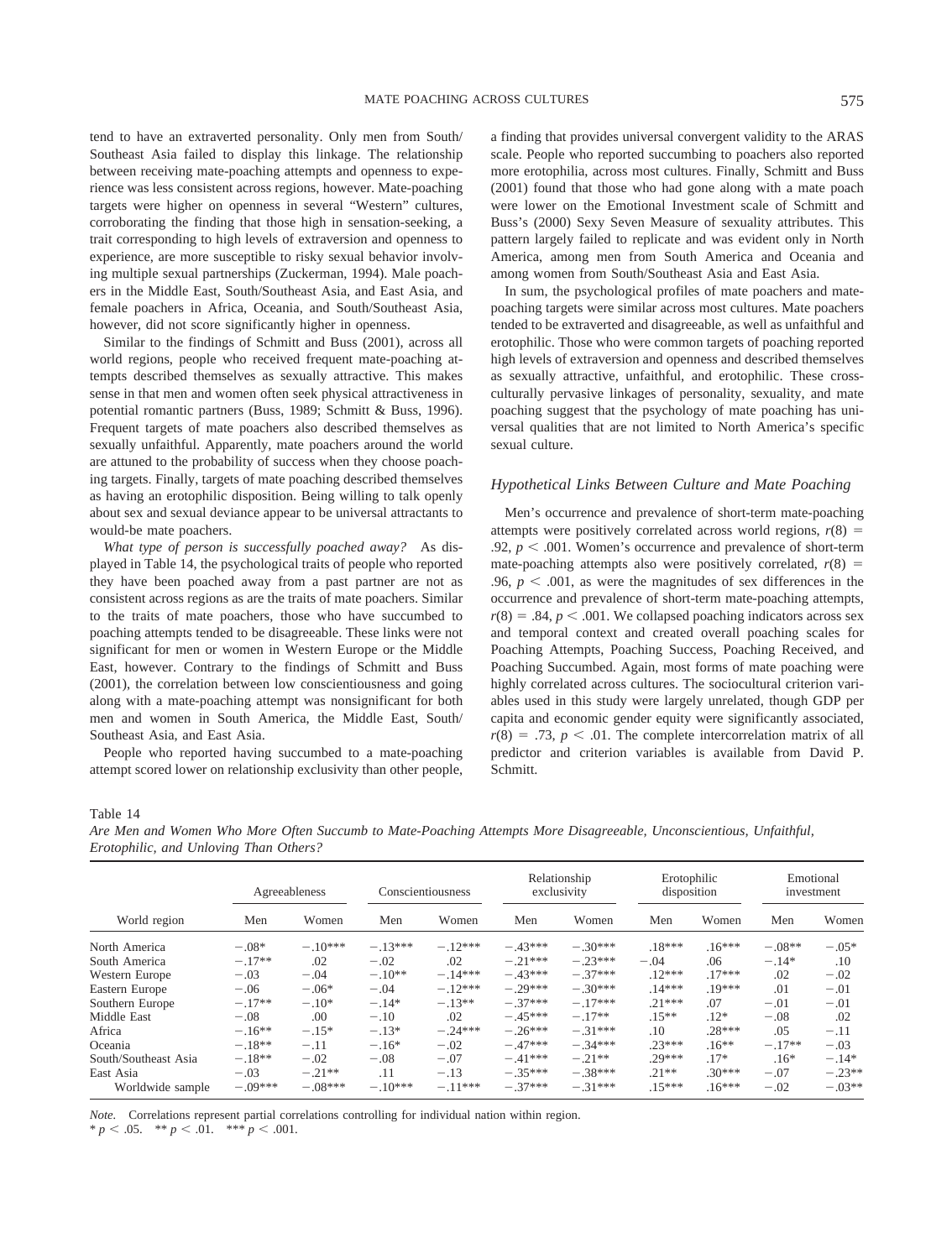tend to have an extraverted personality. Only men from South/ Southeast Asia failed to display this linkage. The relationship between receiving mate-poaching attempts and openness to experience was less consistent across regions, however. Mate-poaching targets were higher on openness in several "Western" cultures, corroborating the finding that those high in sensation-seeking, a trait corresponding to high levels of extraversion and openness to experience, are more susceptible to risky sexual behavior involving multiple sexual partnerships (Zuckerman, 1994). Male poachers in the Middle East, South/Southeast Asia, and East Asia, and female poachers in Africa, Oceania, and South/Southeast Asia, however, did not score significantly higher in openness.

Similar to the findings of Schmitt and Buss (2001), across all world regions, people who received frequent mate-poaching attempts described themselves as sexually attractive. This makes sense in that men and women often seek physical attractiveness in potential romantic partners (Buss, 1989; Schmitt & Buss, 1996). Frequent targets of mate poachers also described themselves as sexually unfaithful. Apparently, mate poachers around the world are attuned to the probability of success when they choose poaching targets. Finally, targets of mate poaching described themselves as having an erotophilic disposition. Being willing to talk openly about sex and sexual deviance appear to be universal attractants to would-be mate poachers.

*What type of person is successfully poached away?* As displayed in Table 14, the psychological traits of people who reported they have been poached away from a past partner are not as consistent across regions as are the traits of mate poachers. Similar to the traits of mate poachers, those who have succumbed to poaching attempts tended to be disagreeable. These links were not significant for men or women in Western Europe or the Middle East, however. Contrary to the findings of Schmitt and Buss (2001), the correlation between low conscientiousness and going along with a mate-poaching attempt was nonsignificant for both men and women in South America, the Middle East, South/ Southeast Asia, and East Asia.

People who reported having succumbed to a mate-poaching attempt scored lower on relationship exclusivity than other people, a finding that provides universal convergent validity to the ARAS scale. People who reported succumbing to poachers also reported more erotophilia, across most cultures. Finally, Schmitt and Buss (2001) found that those who had gone along with a mate poach were lower on the Emotional Investment scale of Schmitt and Buss's (2000) Sexy Seven Measure of sexuality attributes. This pattern largely failed to replicate and was evident only in North America, among men from South America and Oceania and among women from South/Southeast Asia and East Asia.

In sum, the psychological profiles of mate poachers and matepoaching targets were similar across most cultures. Mate poachers tended to be extraverted and disagreeable, as well as unfaithful and erotophilic. Those who were common targets of poaching reported high levels of extraversion and openness and described themselves as sexually attractive, unfaithful, and erotophilic. These crossculturally pervasive linkages of personality, sexuality, and mate poaching suggest that the psychology of mate poaching has universal qualities that are not limited to North America's specific sexual culture.

# *Hypothetical Links Between Culture and Mate Poaching*

Men's occurrence and prevalence of short-term mate-poaching attempts were positively correlated across world regions,  $r(8)$  = .92,  $p < .001$ . Women's occurrence and prevalence of short-term mate-poaching attempts also were positively correlated,  $r(8)$  = .96,  $p < .001$ , as were the magnitudes of sex differences in the occurrence and prevalence of short-term mate-poaching attempts,  $r(8) = .84$ ,  $p < .001$ . We collapsed poaching indicators across sex and temporal context and created overall poaching scales for Poaching Attempts, Poaching Success, Poaching Received, and Poaching Succumbed. Again, most forms of mate poaching were highly correlated across cultures. The sociocultural criterion variables used in this study were largely unrelated, though GDP per capita and economic gender equity were significantly associated,  $r(8) = .73$ ,  $p < .01$ . The complete intercorrelation matrix of all predictor and criterion variables is available from David P. Schmitt.

Table 14

*Are Men and Women Who More Often Succumb to Mate-Poaching Attempts More Disagreeable, Unconscientious, Unfaithful, Erotophilic, and Unloving Than Others?*

| World region         | Agreeableness |           | Conscientiousness |           | Relationship<br>exclusivity |           | Erotophilic<br>disposition |          | Emotional<br>investment |          |
|----------------------|---------------|-----------|-------------------|-----------|-----------------------------|-----------|----------------------------|----------|-------------------------|----------|
|                      | Men           | Women     | Men               | Women     | Men                         | Women     | Men                        | Women    | Men                     | Women    |
| North America        | $-.08*$       | $-.10***$ | $-.13***$         | $-.12***$ | $-.43***$                   | $-.30***$ | $.18***$                   | $.16***$ | $-.08**$                | $-.05*$  |
| South America        | $-.17**$      | .02       | $-.02$            | .02       | $-.21***$                   | $-.23***$ | $-.04$                     | .06      | $-.14*$                 | .10      |
| Western Europe       | $-.03$        | $-.04$    | $-.10**$          | $-.14***$ | $-.43***$                   | $-.37***$ | $.12***$                   | $.17***$ | .02                     | $-.02$   |
| Eastern Europe       | $-.06$        | $-.06*$   | $-.04$            | $-.12***$ | $-.29***$                   | $-.30***$ | $.14***$                   | $.19***$ | .01                     | $-.01$   |
| Southern Europe      | $-.17**$      | $-.10*$   | $-.14*$           | $-.13**$  | $-37***$                    | $-.17***$ | $21***$                    | .07      | $-.01$                  | $-.01$   |
| Middle East          | $-.08$        | .00       | $-.10$            | .02       | $-.45***$                   | $-.17**$  | $.15**$                    | $.12*$   | $-.08$                  | .02      |
| Africa               | $-.16**$      | $-.15*$   | $-.13*$           | $-.24***$ | $-.26***$                   | $-.31***$ | .10                        | $.28***$ | .05                     | $-.11$   |
| Oceania              | $-.18**$      | $-.11$    | $-.16*$           | $-.02$    | $-.47***$                   | $-.34***$ | $.23***$                   | $.16***$ | $-.17**$                | $-.03$   |
| South/Southeast Asia | $-.18**$      | $-.02$    | $-.08$            | $-.07$    | $-.41***$                   | $-.21**$  | 29***                      | $.17*$   | $.16*$                  | $-.14*$  |
| East Asia            | $-.03$        | $-.21**$  | .11               | $-.13$    | $-.35***$                   | $-.38***$ | $.21**$                    | $.30***$ | $-.07$                  | $-.23**$ |
| Worldwide sample     | $-.09***$     | $-.08***$ | $-.10***$         | $-.11***$ | $-.37***$                   | $-.31***$ | $.15***$                   | $.16***$ | $-.02$                  | $-.03**$ |

*Note.* Correlations represent partial correlations controlling for individual nation within region.

 $* p < .05.$  \*\*  $p < .01.$  \*\*\*  $p < .001.$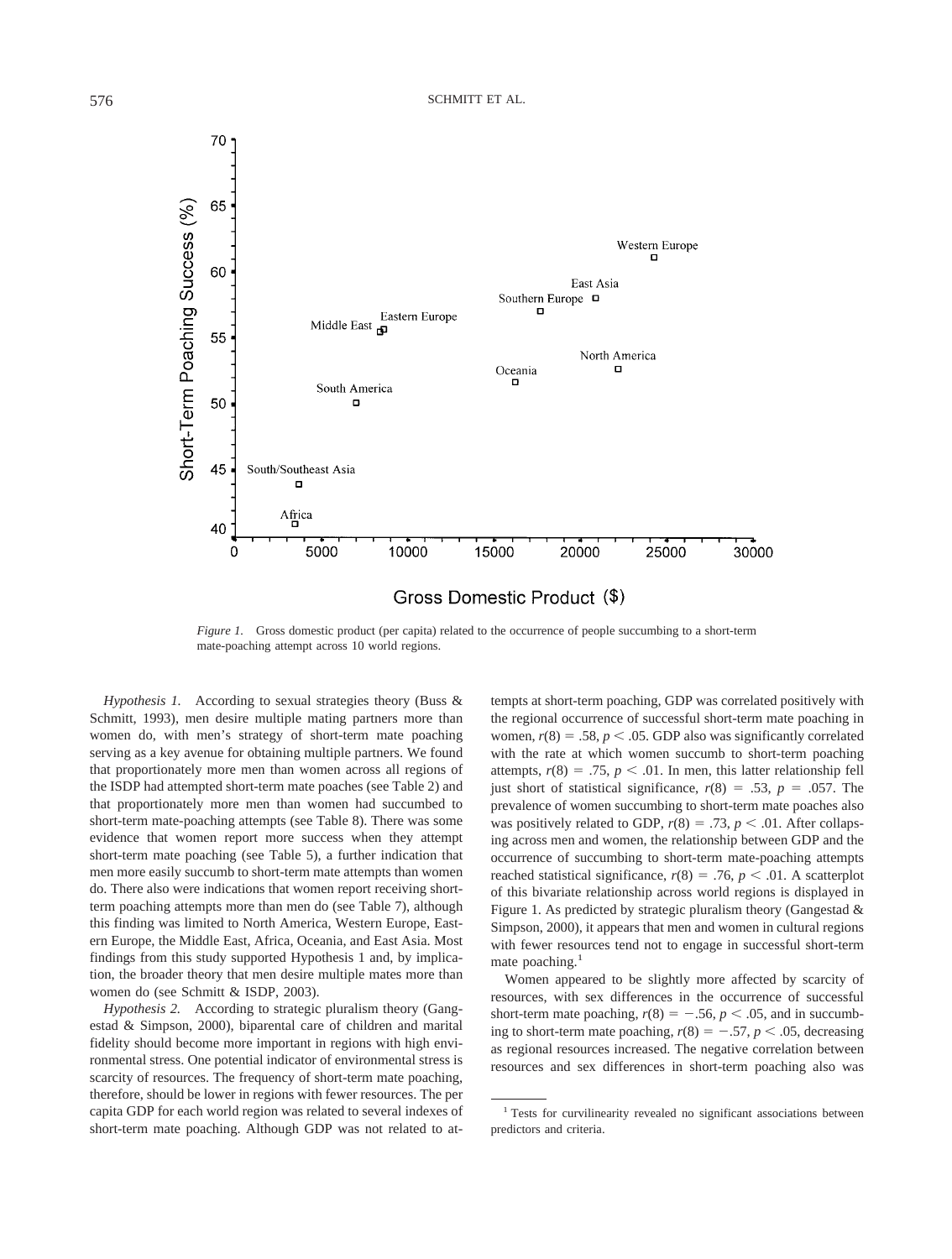

*Figure 1.* Gross domestic product (per capita) related to the occurrence of people succumbing to a short-term mate-poaching attempt across 10 world regions.

*Hypothesis 1.* According to sexual strategies theory (Buss & Schmitt, 1993), men desire multiple mating partners more than women do, with men's strategy of short-term mate poaching serving as a key avenue for obtaining multiple partners. We found that proportionately more men than women across all regions of the ISDP had attempted short-term mate poaches (see Table 2) and that proportionately more men than women had succumbed to short-term mate-poaching attempts (see Table 8). There was some evidence that women report more success when they attempt short-term mate poaching (see Table 5), a further indication that men more easily succumb to short-term mate attempts than women do. There also were indications that women report receiving shortterm poaching attempts more than men do (see Table 7), although this finding was limited to North America, Western Europe, Eastern Europe, the Middle East, Africa, Oceania, and East Asia. Most findings from this study supported Hypothesis 1 and, by implication, the broader theory that men desire multiple mates more than women do (see Schmitt & ISDP, 2003).

*Hypothesis 2.* According to strategic pluralism theory (Gangestad & Simpson, 2000), biparental care of children and marital fidelity should become more important in regions with high environmental stress. One potential indicator of environmental stress is scarcity of resources. The frequency of short-term mate poaching, therefore, should be lower in regions with fewer resources. The per capita GDP for each world region was related to several indexes of short-term mate poaching. Although GDP was not related to attempts at short-term poaching, GDP was correlated positively with the regional occurrence of successful short-term mate poaching in women,  $r(8) = .58$ ,  $p < .05$ . GDP also was significantly correlated with the rate at which women succumb to short-term poaching attempts,  $r(8) = .75$ ,  $p < .01$ . In men, this latter relationship fell just short of statistical significance,  $r(8) = .53$ ,  $p = .057$ . The prevalence of women succumbing to short-term mate poaches also was positively related to GDP,  $r(8) = .73$ ,  $p < .01$ . After collapsing across men and women, the relationship between GDP and the occurrence of succumbing to short-term mate-poaching attempts reached statistical significance,  $r(8) = .76$ ,  $p < .01$ . A scatterplot of this bivariate relationship across world regions is displayed in Figure 1. As predicted by strategic pluralism theory (Gangestad & Simpson, 2000), it appears that men and women in cultural regions with fewer resources tend not to engage in successful short-term mate poaching.<sup>1</sup>

Women appeared to be slightly more affected by scarcity of resources, with sex differences in the occurrence of successful short-term mate poaching,  $r(8) = -.56$ ,  $p < .05$ , and in succumbing to short-term mate poaching,  $r(8) = -.57$ ,  $p < .05$ , decreasing as regional resources increased. The negative correlation between resources and sex differences in short-term poaching also was

<sup>&</sup>lt;sup>1</sup> Tests for curvilinearity revealed no significant associations between predictors and criteria.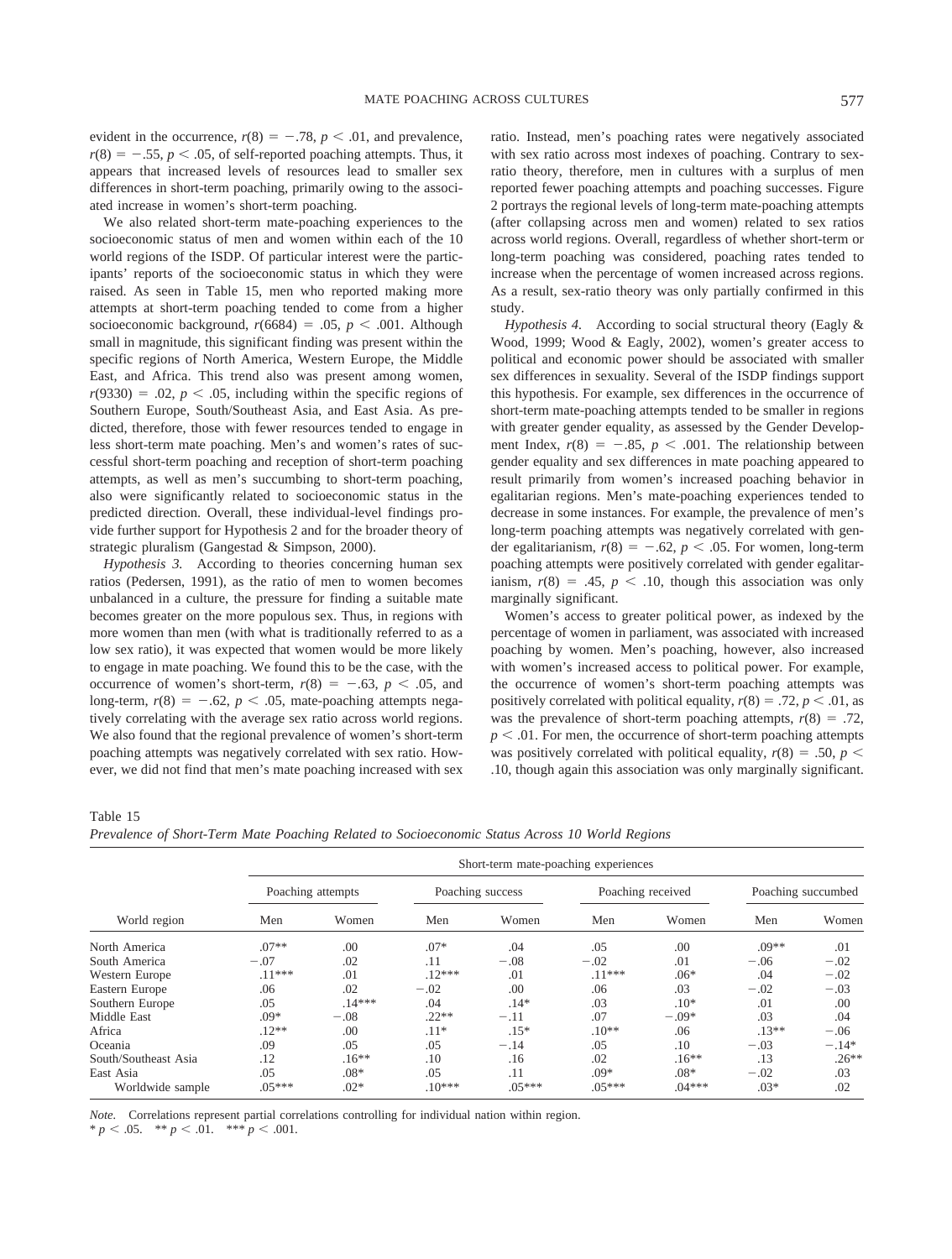evident in the occurrence,  $r(8) = -.78$ ,  $p < .01$ , and prevalence,  $r(8) = -.55$ ,  $p < .05$ , of self-reported poaching attempts. Thus, it appears that increased levels of resources lead to smaller sex differences in short-term poaching, primarily owing to the associated increase in women's short-term poaching.

We also related short-term mate-poaching experiences to the socioeconomic status of men and women within each of the 10 world regions of the ISDP. Of particular interest were the participants' reports of the socioeconomic status in which they were raised. As seen in Table 15, men who reported making more attempts at short-term poaching tended to come from a higher socioeconomic background,  $r(6684) = .05$ ,  $p < .001$ . Although small in magnitude, this significant finding was present within the specific regions of North America, Western Europe, the Middle East, and Africa. This trend also was present among women,  $r(9330) = .02$ ,  $p < .05$ , including within the specific regions of Southern Europe, South/Southeast Asia, and East Asia. As predicted, therefore, those with fewer resources tended to engage in less short-term mate poaching. Men's and women's rates of successful short-term poaching and reception of short-term poaching attempts, as well as men's succumbing to short-term poaching, also were significantly related to socioeconomic status in the predicted direction. Overall, these individual-level findings provide further support for Hypothesis 2 and for the broader theory of strategic pluralism (Gangestad & Simpson, 2000).

*Hypothesis 3.* According to theories concerning human sex ratios (Pedersen, 1991), as the ratio of men to women becomes unbalanced in a culture, the pressure for finding a suitable mate becomes greater on the more populous sex. Thus, in regions with more women than men (with what is traditionally referred to as a low sex ratio), it was expected that women would be more likely to engage in mate poaching. We found this to be the case, with the occurrence of women's short-term,  $r(8) = -.63$ ,  $p < .05$ , and long-term,  $r(8) = -.62$ ,  $p < .05$ , mate-poaching attempts negatively correlating with the average sex ratio across world regions. We also found that the regional prevalence of women's short-term poaching attempts was negatively correlated with sex ratio. However, we did not find that men's mate poaching increased with sex ratio. Instead, men's poaching rates were negatively associated with sex ratio across most indexes of poaching. Contrary to sexratio theory, therefore, men in cultures with a surplus of men reported fewer poaching attempts and poaching successes. Figure 2 portrays the regional levels of long-term mate-poaching attempts (after collapsing across men and women) related to sex ratios across world regions. Overall, regardless of whether short-term or long-term poaching was considered, poaching rates tended to increase when the percentage of women increased across regions. As a result, sex-ratio theory was only partially confirmed in this study.

*Hypothesis 4.* According to social structural theory (Eagly & Wood, 1999; Wood & Eagly, 2002), women's greater access to political and economic power should be associated with smaller sex differences in sexuality. Several of the ISDP findings support this hypothesis. For example, sex differences in the occurrence of short-term mate-poaching attempts tended to be smaller in regions with greater gender equality, as assessed by the Gender Development Index,  $r(8) = -.85$ ,  $p < .001$ . The relationship between gender equality and sex differences in mate poaching appeared to result primarily from women's increased poaching behavior in egalitarian regions. Men's mate-poaching experiences tended to decrease in some instances. For example, the prevalence of men's long-term poaching attempts was negatively correlated with gender egalitarianism,  $r(8) = -.62$ ,  $p < .05$ . For women, long-term poaching attempts were positively correlated with gender egalitarianism,  $r(8) = .45$ ,  $p < .10$ , though this association was only marginally significant.

Women's access to greater political power, as indexed by the percentage of women in parliament, was associated with increased poaching by women. Men's poaching, however, also increased with women's increased access to political power. For example, the occurrence of women's short-term poaching attempts was positively correlated with political equality,  $r(8) = .72$ ,  $p < .01$ , as was the prevalence of short-term poaching attempts,  $r(8) = .72$ ,  $p < .01$ . For men, the occurrence of short-term poaching attempts was positively correlated with political equality,  $r(8) = .50$ ,  $p <$ .10, though again this association was only marginally significant.

Table 15

*Prevalence of Short-Term Mate Poaching Related to Socioeconomic Status Across 10 World Regions*

| World region         | Short-term mate-poaching experiences |                   |          |                  |          |                   |                    |          |  |  |  |
|----------------------|--------------------------------------|-------------------|----------|------------------|----------|-------------------|--------------------|----------|--|--|--|
|                      |                                      | Poaching attempts |          | Poaching success |          | Poaching received | Poaching succumbed |          |  |  |  |
|                      | Men                                  | Women             | Men      | Women            | Men      | Women             | Men                | Women    |  |  |  |
| North America        | $.07**$                              | .00               | $.07*$   | .04              | .05      | .00               | $.09**$            | .01      |  |  |  |
| South America        | $-.07$                               | .02               | .11      | $-.08$           | $-.02$   | .01               | $-.06$             | $-.02$   |  |  |  |
| Western Europe       | $.11***$                             | .01               | $.12***$ | .01              | $.11***$ | $.06*$            | .04                | $-.02$   |  |  |  |
| Eastern Europe       | .06                                  | .02               | $-.02$   | .00.             | .06      | .03               | $-.02$             | $-.03$   |  |  |  |
| Southern Europe      | .05                                  | $.14***$          | .04      | $.14*$           | .03      | $.10*$            | .01                | .00      |  |  |  |
| Middle East          | $.09*$                               | $-.08$            | $.22**$  | $-.11$           | .07      | $-.09*$           | .03                | .04      |  |  |  |
| Africa               | $.12**$                              | .00               | $.11*$   | $.15*$           | $.10**$  | .06               | $.13**$            | $-.06$   |  |  |  |
| Oceania              | .09                                  | .05               | .05      | $-.14$           | .05      | .10               | $-.03$             | $-.14*$  |  |  |  |
| South/Southeast Asia | .12                                  | $.16**$           | .10      | .16              | .02      | $.16**$           | .13                | $.26***$ |  |  |  |
| East Asia            | .05                                  | $.08*$            | .05      | .11              | $.09*$   | $.08*$            | $-.02$             | .03      |  |  |  |
| Worldwide sample     | $.05***$                             | $.02*$            | $.10***$ | $.05***$         | $.05***$ | $.04***$          | $.03*$             | .02      |  |  |  |

*Note.* Correlations represent partial correlations controlling for individual nation within region.

 $* p < .05.$  \*\*  $p < .01.$  \*\*\*  $p < .001.$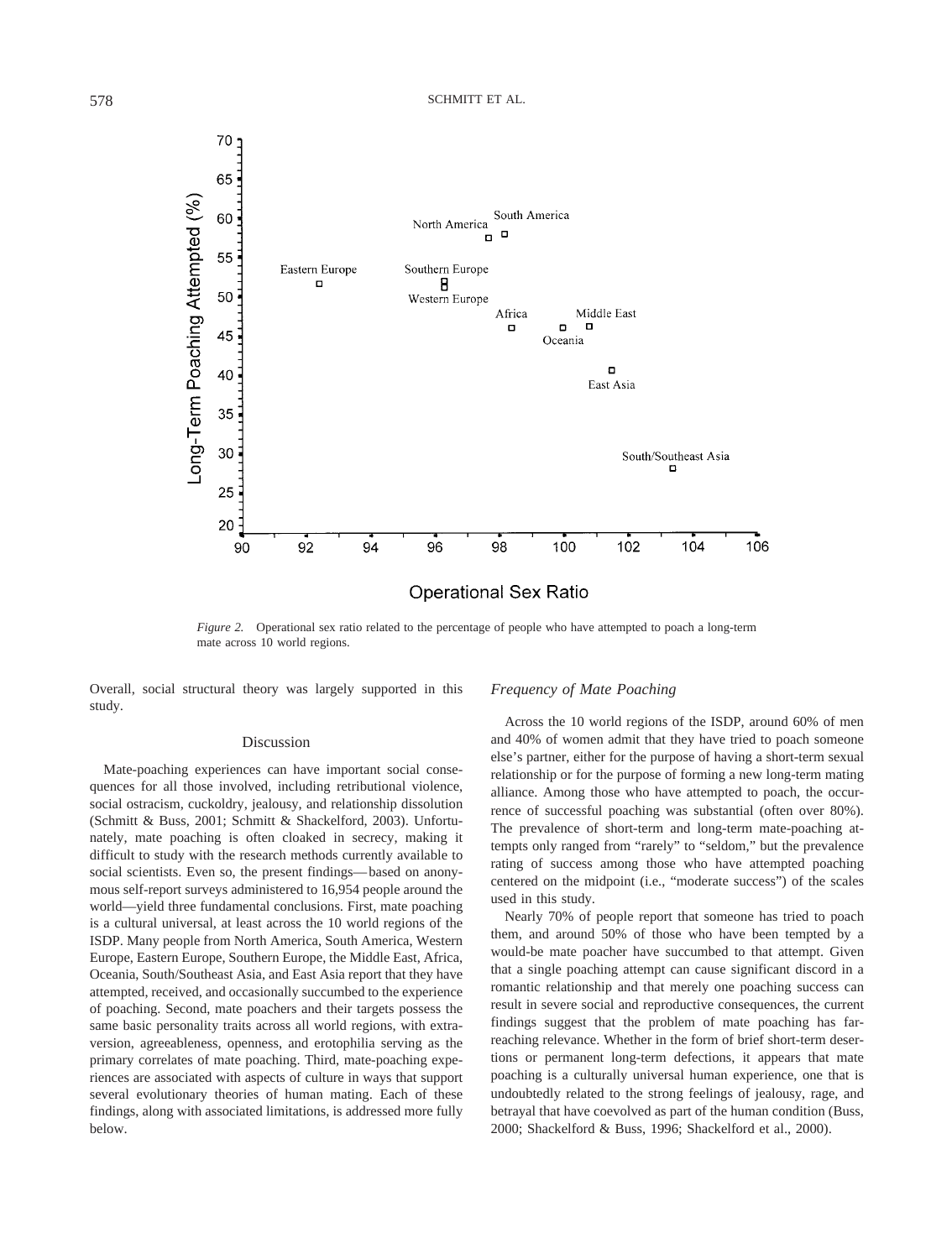

*Figure 2.* Operational sex ratio related to the percentage of people who have attempted to poach a long-term mate across 10 world regions.

Overall, social structural theory was largely supported in this study.

#### Discussion

Mate-poaching experiences can have important social consequences for all those involved, including retributional violence, social ostracism, cuckoldry, jealousy, and relationship dissolution (Schmitt & Buss, 2001; Schmitt & Shackelford, 2003). Unfortunately, mate poaching is often cloaked in secrecy, making it difficult to study with the research methods currently available to social scientists. Even so, the present findings—based on anonymous self-report surveys administered to 16,954 people around the world—yield three fundamental conclusions. First, mate poaching is a cultural universal, at least across the 10 world regions of the ISDP. Many people from North America, South America, Western Europe, Eastern Europe, Southern Europe, the Middle East, Africa, Oceania, South/Southeast Asia, and East Asia report that they have attempted, received, and occasionally succumbed to the experience of poaching. Second, mate poachers and their targets possess the same basic personality traits across all world regions, with extraversion, agreeableness, openness, and erotophilia serving as the primary correlates of mate poaching. Third, mate-poaching experiences are associated with aspects of culture in ways that support several evolutionary theories of human mating. Each of these findings, along with associated limitations, is addressed more fully below.

#### *Frequency of Mate Poaching*

Across the 10 world regions of the ISDP, around 60% of men and 40% of women admit that they have tried to poach someone else's partner, either for the purpose of having a short-term sexual relationship or for the purpose of forming a new long-term mating alliance. Among those who have attempted to poach, the occurrence of successful poaching was substantial (often over 80%). The prevalence of short-term and long-term mate-poaching attempts only ranged from "rarely" to "seldom," but the prevalence rating of success among those who have attempted poaching centered on the midpoint (i.e., "moderate success") of the scales used in this study.

Nearly 70% of people report that someone has tried to poach them, and around 50% of those who have been tempted by a would-be mate poacher have succumbed to that attempt. Given that a single poaching attempt can cause significant discord in a romantic relationship and that merely one poaching success can result in severe social and reproductive consequences, the current findings suggest that the problem of mate poaching has farreaching relevance. Whether in the form of brief short-term desertions or permanent long-term defections, it appears that mate poaching is a culturally universal human experience, one that is undoubtedly related to the strong feelings of jealousy, rage, and betrayal that have coevolved as part of the human condition (Buss, 2000; Shackelford & Buss, 1996; Shackelford et al., 2000).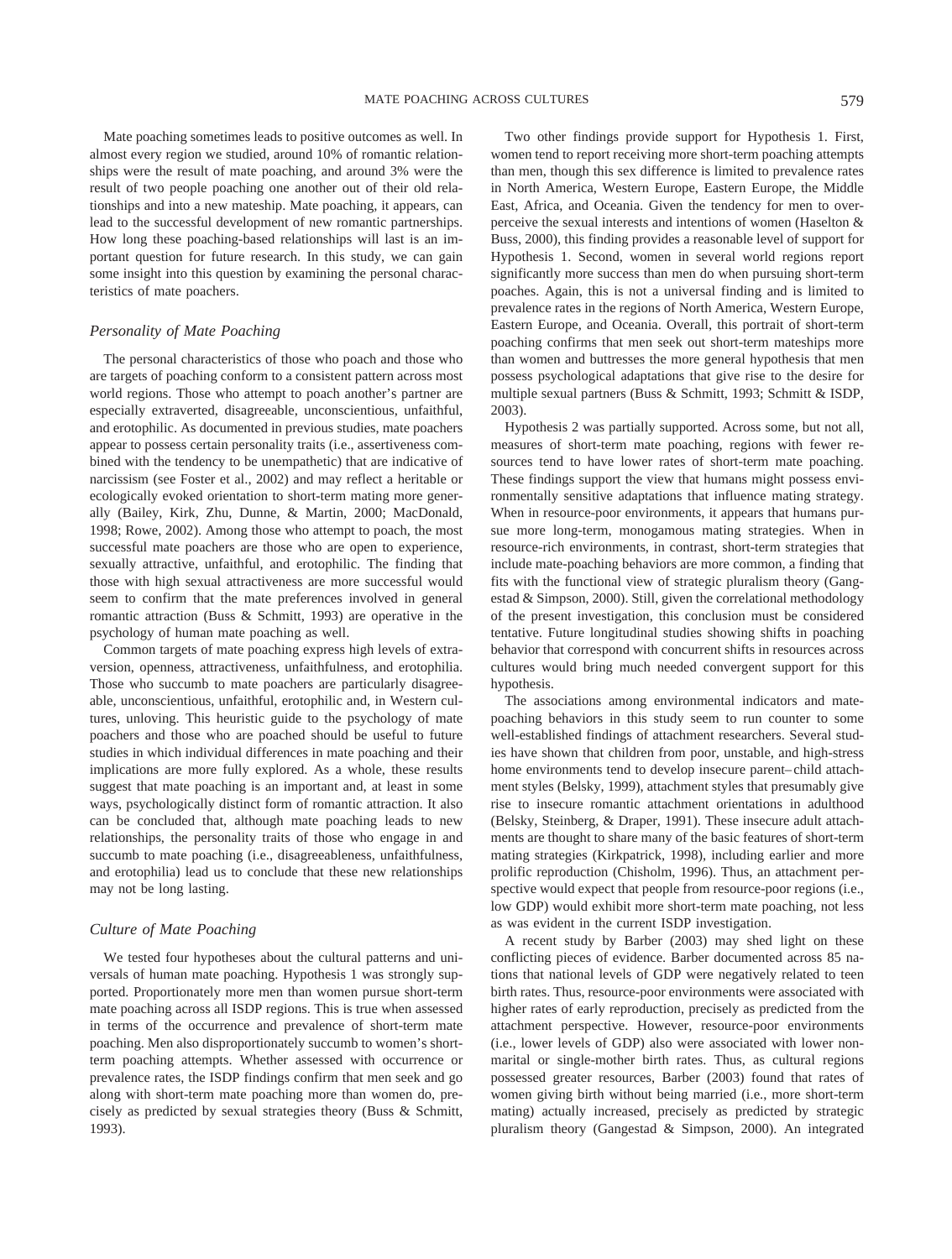Mate poaching sometimes leads to positive outcomes as well. In almost every region we studied, around 10% of romantic relationships were the result of mate poaching, and around 3% were the result of two people poaching one another out of their old relationships and into a new mateship. Mate poaching, it appears, can lead to the successful development of new romantic partnerships. How long these poaching-based relationships will last is an important question for future research. In this study, we can gain some insight into this question by examining the personal characteristics of mate poachers.

### *Personality of Mate Poaching*

The personal characteristics of those who poach and those who are targets of poaching conform to a consistent pattern across most world regions. Those who attempt to poach another's partner are especially extraverted, disagreeable, unconscientious, unfaithful, and erotophilic. As documented in previous studies, mate poachers appear to possess certain personality traits (i.e., assertiveness combined with the tendency to be unempathetic) that are indicative of narcissism (see Foster et al., 2002) and may reflect a heritable or ecologically evoked orientation to short-term mating more generally (Bailey, Kirk, Zhu, Dunne, & Martin, 2000; MacDonald, 1998; Rowe, 2002). Among those who attempt to poach, the most successful mate poachers are those who are open to experience, sexually attractive, unfaithful, and erotophilic. The finding that those with high sexual attractiveness are more successful would seem to confirm that the mate preferences involved in general romantic attraction (Buss & Schmitt, 1993) are operative in the psychology of human mate poaching as well.

Common targets of mate poaching express high levels of extraversion, openness, attractiveness, unfaithfulness, and erotophilia. Those who succumb to mate poachers are particularly disagreeable, unconscientious, unfaithful, erotophilic and, in Western cultures, unloving. This heuristic guide to the psychology of mate poachers and those who are poached should be useful to future studies in which individual differences in mate poaching and their implications are more fully explored. As a whole, these results suggest that mate poaching is an important and, at least in some ways, psychologically distinct form of romantic attraction. It also can be concluded that, although mate poaching leads to new relationships, the personality traits of those who engage in and succumb to mate poaching (i.e., disagreeableness, unfaithfulness, and erotophilia) lead us to conclude that these new relationships may not be long lasting.

### *Culture of Mate Poaching*

We tested four hypotheses about the cultural patterns and universals of human mate poaching. Hypothesis 1 was strongly supported. Proportionately more men than women pursue short-term mate poaching across all ISDP regions. This is true when assessed in terms of the occurrence and prevalence of short-term mate poaching. Men also disproportionately succumb to women's shortterm poaching attempts. Whether assessed with occurrence or prevalence rates, the ISDP findings confirm that men seek and go along with short-term mate poaching more than women do, precisely as predicted by sexual strategies theory (Buss & Schmitt, 1993).

Two other findings provide support for Hypothesis 1. First, women tend to report receiving more short-term poaching attempts than men, though this sex difference is limited to prevalence rates in North America, Western Europe, Eastern Europe, the Middle East, Africa, and Oceania. Given the tendency for men to overperceive the sexual interests and intentions of women (Haselton & Buss, 2000), this finding provides a reasonable level of support for Hypothesis 1. Second, women in several world regions report significantly more success than men do when pursuing short-term poaches. Again, this is not a universal finding and is limited to prevalence rates in the regions of North America, Western Europe, Eastern Europe, and Oceania. Overall, this portrait of short-term poaching confirms that men seek out short-term mateships more than women and buttresses the more general hypothesis that men possess psychological adaptations that give rise to the desire for multiple sexual partners (Buss & Schmitt, 1993; Schmitt & ISDP, 2003).

Hypothesis 2 was partially supported. Across some, but not all, measures of short-term mate poaching, regions with fewer resources tend to have lower rates of short-term mate poaching. These findings support the view that humans might possess environmentally sensitive adaptations that influence mating strategy. When in resource-poor environments, it appears that humans pursue more long-term, monogamous mating strategies. When in resource-rich environments, in contrast, short-term strategies that include mate-poaching behaviors are more common, a finding that fits with the functional view of strategic pluralism theory (Gangestad & Simpson, 2000). Still, given the correlational methodology of the present investigation, this conclusion must be considered tentative. Future longitudinal studies showing shifts in poaching behavior that correspond with concurrent shifts in resources across cultures would bring much needed convergent support for this hypothesis.

The associations among environmental indicators and matepoaching behaviors in this study seem to run counter to some well-established findings of attachment researchers. Several studies have shown that children from poor, unstable, and high-stress home environments tend to develop insecure parent–child attachment styles (Belsky, 1999), attachment styles that presumably give rise to insecure romantic attachment orientations in adulthood (Belsky, Steinberg, & Draper, 1991). These insecure adult attachments are thought to share many of the basic features of short-term mating strategies (Kirkpatrick, 1998), including earlier and more prolific reproduction (Chisholm, 1996). Thus, an attachment perspective would expect that people from resource-poor regions (i.e., low GDP) would exhibit more short-term mate poaching, not less as was evident in the current ISDP investigation.

A recent study by Barber (2003) may shed light on these conflicting pieces of evidence. Barber documented across 85 nations that national levels of GDP were negatively related to teen birth rates. Thus, resource-poor environments were associated with higher rates of early reproduction, precisely as predicted from the attachment perspective. However, resource-poor environments (i.e., lower levels of GDP) also were associated with lower nonmarital or single-mother birth rates. Thus, as cultural regions possessed greater resources, Barber (2003) found that rates of women giving birth without being married (i.e., more short-term mating) actually increased, precisely as predicted by strategic pluralism theory (Gangestad & Simpson, 2000). An integrated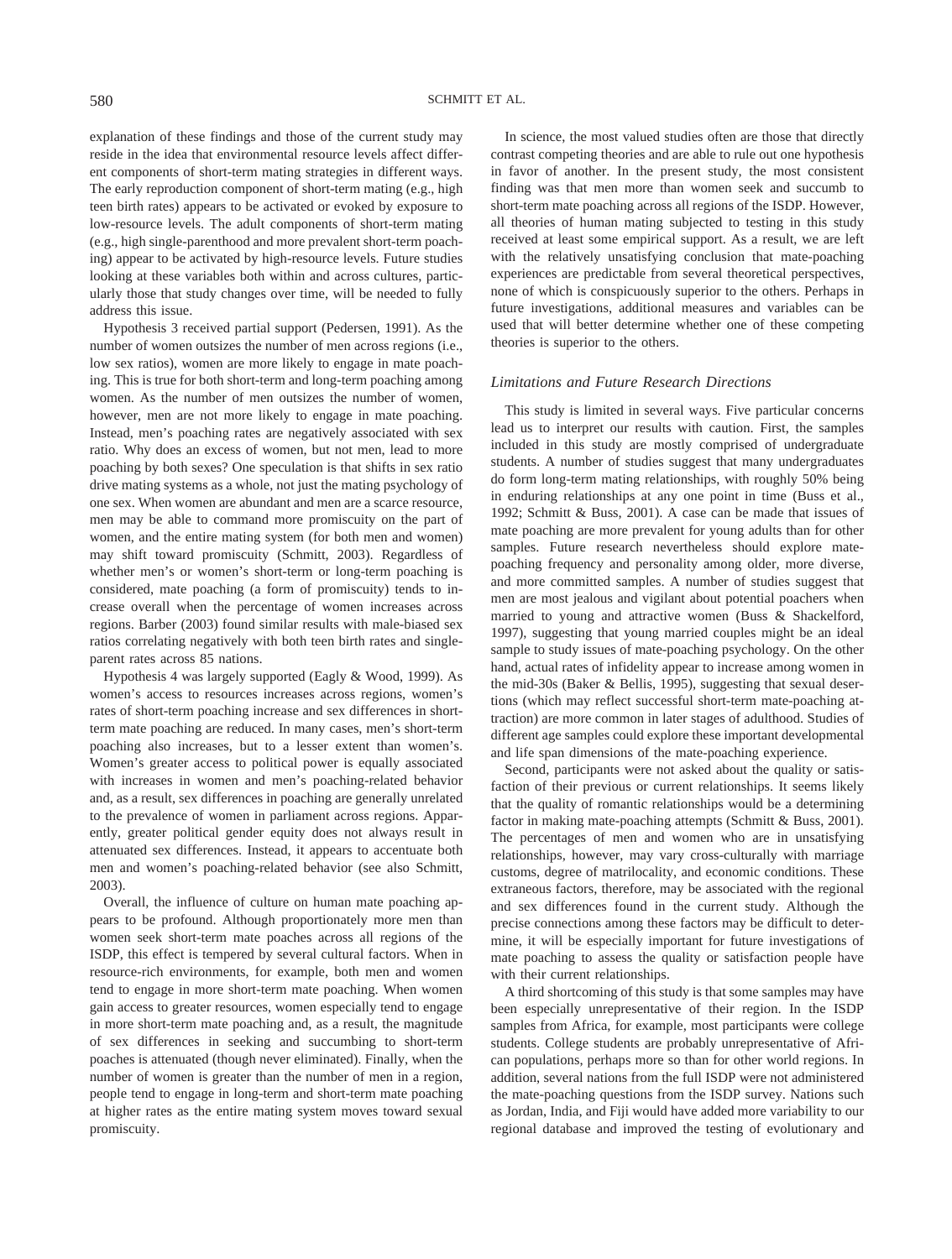explanation of these findings and those of the current study may reside in the idea that environmental resource levels affect different components of short-term mating strategies in different ways. The early reproduction component of short-term mating (e.g., high teen birth rates) appears to be activated or evoked by exposure to low-resource levels. The adult components of short-term mating (e.g., high single-parenthood and more prevalent short-term poaching) appear to be activated by high-resource levels. Future studies looking at these variables both within and across cultures, particularly those that study changes over time, will be needed to fully address this issue.

Hypothesis 3 received partial support (Pedersen, 1991). As the number of women outsizes the number of men across regions (i.e., low sex ratios), women are more likely to engage in mate poaching. This is true for both short-term and long-term poaching among women. As the number of men outsizes the number of women, however, men are not more likely to engage in mate poaching. Instead, men's poaching rates are negatively associated with sex ratio. Why does an excess of women, but not men, lead to more poaching by both sexes? One speculation is that shifts in sex ratio drive mating systems as a whole, not just the mating psychology of one sex. When women are abundant and men are a scarce resource, men may be able to command more promiscuity on the part of women, and the entire mating system (for both men and women) may shift toward promiscuity (Schmitt, 2003). Regardless of whether men's or women's short-term or long-term poaching is considered, mate poaching (a form of promiscuity) tends to increase overall when the percentage of women increases across regions. Barber (2003) found similar results with male-biased sex ratios correlating negatively with both teen birth rates and singleparent rates across 85 nations.

Hypothesis 4 was largely supported (Eagly & Wood, 1999). As women's access to resources increases across regions, women's rates of short-term poaching increase and sex differences in shortterm mate poaching are reduced. In many cases, men's short-term poaching also increases, but to a lesser extent than women's. Women's greater access to political power is equally associated with increases in women and men's poaching-related behavior and, as a result, sex differences in poaching are generally unrelated to the prevalence of women in parliament across regions. Apparently, greater political gender equity does not always result in attenuated sex differences. Instead, it appears to accentuate both men and women's poaching-related behavior (see also Schmitt, 2003).

Overall, the influence of culture on human mate poaching appears to be profound. Although proportionately more men than women seek short-term mate poaches across all regions of the ISDP, this effect is tempered by several cultural factors. When in resource-rich environments, for example, both men and women tend to engage in more short-term mate poaching. When women gain access to greater resources, women especially tend to engage in more short-term mate poaching and, as a result, the magnitude of sex differences in seeking and succumbing to short-term poaches is attenuated (though never eliminated). Finally, when the number of women is greater than the number of men in a region, people tend to engage in long-term and short-term mate poaching at higher rates as the entire mating system moves toward sexual promiscuity.

In science, the most valued studies often are those that directly contrast competing theories and are able to rule out one hypothesis in favor of another. In the present study, the most consistent finding was that men more than women seek and succumb to short-term mate poaching across all regions of the ISDP. However, all theories of human mating subjected to testing in this study received at least some empirical support. As a result, we are left with the relatively unsatisfying conclusion that mate-poaching experiences are predictable from several theoretical perspectives, none of which is conspicuously superior to the others. Perhaps in future investigations, additional measures and variables can be used that will better determine whether one of these competing theories is superior to the others.

#### *Limitations and Future Research Directions*

This study is limited in several ways. Five particular concerns lead us to interpret our results with caution. First, the samples included in this study are mostly comprised of undergraduate students. A number of studies suggest that many undergraduates do form long-term mating relationships, with roughly 50% being in enduring relationships at any one point in time (Buss et al., 1992; Schmitt & Buss, 2001). A case can be made that issues of mate poaching are more prevalent for young adults than for other samples. Future research nevertheless should explore matepoaching frequency and personality among older, more diverse, and more committed samples. A number of studies suggest that men are most jealous and vigilant about potential poachers when married to young and attractive women (Buss & Shackelford, 1997), suggesting that young married couples might be an ideal sample to study issues of mate-poaching psychology. On the other hand, actual rates of infidelity appear to increase among women in the mid-30s (Baker & Bellis, 1995), suggesting that sexual desertions (which may reflect successful short-term mate-poaching attraction) are more common in later stages of adulthood. Studies of different age samples could explore these important developmental and life span dimensions of the mate-poaching experience.

Second, participants were not asked about the quality or satisfaction of their previous or current relationships. It seems likely that the quality of romantic relationships would be a determining factor in making mate-poaching attempts (Schmitt & Buss, 2001). The percentages of men and women who are in unsatisfying relationships, however, may vary cross-culturally with marriage customs, degree of matrilocality, and economic conditions. These extraneous factors, therefore, may be associated with the regional and sex differences found in the current study. Although the precise connections among these factors may be difficult to determine, it will be especially important for future investigations of mate poaching to assess the quality or satisfaction people have with their current relationships.

A third shortcoming of this study is that some samples may have been especially unrepresentative of their region. In the ISDP samples from Africa, for example, most participants were college students. College students are probably unrepresentative of African populations, perhaps more so than for other world regions. In addition, several nations from the full ISDP were not administered the mate-poaching questions from the ISDP survey. Nations such as Jordan, India, and Fiji would have added more variability to our regional database and improved the testing of evolutionary and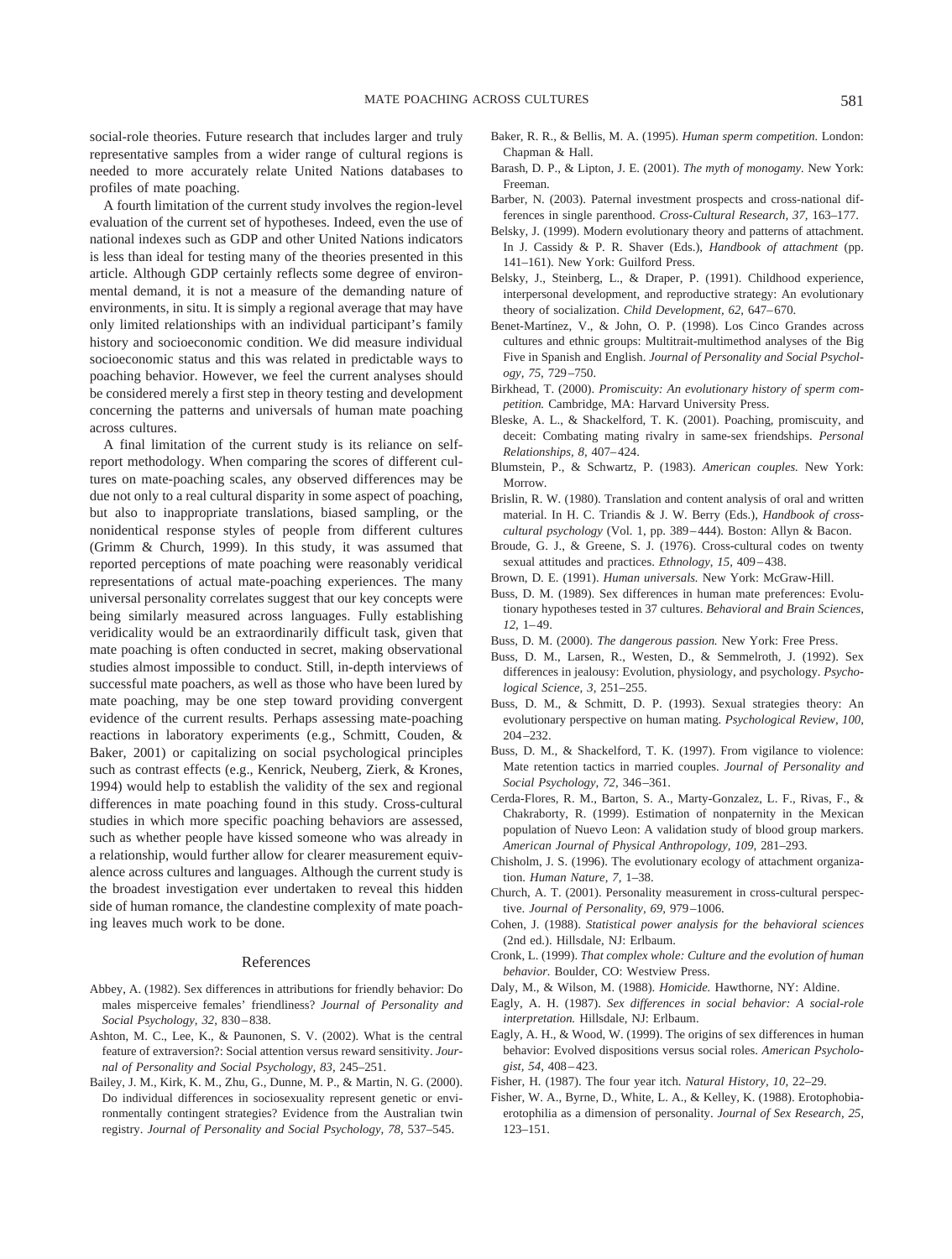social-role theories. Future research that includes larger and truly representative samples from a wider range of cultural regions is needed to more accurately relate United Nations databases to profiles of mate poaching.

A fourth limitation of the current study involves the region-level evaluation of the current set of hypotheses. Indeed, even the use of national indexes such as GDP and other United Nations indicators is less than ideal for testing many of the theories presented in this article. Although GDP certainly reflects some degree of environmental demand, it is not a measure of the demanding nature of environments, in situ. It is simply a regional average that may have only limited relationships with an individual participant's family history and socioeconomic condition. We did measure individual socioeconomic status and this was related in predictable ways to poaching behavior. However, we feel the current analyses should be considered merely a first step in theory testing and development concerning the patterns and universals of human mate poaching across cultures.

A final limitation of the current study is its reliance on selfreport methodology. When comparing the scores of different cultures on mate-poaching scales, any observed differences may be due not only to a real cultural disparity in some aspect of poaching, but also to inappropriate translations, biased sampling, or the nonidentical response styles of people from different cultures (Grimm & Church, 1999). In this study, it was assumed that reported perceptions of mate poaching were reasonably veridical representations of actual mate-poaching experiences. The many universal personality correlates suggest that our key concepts were being similarly measured across languages. Fully establishing veridicality would be an extraordinarily difficult task, given that mate poaching is often conducted in secret, making observational studies almost impossible to conduct. Still, in-depth interviews of successful mate poachers, as well as those who have been lured by mate poaching, may be one step toward providing convergent evidence of the current results. Perhaps assessing mate-poaching reactions in laboratory experiments (e.g., Schmitt, Couden, & Baker, 2001) or capitalizing on social psychological principles such as contrast effects (e.g., Kenrick, Neuberg, Zierk, & Krones, 1994) would help to establish the validity of the sex and regional differences in mate poaching found in this study. Cross-cultural studies in which more specific poaching behaviors are assessed, such as whether people have kissed someone who was already in a relationship, would further allow for clearer measurement equivalence across cultures and languages. Although the current study is the broadest investigation ever undertaken to reveal this hidden side of human romance, the clandestine complexity of mate poaching leaves much work to be done.

#### References

- Abbey, A. (1982). Sex differences in attributions for friendly behavior: Do males misperceive females' friendliness? *Journal of Personality and Social Psychology, 32,* 830–838.
- Ashton, M. C., Lee, K., & Paunonen, S. V. (2002). What is the central feature of extraversion?: Social attention versus reward sensitivity. *Journal of Personality and Social Psychology, 83,* 245–251.
- Bailey, J. M., Kirk, K. M., Zhu, G., Dunne, M. P., & Martin, N. G. (2000). Do individual differences in sociosexuality represent genetic or environmentally contingent strategies? Evidence from the Australian twin registry. *Journal of Personality and Social Psychology, 78,* 537–545.
- Baker, R. R., & Bellis, M. A. (1995). *Human sperm competition.* London: Chapman & Hall.
- Barash, D. P., & Lipton, J. E. (2001). *The myth of monogamy.* New York: Freeman.
- Barber, N. (2003). Paternal investment prospects and cross-national differences in single parenthood. *Cross-Cultural Research, 37,* 163–177.
- Belsky, J. (1999). Modern evolutionary theory and patterns of attachment. In J. Cassidy & P. R. Shaver (Eds.), *Handbook of attachment* (pp. 141–161). New York: Guilford Press.
- Belsky, J., Steinberg, L., & Draper, P. (1991). Childhood experience, interpersonal development, and reproductive strategy: An evolutionary theory of socialization. *Child Development, 62,* 647–670.
- Benet-Martínez, V., & John, O. P. (1998). Los Cinco Grandes across cultures and ethnic groups: Multitrait-multimethod analyses of the Big Five in Spanish and English. *Journal of Personality and Social Psychology, 75,* 729–750.
- Birkhead, T. (2000). *Promiscuity: An evolutionary history of sperm competition.* Cambridge, MA: Harvard University Press.
- Bleske, A. L., & Shackelford, T. K. (2001). Poaching, promiscuity, and deceit: Combating mating rivalry in same-sex friendships. *Personal Relationships, 8,* 407–424.
- Blumstein, P., & Schwartz, P. (1983). *American couples.* New York: Morrow.
- Brislin, R. W. (1980). Translation and content analysis of oral and written material. In H. C. Triandis & J. W. Berry (Eds.), *Handbook of crosscultural psychology* (Vol. 1, pp. 389–444). Boston: Allyn & Bacon.
- Broude, G. J., & Greene, S. J. (1976). Cross-cultural codes on twenty sexual attitudes and practices. *Ethnology, 15,* 409–438.
- Brown, D. E. (1991). *Human universals.* New York: McGraw-Hill.
- Buss, D. M. (1989). Sex differences in human mate preferences: Evolutionary hypotheses tested in 37 cultures. *Behavioral and Brain Sciences, 12,* 1–49.
- Buss, D. M. (2000). *The dangerous passion.* New York: Free Press.
- Buss, D. M., Larsen, R., Westen, D., & Semmelroth, J. (1992). Sex differences in jealousy: Evolution, physiology, and psychology. *Psychological Science, 3,* 251–255.
- Buss, D. M., & Schmitt, D. P. (1993). Sexual strategies theory: An evolutionary perspective on human mating. *Psychological Review, 100,* 204–232.
- Buss, D. M., & Shackelford, T. K. (1997). From vigilance to violence: Mate retention tactics in married couples. *Journal of Personality and Social Psychology, 72,* 346–361.
- Cerda-Flores, R. M., Barton, S. A., Marty-Gonzalez, L. F., Rivas, F., & Chakraborty, R. (1999). Estimation of nonpaternity in the Mexican population of Nuevo Leon: A validation study of blood group markers. *American Journal of Physical Anthropology, 109,* 281–293.
- Chisholm, J. S. (1996). The evolutionary ecology of attachment organization. *Human Nature, 7,* 1–38.
- Church, A. T. (2001). Personality measurement in cross-cultural perspective. *Journal of Personality, 69,* 979–1006.
- Cohen, J. (1988). *Statistical power analysis for the behavioral sciences* (2nd ed.). Hillsdale, NJ: Erlbaum.
- Cronk, L. (1999). *That complex whole: Culture and the evolution of human behavior.* Boulder, CO: Westview Press.
- Daly, M., & Wilson, M. (1988). *Homicide.* Hawthorne, NY: Aldine.
- Eagly, A. H. (1987). *Sex differences in social behavior: A social-role interpretation.* Hillsdale, NJ: Erlbaum.
- Eagly, A. H., & Wood, W. (1999). The origins of sex differences in human behavior: Evolved dispositions versus social roles. *American Psychologist, 54,* 408–423.
- Fisher, H. (1987). The four year itch. *Natural History, 10,* 22–29.
- Fisher, W. A., Byrne, D., White, L. A., & Kelley, K. (1988). Erotophobiaerotophilia as a dimension of personality. *Journal of Sex Research, 25,* 123–151.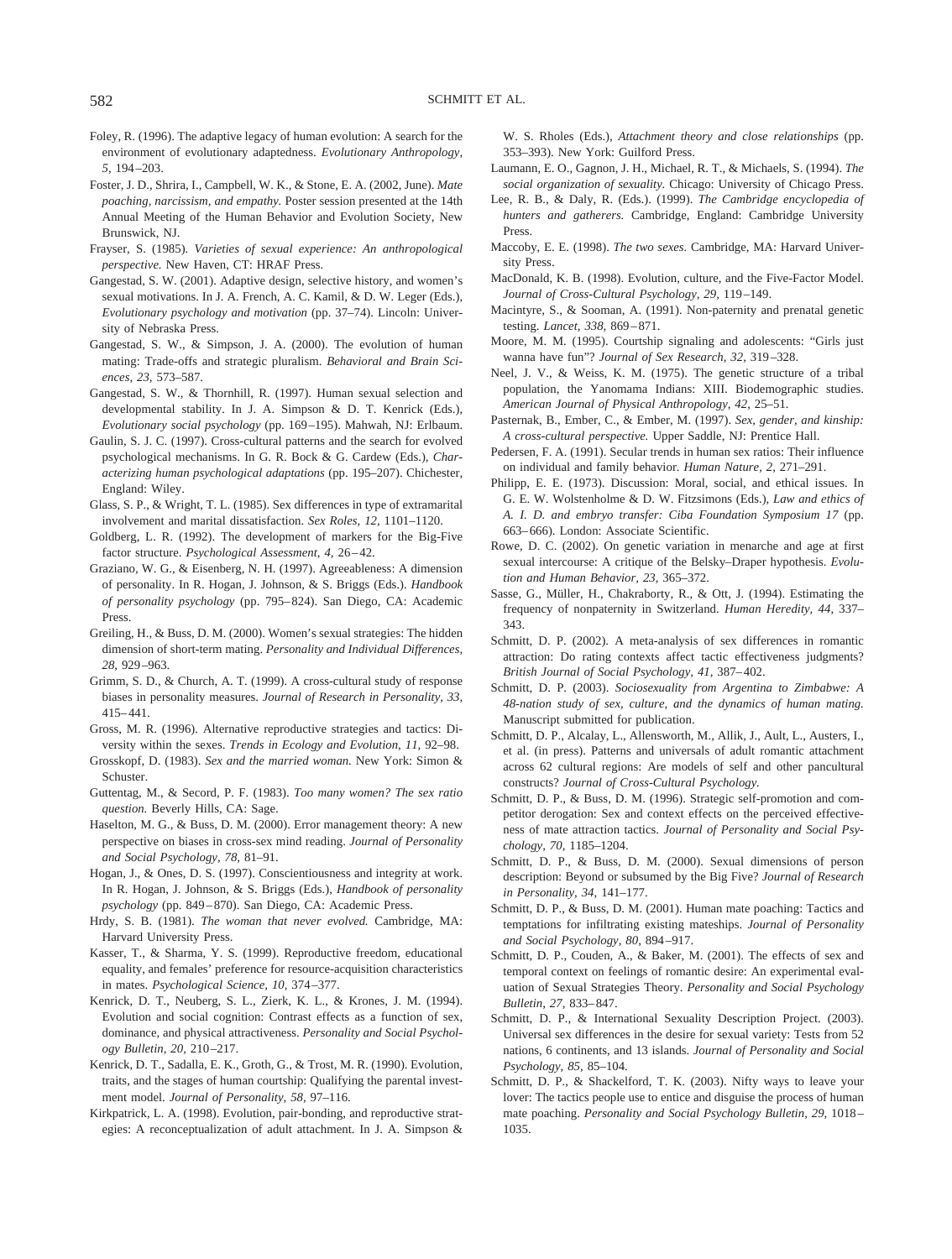- Foley, R. (1996). The adaptive legacy of human evolution: A search for the environment of evolutionary adaptedness. *Evolutionary Anthropology, 5,* 194–203.
- Foster, J. D., Shrira, I., Campbell, W. K., & Stone, E. A. (2002, June). *Mate poaching, narcissism, and empathy.* Poster session presented at the 14th Annual Meeting of the Human Behavior and Evolution Society, New Brunswick, NJ.
- Frayser, S. (1985). *Varieties of sexual experience: An anthropological perspective.* New Haven, CT: HRAF Press.
- Gangestad, S. W. (2001). Adaptive design, selective history, and women's sexual motivations. In J. A. French, A. C. Kamil, & D. W. Leger (Eds.), *Evolutionary psychology and motivation* (pp. 37–74). Lincoln: University of Nebraska Press.
- Gangestad, S. W., & Simpson, J. A. (2000). The evolution of human mating: Trade-offs and strategic pluralism. *Behavioral and Brain Sciences, 23,* 573–587.
- Gangestad, S. W., & Thornhill, R. (1997). Human sexual selection and developmental stability. In J. A. Simpson & D. T. Kenrick (Eds.), *Evolutionary social psychology* (pp. 169–195). Mahwah, NJ: Erlbaum.
- Gaulin, S. J. C. (1997). Cross-cultural patterns and the search for evolved psychological mechanisms. In G. R. Bock & G. Cardew (Eds.), *Characterizing human psychological adaptations* (pp. 195–207). Chichester, England: Wiley.
- Glass, S. P., & Wright, T. L. (1985). Sex differences in type of extramarital involvement and marital dissatisfaction. *Sex Roles, 12,* 1101–1120.
- Goldberg, L. R. (1992). The development of markers for the Big-Five factor structure. *Psychological Assessment, 4,* 26–42.
- Graziano, W. G., & Eisenberg, N. H. (1997). Agreeableness: A dimension of personality. In R. Hogan, J. Johnson, & S. Briggs (Eds.). *Handbook of personality psychology* (pp. 795–824). San Diego, CA: Academic Press.
- Greiling, H., & Buss, D. M. (2000). Women's sexual strategies: The hidden dimension of short-term mating. *Personality and Individual Differences, 28,* 929–963.
- Grimm, S. D., & Church, A. T. (1999). A cross-cultural study of response biases in personality measures. *Journal of Research in Personality, 33,* 415–441.
- Gross, M. R. (1996). Alternative reproductive strategies and tactics: Diversity within the sexes. *Trends in Ecology and Evolution, 11,* 92–98.
- Grosskopf, D. (1983). *Sex and the married woman.* New York: Simon & Schuster.
- Guttentag, M., & Secord, P. F. (1983). *Too many women? The sex ratio question.* Beverly Hills, CA: Sage.
- Haselton, M. G., & Buss, D. M. (2000). Error management theory: A new perspective on biases in cross-sex mind reading. *Journal of Personality and Social Psychology, 78,* 81–91.
- Hogan, J., & Ones, D. S. (1997). Conscientiousness and integrity at work. In R. Hogan, J. Johnson, & S. Briggs (Eds.), *Handbook of personality psychology* (pp. 849–870). San Diego, CA: Academic Press.
- Hrdy, S. B. (1981). *The woman that never evolved.* Cambridge, MA: Harvard University Press.
- Kasser, T., & Sharma, Y. S. (1999). Reproductive freedom, educational equality, and females' preference for resource-acquisition characteristics in mates. *Psychological Science, 10,* 374–377.
- Kenrick, D. T., Neuberg, S. L., Zierk, K. L., & Krones, J. M. (1994). Evolution and social cognition: Contrast effects as a function of sex, dominance, and physical attractiveness. *Personality and Social Psychology Bulletin, 20,* 210–217.
- Kenrick, D. T., Sadalla, E. K., Groth, G., & Trost, M. R. (1990). Evolution, traits, and the stages of human courtship: Qualifying the parental investment model. *Journal of Personality, 58,* 97–116.
- Kirkpatrick, L. A. (1998). Evolution, pair-bonding, and reproductive strategies: A reconceptualization of adult attachment. In J. A. Simpson &

W. S. Rholes (Eds.), *Attachment theory and close relationships* (pp. 353–393). New York: Guilford Press.

- Laumann, E. O., Gagnon, J. H., Michael, R. T., & Michaels, S. (1994). *The social organization of sexuality.* Chicago: University of Chicago Press.
- Lee, R. B., & Daly, R. (Eds.). (1999). *The Cambridge encyclopedia of hunters and gatherers.* Cambridge, England: Cambridge University Press.
- Maccoby, E. E. (1998). *The two sexes.* Cambridge, MA: Harvard University Press.
- MacDonald, K. B. (1998). Evolution, culture, and the Five-Factor Model. *Journal of Cross-Cultural Psychology, 29,* 119–149.
- Macintyre, S., & Sooman, A. (1991). Non-paternity and prenatal genetic testing. *Lancet, 338,* 869–871.
- Moore, M. M. (1995). Courtship signaling and adolescents: "Girls just wanna have fun"? *Journal of Sex Research, 32,* 319–328.
- Neel, J. V., & Weiss, K. M. (1975). The genetic structure of a tribal population, the Yanomama Indians: XIII. Biodemographic studies. *American Journal of Physical Anthropology, 42,* 25–51.
- Pasternak, B., Ember, C., & Ember, M. (1997). *Sex, gender, and kinship: A cross-cultural perspective.* Upper Saddle, NJ: Prentice Hall.
- Pedersen, F. A. (1991). Secular trends in human sex ratios: Their influence on individual and family behavior. *Human Nature, 2,* 271–291.
- Philipp, E. E. (1973). Discussion: Moral, social, and ethical issues. In G. E. W. Wolstenholme & D. W. Fitzsimons (Eds.), *Law and ethics of A. I. D. and embryo transfer: Ciba Foundation Symposium 17* (pp. 663–666). London: Associate Scientific.
- Rowe, D. C. (2002). On genetic variation in menarche and age at first sexual intercourse: A critique of the Belsky–Draper hypothesis. *Evolution and Human Behavior, 23,* 365–372.
- Sasse, G., Müller, H., Chakraborty, R., & Ott, J. (1994). Estimating the frequency of nonpaternity in Switzerland. *Human Heredity, 44,* 337– 343.
- Schmitt, D. P. (2002). A meta-analysis of sex differences in romantic attraction: Do rating contexts affect tactic effectiveness judgments? *British Journal of Social Psychology, 41,* 387–402.
- Schmitt, D. P. (2003). *Sociosexuality from Argentina to Zimbabwe: A 48-nation study of sex, culture, and the dynamics of human mating.* Manuscript submitted for publication.
- Schmitt, D. P., Alcalay, L., Allensworth, M., Allik, J., Ault, L., Austers, I., et al. (in press). Patterns and universals of adult romantic attachment across 62 cultural regions: Are models of self and other pancultural constructs? *Journal of Cross-Cultural Psychology.*
- Schmitt, D. P., & Buss, D. M. (1996). Strategic self-promotion and competitor derogation: Sex and context effects on the perceived effectiveness of mate attraction tactics. *Journal of Personality and Social Psychology, 70,* 1185–1204.
- Schmitt, D. P., & Buss, D. M. (2000). Sexual dimensions of person description: Beyond or subsumed by the Big Five? *Journal of Research in Personality, 34,* 141–177.
- Schmitt, D. P., & Buss, D. M. (2001). Human mate poaching: Tactics and temptations for infiltrating existing mateships. *Journal of Personality and Social Psychology, 80,* 894–917.
- Schmitt, D. P., Couden, A., & Baker, M. (2001). The effects of sex and temporal context on feelings of romantic desire: An experimental evaluation of Sexual Strategies Theory. *Personality and Social Psychology Bulletin, 27,* 833–847.
- Schmitt, D. P., & International Sexuality Description Project. (2003). Universal sex differences in the desire for sexual variety: Tests from 52 nations, 6 continents, and 13 islands. *Journal of Personality and Social Psychology, 85,* 85–104.
- Schmitt, D. P., & Shackelford, T. K. (2003). Nifty ways to leave your lover: The tactics people use to entice and disguise the process of human mate poaching. *Personality and Social Psychology Bulletin, 29,* 1018– 1035.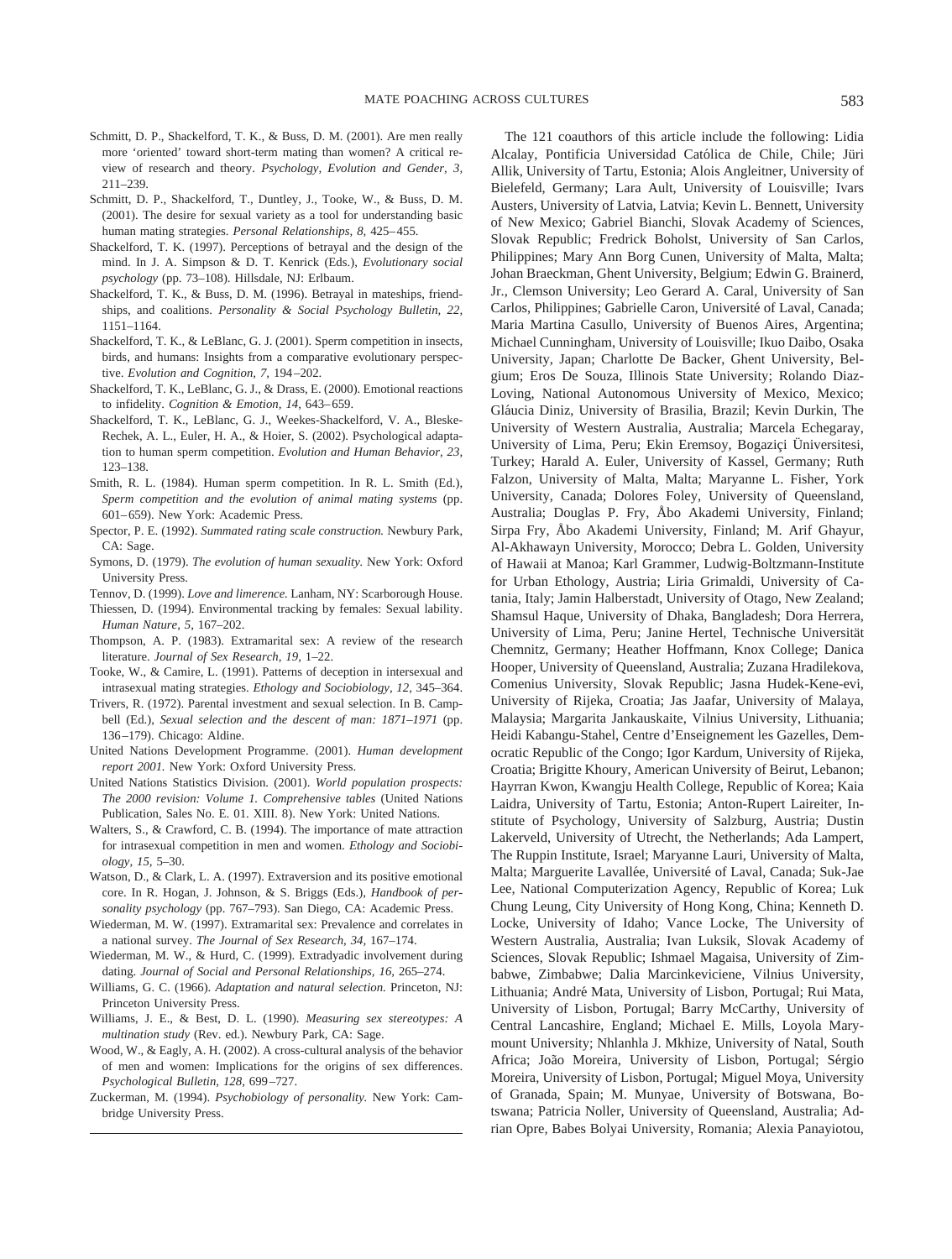- Schmitt, D. P., Shackelford, T. K., & Buss, D. M. (2001). Are men really more 'oriented' toward short-term mating than women? A critical review of research and theory. *Psychology, Evolution and Gender, 3,* 211–239.
- Schmitt, D. P., Shackelford, T., Duntley, J., Tooke, W., & Buss, D. M. (2001). The desire for sexual variety as a tool for understanding basic human mating strategies. *Personal Relationships, 8,* 425–455.
- Shackelford, T. K. (1997). Perceptions of betrayal and the design of the mind. In J. A. Simpson & D. T. Kenrick (Eds.), *Evolutionary social psychology* (pp. 73–108). Hillsdale, NJ: Erlbaum.
- Shackelford, T. K., & Buss, D. M. (1996). Betrayal in mateships, friendships, and coalitions. *Personality & Social Psychology Bulletin, 22,* 1151–1164.
- Shackelford, T. K., & LeBlanc, G. J. (2001). Sperm competition in insects, birds, and humans: Insights from a comparative evolutionary perspective. *Evolution and Cognition, 7,* 194–202.
- Shackelford, T. K., LeBlanc, G. J., & Drass, E. (2000). Emotional reactions to infidelity. *Cognition & Emotion, 14,* 643–659.
- Shackelford, T. K., LeBlanc, G. J., Weekes-Shackelford, V. A., Bleske-Rechek, A. L., Euler, H. A., & Hoier, S. (2002). Psychological adaptation to human sperm competition. *Evolution and Human Behavior, 23,* 123–138.
- Smith, R. L. (1984). Human sperm competition. In R. L. Smith (Ed.), *Sperm competition and the evolution of animal mating systems* (pp. 601–659). New York: Academic Press.
- Spector, P. E. (1992). *Summated rating scale construction.* Newbury Park, CA: Sage.
- Symons, D. (1979). *The evolution of human sexuality.* New York: Oxford University Press.
- Tennov, D. (1999). *Love and limerence.* Lanham, NY: Scarborough House.
- Thiessen, D. (1994). Environmental tracking by females: Sexual lability. *Human Nature, 5,* 167–202.
- Thompson, A. P. (1983). Extramarital sex: A review of the research literature. *Journal of Sex Research, 19,* 1–22.
- Tooke, W., & Camire, L. (1991). Patterns of deception in intersexual and intrasexual mating strategies. *Ethology and Sociobiology, 12,* 345–364.
- Trivers, R. (1972). Parental investment and sexual selection. In B. Campbell (Ed.), *Sexual selection and the descent of man: 1871–1971* (pp. 136–179). Chicago: Aldine.
- United Nations Development Programme. (2001). *Human development report 2001.* New York: Oxford University Press.
- United Nations Statistics Division. (2001). *World population prospects: The 2000 revision: Volume 1. Comprehensive tables* (United Nations Publication, Sales No. E. 01. XIII. 8). New York: United Nations.
- Walters, S., & Crawford, C. B. (1994). The importance of mate attraction for intrasexual competition in men and women. *Ethology and Sociobiology, 15,* 5–30.
- Watson, D., & Clark, L. A. (1997). Extraversion and its positive emotional core. In R. Hogan, J. Johnson, & S. Briggs (Eds.), *Handbook of personality psychology* (pp. 767–793). San Diego, CA: Academic Press.
- Wiederman, M. W. (1997). Extramarital sex: Prevalence and correlates in a national survey. *The Journal of Sex Research, 34,* 167–174.
- Wiederman, M. W., & Hurd, C. (1999). Extradyadic involvement during dating. *Journal of Social and Personal Relationships, 16,* 265–274.
- Williams, G. C. (1966). *Adaptation and natural selection.* Princeton, NJ: Princeton University Press.
- Williams, J. E., & Best, D. L. (1990). *Measuring sex stereotypes: A multination study* (Rev. ed.). Newbury Park, CA: Sage.
- Wood, W., & Eagly, A. H. (2002). A cross-cultural analysis of the behavior of men and women: Implications for the origins of sex differences. *Psychological Bulletin, 128,* 699–727.
- Zuckerman, M. (1994). *Psychobiology of personality.* New York: Cambridge University Press.

The 121 coauthors of this article include the following: Lidia Alcalay, Pontificia Universidad Católica de Chile, Chile; Jüri Allik, University of Tartu, Estonia; Alois Angleitner, University of Bielefeld, Germany; Lara Ault, University of Louisville; Ivars Austers, University of Latvia, Latvia; Kevin L. Bennett, University of New Mexico; Gabriel Bianchi, Slovak Academy of Sciences, Slovak Republic; Fredrick Boholst, University of San Carlos, Philippines; Mary Ann Borg Cunen, University of Malta, Malta; Johan Braeckman, Ghent University, Belgium; Edwin G. Brainerd, Jr., Clemson University; Leo Gerard A. Caral, University of San Carlos, Philippines; Gabrielle Caron, Université of Laval, Canada; Maria Martina Casullo, University of Buenos Aires, Argentina; Michael Cunningham, University of Louisville; Ikuo Daibo, Osaka University, Japan; Charlotte De Backer, Ghent University, Belgium; Eros De Souza, Illinois State University; Rolando Diaz-Loving, National Autonomous University of Mexico, Mexico; Gláucia Diniz, University of Brasilia, Brazil; Kevin Durkin, The University of Western Australia, Australia; Marcela Echegaray, University of Lima, Peru; Ekin Eremsoy, Bogazici Üniversitesi, Turkey; Harald A. Euler, University of Kassel, Germany; Ruth Falzon, University of Malta, Malta; Maryanne L. Fisher, York University, Canada; Dolores Foley, University of Queensland, Australia; Douglas P. Fry, Åbo Akademi University, Finland; Sirpa Fry, Åbo Akademi University, Finland; M. Arif Ghayur, Al-Akhawayn University, Morocco; Debra L. Golden, University of Hawaii at Manoa; Karl Grammer, Ludwig-Boltzmann-Institute for Urban Ethology, Austria; Liria Grimaldi, University of Catania, Italy; Jamin Halberstadt, University of Otago, New Zealand; Shamsul Haque, University of Dhaka, Bangladesh; Dora Herrera, University of Lima, Peru; Janine Hertel, Technische Universität Chemnitz, Germany; Heather Hoffmann, Knox College; Danica Hooper, University of Queensland, Australia; Zuzana Hradilekova, Comenius University, Slovak Republic; Jasna Hudek-Kene-evi, University of Rijeka, Croatia; Jas Jaafar, University of Malaya, Malaysia; Margarita Jankauskaite, Vilnius University, Lithuania; Heidi Kabangu-Stahel, Centre d'Enseignement les Gazelles, Democratic Republic of the Congo; Igor Kardum, University of Rijeka, Croatia; Brigitte Khoury, American University of Beirut, Lebanon; Hayrran Kwon, Kwangju Health College, Republic of Korea; Kaia Laidra, University of Tartu, Estonia; Anton-Rupert Laireiter, Institute of Psychology, University of Salzburg, Austria; Dustin Lakerveld, University of Utrecht, the Netherlands; Ada Lampert, The Ruppin Institute, Israel; Maryanne Lauri, University of Malta, Malta; Marguerite Lavallée, Université of Laval, Canada; Suk-Jae Lee, National Computerization Agency, Republic of Korea; Luk Chung Leung, City University of Hong Kong, China; Kenneth D. Locke, University of Idaho; Vance Locke, The University of Western Australia, Australia; Ivan Luksik, Slovak Academy of Sciences, Slovak Republic; Ishmael Magaisa, University of Zimbabwe, Zimbabwe; Dalia Marcinkeviciene, Vilnius University, Lithuania; André Mata, University of Lisbon, Portugal; Rui Mata, University of Lisbon, Portugal; Barry McCarthy, University of Central Lancashire, England; Michael E. Mills, Loyola Marymount University; Nhlanhla J. Mkhize, University of Natal, South Africa; João Moreira, University of Lisbon, Portugal; Sérgio Moreira, University of Lisbon, Portugal; Miguel Moya, University of Granada, Spain; M. Munyae, University of Botswana, Botswana; Patricia Noller, University of Queensland, Australia; Adrian Opre, Babes Bolyai University, Romania; Alexia Panayiotou,